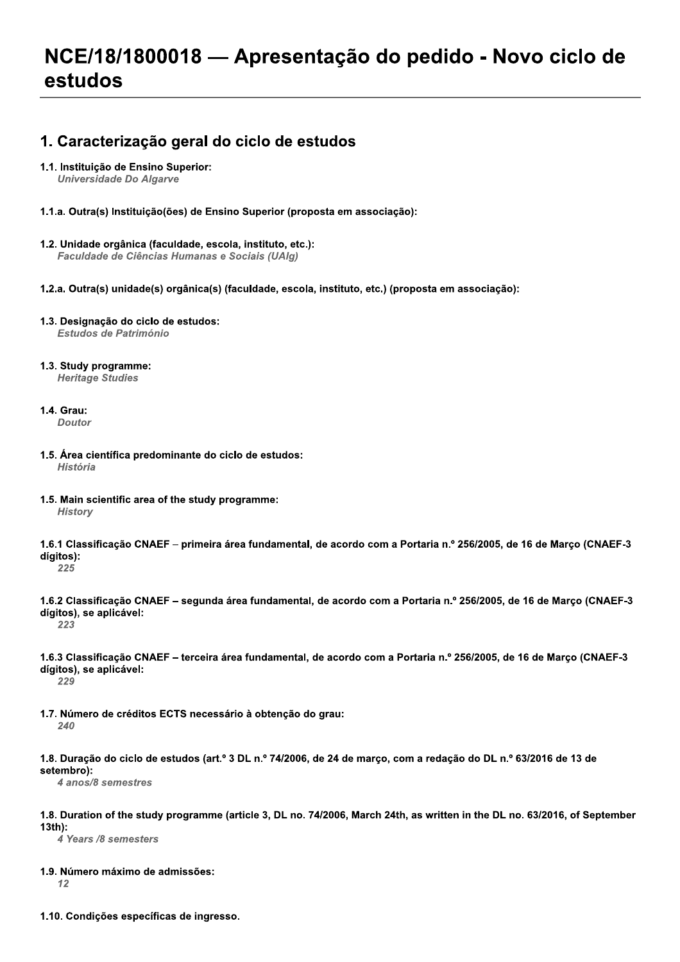# NCE/18/1800018 - Apresentação do pedido - Novo ciclo de estudos

# 1. Caracterização geral do ciclo de estudos

## 1.1. Instituição de Ensino Superior:

**Universidade Do Algarve** 

- 1.1.a. Outra(s) Instituição(ões) de Ensino Superior (proposta em associação):
- 1.2. Unidade orgânica (faculdade, escola, instituto, etc.): Faculdade de Ciências Humanas e Sociais (UAIg)
- 1.2.a. Outra(s) unidade(s) orgânica(s) (faculdade, escola, instituto, etc.) (proposta em associação):
- 1.3. Designação do ciclo de estudos: Estudos de Património
- 1.3. Study programme: **Heritage Studies**
- 1.4. Grau:

**Doutor** 

- 1.5. Área científica predominante do ciclo de estudos: História
- 1.5. Main scientific area of the study programme: **History**
- 1.6.1 Classificação CNAEF primeira área fundamental, de acordo com a Portaria n.º 256/2005, de 16 de Março (CNAEF-3 dígitos):
- 225
- 1.6.2 Classificação CNAEF segunda área fundamental, de acordo com a Portaria n.º 256/2005, de 16 de Março (CNAEF-3 dígitos), se aplicável: 223
	-
- 1.6.3 Classificação CNAEF terceira área fundamental, de acordo com a Portaria n.º 256/2005, de 16 de Março (CNAEF-3 dígitos), se aplicável:

229

- 1.7. Número de créditos ECTS necessário à obtenção do grau: 240
- 1.8. Duração do ciclo de estudos (art.º 3 DL n.º 74/2006, de 24 de março, com a redação do DL n.º 63/2016 de 13 de setembro):

4 anos/8 semestres

1.8. Duration of the study programme (article 3, DL no. 74/2006, March 24th, as written in the DL no. 63/2016, of September  $13<sup>th</sup>$ :

4 Years /8 semesters

1.9. Número máximo de admissões:

 $12$ 

1.10. Condições específicas de ingresso.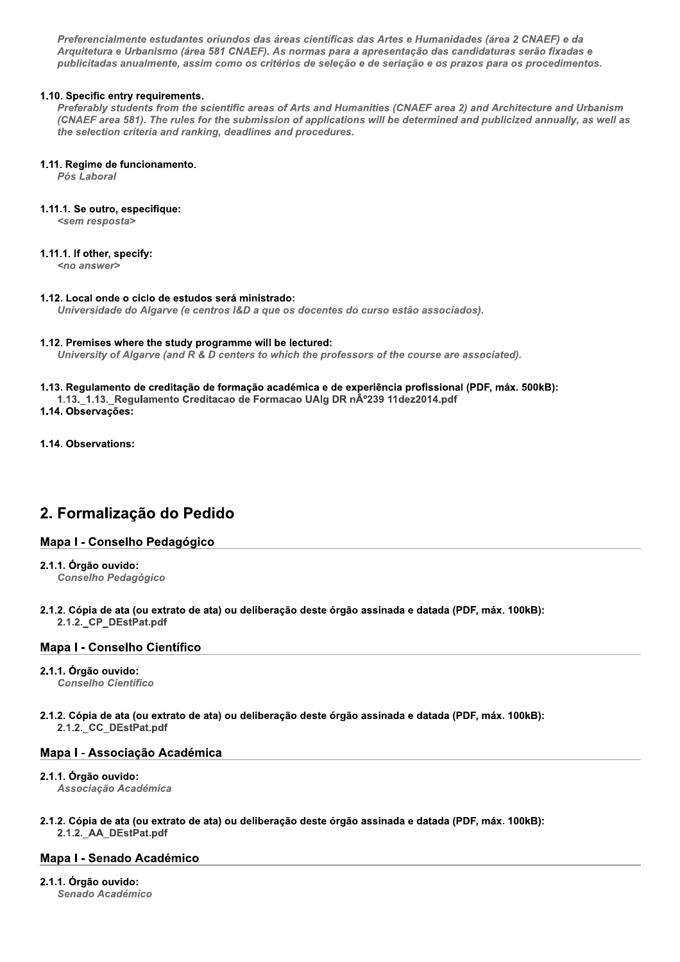Preferencialmente estudantes oriundos das áreas científicas das Artes e Humanidades (área 2 CNAEF) e da Arquitetura e Urbanismo (área 581 CNAEF). As normas para a apresentação das candidaturas serão fixadas e publicitadas anualmente, assim como os critérios de seleção e de seriação e os prazos para os procedimentos.

## 1.10. Specific entry requirements.

Preferably students from the scientific areas of Arts and Humanities (CNAEF area 2) and Architecture and Urbanism (CNAEF area 581). The rules for the submission of applications will be determined and publicized annually, as well as the selection criteria and ranking, deadlines and procedures.

## 1.11. Regime de funcionamento.

Pós Laboral

## 1.11.1. Se outro, especifique:

<sem resposta>

## 1.11.1. If other, specify:

<no answer>

## 1.12. Local onde o ciclo de estudos será ministrado:

Universidade do Algarve (e centros I&D a que os docentes do curso estão associados).

## 1.12. Premises where the study programme will be lectured:

University of Algarve (and R & D centers to which the professors of the course are associated).

## 1.13. Regulamento de creditação de formação académica e de experiência profissional (PDF, máx. 500kB):

1.13. 1.13. Regulamento Creditacao de Formacao UAIg DR nº239 11dez2014.pdf

1.14. Observações:

1.14. Observations:

# 2. Formalização do Pedido

## Mapa I - Conselho Pedagógico

2.1.1. Órgão ouvido:

**Conselho Pedagógico** 

2.1.2. Cópia de ata (ou extrato de ata) ou deliberação deste órgão assinada e datada (PDF, máx. 100kB): 2.1.2. CP DEstPat.pdf

## Mapa I - Conselho Científico

## 2.1.1. Órgão ouvido:

**Conselho Científico** 

2.1.2. Cópia de ata (ou extrato de ata) ou deliberação deste órgão assinada e datada (PDF, máx. 100kB): 2.1.2. CC\_DEstPat.pdf

## Mapa I - Associação Académica

## 2.1.1. Órgão ouvido:

Associação Académica

#### 2.1.2. Cópia de ata (ou extrato de ata) ou deliberação deste órgão assinada e datada (PDF, máx, 100kB); 2.1.2. AA DEstPat.pdf

## **Mapa I - Senado Académico**

# 2.1.1. Órgão ouvido:

Senado Académico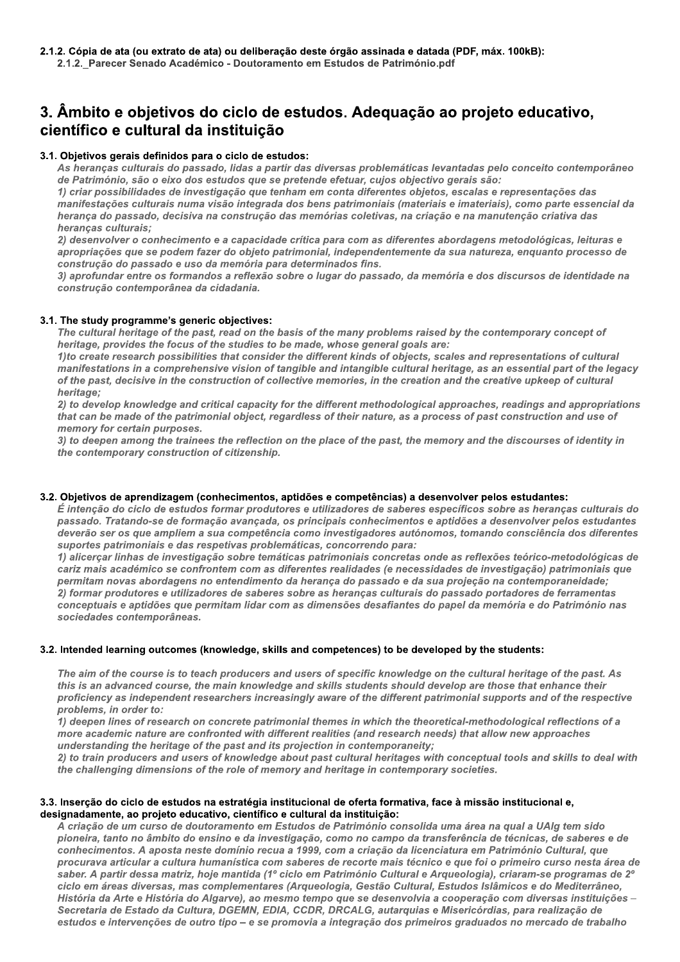# a de ata (ou extrato de ata) ou deliberação<br>Parecer Senado Académico - Doutorament<br>**ito e objetivos do ciclo de es<br>co e cultural da instituição**<br>vos gerais definidos para o ciclo de estudo<br>ancas culturais do passado, lidas 3. Ambito e objetivos do cíclo de estudos. Adequação ao projeto educativo, científico e cultural da instituição

## 3.1. Objetivos gerais definidos para o cíclo de estudos:

As heranças culturais do passado, lidas a partir das diversas problemáticas levantadas pelo conceito contemporâneo de Património, são o eixo dos estudos que se pretende efetuar, cujos objectivo gerais são:

1) criar possibilidades de investigação que tenham em conta diferentes objetos, escalas e representações das manifestações culturais numa visão integrada dos bens patrimoniais (materiais e imateriais), como parte essencial da herança do passado, decisiva na construção das memórias coletivas, na criação e na manutenção criativa das heranças culturais;

2) desenvolver o conhecimento e a capacidade crítica para com as diferentes abordagens metodológicas, leituras e apropriações que se podem fazer do objeto patrimonial, independentemente da sua natureza, enquanto processo de construção do passado e uso da memória para determinados fins.

3) aprofundar entre os formandos a reflexão sobre o lugar do passado, da memória e dos discursos de identidade na construção contemporânea da cidadania.

## 3.1. The study programme's generic objectives:

The cultural heritage of the past, read on the basis of the many problems raised by the contemporary concept of heritage, provides the focus of the studies to be made, whose general goals are:

1) to create research possibilities that consider the different kinds of objects, scales and representations of cultural manifestations in a comprehensive vision of tangible and intangible cultural heritage, as an essential part of the legacy of the past, decisive in the construction of collective memories, in the creation and the creative upkeep of cultural heritage;

2) to develop knowledge and critical capacity for the different methodological approaches, readings and appropriations that can be made of the patrimonial object, regardless of their nature, as a process of past construction and use of memory for certain purposes.

3) to deepen among the trainees the reflection on the place of the past, the memory and the discourses of identity in the contemporary construction of citizenship.

## 3.2. Objetivos de aprendizagem (connecimentos, aptidoes e competencias) a desenvolver pelos estudantes:

 $\acute{\bf{E}}$  intenção do ciclo de estudos formar produtores e utilizadores de saberes específicos sobre as heranças culturais do passado. Tratando-se de formação avançada, os principais conhecimentos e aptidões a desenvolver pelos estudantes deverão ser os que ampliem a sua competência como investigadores autónomos, tomando consciência dos diferentes suportes patrimoniais e das respetivas problemáticas, concorrendo para:

1) alicerçar linhas de investigação sobre temáticas patrimoniais concretas onde as reflexões teórico-metodológicas de cariz mais académico se confrontem com as diferentes realidades (e necessidades de investigação) patrimoniais que permitam novas abordagens no entendimento da herança do passado e da sua projeção na contemporaneidade; 2) formar produtores e utilizadores de saberes sobre as heranças culturais do passado portadores de ferramentas conceptuais e aptidões que permitam lidar com as dimensões desafiantes do papel da memória e do Património nas sociedades contemporâneas.

## 3.2. Intended learning outcomes (knowledge, skills and competences) to be developed by the students:

The aim of the course is to teach producers and users of specific knowledge on the cultural heritage of the past. As this is an advanced course, the main knowledge and skills students should develop are those that enhance their proficiency as independent researchers increasingly aware of the different patrimonial supports and of the respective problems. in order to:

1) deepen lines of research on concrete patrimonial themes in which the theoretical-methodological reflections of a more academic nature are confronted with different realities (and research needs) that allow new approaches understanding the heritage of the past and its projection in contemporaneity;

2) to train producers and users of knowledge about past cultural heritages with conceptual tools and skills to deal with the challenging dimensions of the role of memory and heritage in contemporary societies.

## 3.3. Inserção do cíclo de estudos na estrategia institucional de oferta formativa, face a missão institucional e, designadamente, ao projeto educativo, científico e cultural da instituição:

r to:<br>
i research on concrete patrimonial themes<br>
ature are confronted with different realities<br>
e heritage of the past and its projection in themes<br>
ers and users of knowledge about past cul<br>
imensions of the role of memo A criação de um curso de doutoramento em Estudos de Património consolida uma área na qual a UAIg tem sido pioneira, tanto no âmbito do ensino e da investigação, como no campo da transferência de técnicas, de saberes e de conhecimentos. A aposta neste domínio recua a 1999, com a criação da licenciatura em Património Cultural, que procurava articular a cultura humanística com saberes de recorte mais técnico e que foi o primeiro curso nesta área de saber. A partir dessa matriz, hoje mantida (1º ciclo em Património Cultural e Arqueologia), criaram-se programas de 2º ciclo em áreas diversas, mas complementares (Arqueologia, Gestão Cultural, Estudos Islâmicos e do Mediterrâneo, História da Arte e História do Algarve), ao mesmo tempo que se desenvolvia a cooperação com diversas instituições -Secretaria de Estado da Cultura, DGEMN, EDIA, CCDR, DRCALG, autarquias e Misericórdias, para realização de estudos e intervenções de outro tipo – e se promovia a integração dos primeiros graduados no mercado de trabalho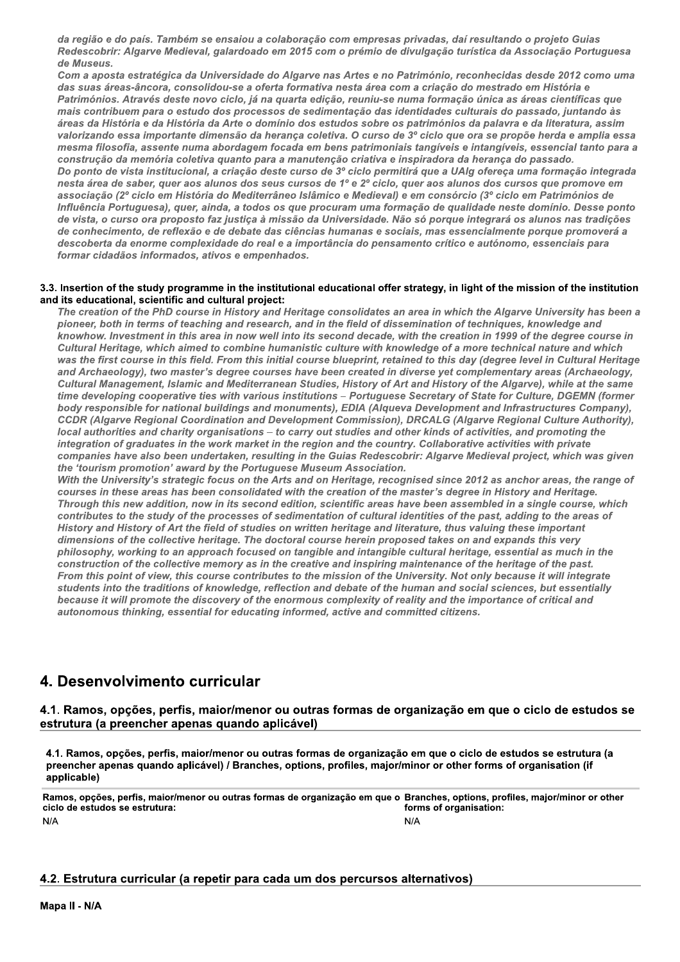da reglao e do pais. Também se ensalou a colaboração com empresas privadas, dal resultando o projeto Gulas Redescobrir: Aigarve Medieval, galardoado em 2015 com o premio de divulgação turistica da Associação Portuguesa de Museus.

Com a aposta estrategica da Universidade do Algarve has Artes e no Património, reconnecidas desde 2012 como uma esas privadas, daí resultando o projeto Guida<br>de divulgação turística da Associação Po<br>no Património, reconhecidas desde 2012 da com a criação do mestrado em História e<br>se numa formação única as áreas científicas<br>identidad das suas areas-ancora, consolidou-se a oferta formativa nesta area com a criação do mestrado em Historia e Patrimonios. Atraves deste novo cíclo, ja na quarta edição, reuniu-se numa formação unica as areas científicas que mais contribuem para o estudo dos processos de sedimentação das identidades culturais do passado, juntando as areas da Historia e da Historia da Arte o dominio dos estudos sobre os patrimonios da palavra e da literatura, assim valorizando essa importante dimensão da nerança coletiva. O curso de 3º ciclo que ora se propoe nerda e amplia essa iambém se ensaiou a colaboração com em<br>Medieval, galardoado em 2015 com o prér<br>gica da Universidade do Algarve nas Artes<br>a, consolidou-se a oferta formativa nesta a<br>deste novo ciclo, já na quarta edição, reur<br>n o estudo do as, daí resultando o projeto Guias<br>cão turística da Associação Portuguesa<br>nio, reconhecidas desde 2012 como uma<br>ação do mestrado em História e<br>ormação única as áreas científicas que<br>des culturais do passado, juntando às<br>nó mesma filosofia, assente numa abordagem focada em bens patrimoniais tangiveis e intangiveis, essencial tanto para a construção da memoria coletiva quanto para a manutenção criativa e inspiradora da herança do passado. e no Património, reconhecidas desde 201<br>
irea com a criação do mestrado em Históri<br>
iu-se numa formação única as áreas cient<br>
idu-se numa formação única as áreas cient<br>
o das identidades culturais do passado, jui<br>
obre os Do ponto de vista institucional, a criação deste curso de 3º ciclo permitira que a UAIg ofereça uma formação integrada nesta area de saber, quer aos alunos dos seus cursos de 1º e 2º ciclo, quer aos alunos dos cursos que promove em associação (2º ciclo em Historia do Mediterraneo Islamico e Medieval) e em consorcio (3º ciclo em Patrimónios de influencia Portuguesa), quer, aínda, a todos os que procuram uma formação de qualidade neste dominio. Desse ponto de vista, o curso ora proposto faz justiça a missão da Universidade. Não so porque integrara os aluños nas tradições de connecimento, de reflexão e de debate das ciencias humanas e sociais, mas essencialmente porque promovera a valorizando essa importante<br>mesma filosofia, assente nu<br>construção da memória colo<br>Do ponto de vista institucio<br>nesta área de saber, quer ac<br>associação (2º ciclo em Hisi<br>Influência Portuguesa), que<br>de vista, o curso ora pr nsão da herança coletiva. O curso de 3º ciondagem focada em bens patrimoniais tan<br>uanto para a manutenção criativa e inspira<br>viação deste curso de 3º ciclo permitirá qu<br>os dos seus cursos de 1º e 2º ciclo, quer a<br>pos dos s descoberta da enorme complexidade do real e a importancia do pensamento crítico e autonomo, essenciais para i formar cidadaos informados, ativos e el

construção da menória coleida quando para a manuferão criativa e inspiradora da herança do passociação (2º ciclo em História do Mediterrâneo Islâmico e Medieval) e em consórcio (3º ciclo em Patrimónios de associação (2º ci creation of the PhD course in History and Heritage consolidates an area in which the Algarve University has been a de vista, o curso ora proposto faz jus<br>de conhecimento, de reflexão e de de<br>descoberta da enorme complexidade<br>formar cidadãos informados, ativos e<br>3.3. Insertion of the study programme in t<br>and its educational, scientific de vista, o curso ora proposto faz justiça de conhecimento, de reflexão e de debate<br>descoberta da enorme complexidade do r<br>formar cidadãos informados, ativos e emp<br>formar cidadãos informados, ativos e emp<br>.<br>Insertion of th rsidade. Não só porque integrará os alunos n<br>anas e sociais, mas essencialmente porque p<br>a do pensamento crítico e autónomo, essenci<br>tional offer strategy, in light of the mission of<br>solidates an area in which the Algarve de. Não só porque integrará os alunos nas<br>e sociais, mas essencialmente porque pro<br>ensamento crítico e autónomo, essenciais<br>offer strategy, in light of the mission of the<br>tes an area in which the Algarve University<br>f disse grará os alunos nas tradições<br>ialmente porque promoverá a<br>utónomo, essenciais para<br>of the mission of the institution<br>e Algarve University has been a<br>hniques, knowledge and<br>in 1999 of the degree course in<br>e technical nature pioneer, both in terms of teaching and research, and in the field of dissemination of techniques, knowledge al de conhecimento, de reflexão e a<br>descoberta da enorme complexic<br>formar cidadãos informados, ativ<br>3.3. Insertion of the study programm<br>and its educational, scientific and cu<br>*The creation of the PhD course in*<br>pioneer, both ecimento, de reflexão e de debate das ciêntra da enorme complexidade do real e a inidadãos informados, ativos e empenhados<br>
n of the study programme in the institution<br>
cational, scientific and cultural project:<br>
tition of exão e de debate das ciências humanas e<br>
emplexidade do real e a importância do per<br>
dos, ativos e empenhados.<br>
ogramme in the institutional educational of<br>
cand cultural project:<br>
course in History and Heritage consolidat debate das ciências humanas e sociais, m<br>de do real e a importância do pensamento<br>s e empenhados.<br>in the institutional educational offer strates<br>ural project:<br>listory and Heritage consolidates an area i<br>and research, and i esociais, mas essencialmente porque promensamento crítico e autónomo, essenciais<br>
offer strategy, in light of the mission of the<br>
es an area in which the Algarve University<br>
idissemination of techniques, knowledge<br>
ide, wi descoberta da enorme complexidade do real e a importância do pensamento crítico e autónomo, essenciais partómar cidadãos informados, ativos e empenhados.<br>
3.3. Insertion of the study programme in the institutional educatio investment in this area in now well into its second decade, with the creation in 1999 of the degree course in  $\,$ coberta da enorme complexidade do real e<br>ar cidadãos informados, ativos e empenha<br>rtion of the study programme in the institu<br>ducational, scientific and cultural project:<br>creation of the PhD course in History and<br>eer, both portância do pensamento crítico e autónor<br>al educational offer strategy, in light of the<br>age consolidates an area in which the Alga<br>d in the field of dissemination of technique<br>is second decade, with the creation in 1999<br>t rtância do pensamento crítico e autónomo<br>
educational offer strategy, in light of the mi<br>
e consolidates an area in which the Algary<br>
n the field of dissemination of techniques,<br>
second decade, with the creation in 1999 o<br> crítico e autónomo, essenciais para<br>gy, in light of the mission of the institution<br>in which the Algarve University has been a<br>tion of techniques, knowledge and<br>e creation in 1999 of the degree course in<br>e of a more technic Cultural Heritage, which almed to combine numanistic culture with knowledge of a more technical hature and w formar cidadãos informados, ativos e emperados<br>3. Insertion of the study programme in the insertion of the study programme in the insertion of the PhD course in History are pioneer, both in terms of teaching and resease kn mados, ativos e empenhados.<br>
programme in the institutional educationa<br>
tific and cultural project:<br>
D course in History and Heritage consolid<br>
of teaching and research, and in the field<br>
in this area in now well into its nhados.<br>
itiutional educational offer strategy, in lightitiutional educational offer strategy, in lightitic<br>
ct:<br>
d Heritage consolidates an area in which t<br>
rch, and in the field of dissemination of tee<br>
Ill into its seco strategy, in light of the mission of the inst<br>
area in which the Algarve University has<br>
emination of techniques, knowledge and<br>
with the creation in 1999 of the degree coun<br>
wiedge of a more technical nature and wh<br>
imed formar cidadãos informados, ativos e empenhados.<br>
Insertion of the study programme in the institutional educational offer strategy, in light of the mission of the institution<br>
its educational, scientific and cultural proje 3.3. Insertion of the study prop<br>and its educational, scientific<br>The creation of the PhD cc<br>pioneer, both in terms of t<br>knowhow. Investment in th<br>Cultural Heritage, which ai<br>was the first course in this<br>and Archaeology), t first course in this field. From this initial course blueprint, retained to this day (degree level in Cultural Heritage sertion of the study programme in the inst<br>seducational, scientific and cultural projective creation of the PhD course in History an<br>oneer, both in terms of teaching and reseal<br>owhow. Investment in this area in now well<br>ul udy programme in the institutional educat<br>cientific and cultural project:<br>e PhD course in History and Heritage cons<br>rms of teaching and research, and in the fi<br>nent in this area in now well into its second<br>which aimed to c cational offer strategy, in light of the missi<br>
onsolidates an area in which the Algarve U,<br>
e field of dissemination of techniques, kno<br>
ond decade, with the creation in 1999 of th<br>
lture with knowledge of a more technica and Archaeology), two master's degree courses have been created in diverse yet complementary areas (A  $\mu$ 3.3. Insertion of the study prograph<br>and its educational, scientific an<br>The creation of the PhD cour<br>pioneer, both in terms of tead<br>knowhow. Investment in this<br>Cultural Heritage, which aime<br>was the first course in this fii ramme in the institutional educational offe<br>nd cultural project:<br>irse in History and Heritage consolidates a<br>aching and research, and in the field of dis<br>s area in now well into its second decade,<br>ned to combine humanistic Insertion of the study programme in the institutional educational offer strategy, in light of the mission of the institution<br>
its educational, scientific and cultural project:<br>
The creation of the PhD course in History and wanagement, islamic and wediterranean Studies, History of Art and History of the Algarve), while at the same ffer strategy, in light of the mission of the<br>s an area in which the Algarve University is<br>dissemination of techniques, knowledge a<br>de, with the creation in 1999 of the degree (<br>knowledge of a more technical nature and<br>ret n light of the mission of the institution<br>hich the Algarve University has been a<br>of techniques, knowledge and<br>aation in 1999 of the degree course in<br>a more technical nature and which<br>s day (degree level in Cultural Heritag of the mission of the institution<br>
Palgarve University has been a<br>
niques, knowledge and<br>
n 1999 of the degree course in<br>
technical nature and which<br>
legree level in Cultural Heritage<br>
ementary areas (Archaeology,<br>
he Alga time developing cooperative ties with various institutions – Portuguese Secretary of State for Culture, DGEMN (former I, scientific and cultural project:<br>
if the PhD course in History and Heritage complement in this area in now well into its sectory, then the stand in the stand in this area in now well into its sectory which aimed to comb body responsible for hational buildings and monuments), EDIA (Alqueva Development and infrastructures Company),  $\mathtt{CCDR}$  (Algarve Regional Coordination and Development Commission), DRCALG (Algarve Regional Culture A pioneer, both in terms of teaching and research, and in the field of dissemination of techniques, knowledge and<br>knowhow. Investment in this area in now well into its second decade, with the creation in 1999 of the degree c knowhow. Investment in this a<br>Cultural Heritage, which aime<br>was the first course in this fie<br>and Archaeology), two mastel<br>Cultural Management, Islamic<br>time developing cooperative t<br>body responsible for national<br>CCDR (Algar and charity organisations  $-$  to carry out studies and other kinds of activities, and promoting tr mowhow. Investment in this area in now we<br>Cultural Heritage, which aimed to combine<br>vas the first course in this field. From this i<br>nd Archaeology), two master's degree cou<br>Cultural Management, Islamic and Mediterra<br>ime de its second decade, with the creation in 19<br>
istic culture with knowledge of a more tec.<br>
ourse blueprint, retained to this day (degrative been created in diverse yet compleme<br>
Studies, History of Art and History of the A<br> knowhow. Investment in this area in now well into its second decade, with the creation in 1999 of the degree course in the form that interests are a more technical nature and which was the first course in this field. From or graduates in the work market in the region and the country. Collaborative activities with private al Heritage, which aimed to combine huma<br>
e first course in this field. From this initial<br>
chaeology), two master's degree courses<br>
al Management, Islamic and Mediterranean<br>
eveloping cooperative ties with various ins<br>
esp imed to combine humanistic culture with k<br>s field. From this initial course blueprint, re<br>ster's degree courses have been created i<br>mic and Mediterranean Studies, History of<br>ive ties with various institutions – Portugu<br>ona ne humanistic culture with knowledge of a<br>is initial course blueprint, retained to this courses have been created in diverse yet corranean Studies, History of Art and Histor<br>rious institutions – Portuguese Secretary of<br>and of a more technical nature and which<br>is day (degree level in Cultural Heritage<br>et complementary areas (Archaeology,<br>story of the Algarve), while at the same<br>rry of State for Culture, DGEMN (former<br>opment and Infrastructure companies nave also been undertaken, resulting in the Gulas Redescobrir: Algarve Medieval project, which was g was the first course in this field.<br>
and Archaeology), two master's<br>
Cultural Management, Islamic an<br>
time developing cooperative ties<br>
body responsible for national bu<br>
CCDR (Algarve Regional Coordin<br>
local authorities an l. From this initial course blueprint, retaine<br>s degree courses have been created in divinal<br>mod Mediterranean Studies, History of Art a<br>s with various institutions – Portuguese S<br>uildings and monuments), EDIA (Alqueva<br>ina day (degree level in Cultural Heritage<br>complementary areas (Archaeology,<br>ry of the Algarve), while at the same<br>of State for Culture, DGEMN (former<br>ment and Infrastructures Company),<br>Algarve Regional Culture Authority),<br>f a and Archaeology), two master's degree courses have been created in diverse yet complementary areas (Archaeology), while atter and interest of the Algarve), while atter as the course of the Algarve), while atter as the dist tourism promotion' award by the Portuguese Museum A ogy), two master's degree courses have be<br>agement, Islamic and Mediterranean Studie<br>ing cooperative ties with various institution<br>ible for national buildings and monuments<br>reed Regional Coordination and Developmen<br>ies and

Cultural Management, Islamic and Mediterranean Studies, History of Art time developing cooperative ties with various institutions – Portuguese Solony responsible for national buildings and monuments), EDIA (Alqueva<br>CCDR (A **Cultural Management, Islamagement, Islamagement, Islamagement is developing cooperative body responsible for nation CCDR (Algarve Regional C local authorities and charifed incompanies have also been the 'tourism promotion** University's strategic focus on the Arts and on Heritage, recognised since 2012 as anchor areas, the range of nt, Islamic and Mediterranean Studies, His<br>pperative ties with various institutions – Per<br>preative ties with various institutions – Per<br>preational Duildings and monuments), EDI.<br>ional Coordination and Development Com<br>d cha nd History of the Algarve), while at the same cretary of State for Culture, DGEMN (form<br>
bevelopment and Infrastructures Company<br>
CALG (Algarve Regional Culture Authority<br>
kinds of activities, and promoting the<br>
Collaborat of the Algarve), while at the same<br>
State for Culture, DGEMN (former<br>
t and Infrastructures Company),<br>
arve Regional Culture Authority),<br>
tivities, and promoting the<br>
ve activities with private<br>
edieval project, which was courses in these areas has been consolidated with the creation of the master's degree in History and H time developing cooperative ties<br>body responsible for national bu.<br>CCDR (Algarve Regional Coordin<br>local authorities and charity orga<br>integration of graduates in the w<br>companies have also been under<br>the 'tourism promotion' me developing cooperative ties with variou<br>ody responsible for national buildings and<br>CDR (Algarve Regional Coordination and L<br>cal authorities and charity organisations –<br>tegration of graduates in the work market i<br>mpanies ties with various institutions – Portugues<br>al buildings and monuments), EDIA (Alque<br>ordination and Development Commission),<br>organisations – to carry out studies and o<br>he work market in the region and the count<br>indertaken, is with various institutions – Portuguese S<br>suildings and monuments), EDIA (Alqueva<br>lination and Development Commission), D<br>ganisations – to carry out studies and othe<br>work market in the region and the country<br>lertaken, re institutions – Portuguese Secretary of Sta<br>
conuments), EDIA (Alqueva Development a<br>
velopment Commission), DRCALG (Algarv<br>
o carry out studies and other kinds of activ<br>
the region and the country. Collaborative<br>
ing in th body responsible for national buildings and monuments), EDIA (Alqueva Development and Infrastructures Comparent and Development Commission), DRCALG (Algrave Regional Culture Auth<br>local authorities and charity organisations body responsible for national k<br>CCDR (Algarve Regional Coord<br>local authorities and charity or<br>integration of graduates in the<br>companies have also been und<br>the 'tourism promotion' award<br>With the University's strategic<br>cours new addition, now in its second edition, scientific areas have been assembled in a single course, w numents), EDIA (Alqueva Development and<br>
lopment Commission), DRCALG (Algarve I<br>
arry out studies and other kinds of activitive<br>
ergion and the country. Collaborative activitive<br>
e Museum Association.<br>
and on Heritage, rec body responsible for national buildings and monuments). EDIA (Alqueva Development and Infrastructures Company), bCCALG (Algarve Regional Cutture Authority), local authorities and charity organisations – to carry out studie to the study of the processes of sedimentation of cultural identities of the past, adding to the areas of CCDR (Algarve Regional Coordination<br>local authorities and charity organis<br>integration of graduates in the work<br>companies have also been undertak<br>the 'tourism promotion' award by the<br>With the University's strategic focus<br>co (Algarve Regional Coordination and Devel<br>uthorities and charity organisations – to cation of graduates in the work market in the<br>nies have also been undertaken, resulting<br>urism promotion' award by the Portuguese<br>ne Univers mission), DRCALG (Algarve Regional Cultutes and other kinds of activities, and promothe country. Collaborative activities with production.<br>Redescobrir: Algarve Medieval project, whis collation.<br>See, recognised since 2012 a (Algarve Regional Culture Authority),<br>of activities, and promoting the<br>prative activities with private<br>ve Medieval project, which was given<br>ce 2012 as anchor areas, the range of<br>egree in History and Heritage.<br>sssembled in History and History of Art the field of studies on written heritage and literature, thus valuing these important authorities and charity organisations – to cation of graduates in the work market in thanies have also been undertaken, resulting<br>urism promotion' award by the Portugues<br>the University's strategic focus on the Arts<br>es in t isations – to carry out studies and other kilometric<br>
k market in the region and the country. Co.<br>
ken, resulting in the Guias Redescobrir: A<br>
he Portuguese Museum Association.<br>
is on the Arts and on Heritage, recognised<br> udies and other kinds of activities, and promptom and the country. Collaborative activities with<br>as Redescobrir: Algarve Medieval project,<br>Association.<br>ritage, recognised since 2012 as anchor and<br>ation of the master's degr ner kinds of activities, and promoting the<br>y. Collaborative activities with private<br>rir: Algarve Medieval project, which was g<br>nised since 2012 as anchor areas, the rang<br>aster's degree in History and Heritage.<br>we been asse almensions of the collective heritage. The doctoral course herein proposed takes on and expands tr integration of graduates in the work<br>companies have also been undertake<br>the "tourism promotion" award by the<br>With the University's strategic focus<br>courses in these areas has been con<br>Through this new addition, now in its<br>c ion of graduates in the work market in the<br>lies have also been undertaken, resulting i<br>rism promotion' award by the Portuguese<br>a University's strategic focus on the Arts a<br>in these areas has been consolidated with<br>h this n luates in the work market in the region and<br>lso been undertaken, resulting in the Guias<br>otion' award by the Portuguese Museum A<br>y's strategic focus on the Arts and on Heri<br>reas has been consolidated with the creat<br>addition narket in the region and the country. Collal,<br>n, resulting in the Guias Redescobrir: Alga<br>Portuguese Museum Association.<br>In the Arts and on Heritage, recognised sincolidated with the creation of the master's second edition aborative activities with private<br>garve Medieval project, which was given<br>since 2012 as anchor areas, the range of<br>s degree in History and Heritage.<br>en assembled in a single course, which<br>s of the past, adding to the areas companies have also been underdaken, resulting in the Guias Redescobrir: Algarve Medieval project, which<br>the 'tourism promotion' award by the Portuguese Museum Association.<br>With the University's strategic focus on the Arts working to an approach focused on tangible and intangible cultural heritage, essential as much in tr ive also been undertaken, resulting in the viromotion' award by the Portuguese Museumsity's strategic focus on the Arts and on<br>see areas has been consolidated with the conse areas has been consolidated with the conse areas as Redescobrir: Algarve Medieval project,<br>Association.<br>Tritage, recognised since 2012 as anchor artion of the master's degree in History and<br>tific areas have been assembled in a singl<br>of cultural identities of the past, ad ledieval project, which was given<br>
)12 as anchor areas, the range of<br>
e in History and Heritage.<br>
mbled in a single course, which<br>
past, adding to the areas of<br>
raluing these important<br>
and expands this very<br>
age, essentia companies have also been underlaken, resulting in the Guias Redescobrir: Algarve Medieval project, which was given<br>the 'tourism promotion' award by the Portuguese Museum Association.<br>With the University's strategic focus o or the collective memory as in the creative and inspiring maintenance of the heritage of the past. the 'tourism promotion' award by the<br>With the University's strategic focus c<br>courses in these areas has been cons<br>Through this new addition, now in its<br>contributes to the study of the proces<br>History and History of Art the award by the Portuguese Museum Associrategic focus on the Arts and on Heritage,<br>rategic focus on the Arts and on Heritage,<br>has been consolidated with the creation of<br>ion, now in its second edition, scientific are<br>of the pr iation.<br>The master's degree in History and Herita<br>The master's degree in History and Herita<br>eas have been assembled in a single cour:<br>ural identities of the past, adding to the arm<br>and literature, thus valuing these import on.<br>
ognised since 2012 as anchor areas, the rangular e master's degree in History and Heritage.<br>
i have been assembled in a single course,<br>
il identities of the past, adding to the areas<br>
literature, thus valuing these im ce 2012 as anchor areas, the range of<br>legree in History and Heritage.<br>assembled in a single course, which<br>of the past, adding to the areas of<br>nus valuing these important<br>is on and expands this very<br>neritage, essential as m From this point of view, this course contributes to the mission of the University. Not only because it will integrate With the University's strated<br>courses in these areas has<br>Through this new addition,<br>contributes to the study of t<br>History and History of Art the<br>dimensions of the collective<br>philosophy, working to an a<br>construction of the h the University's strategic focus on the Ar<br>rses in these areas has been consolidated<br>ough this new addition, now in its second<br>tributes to the study of the processes of s<br>(ory and History of Art the field of studies (<br>en focus on the Arts and on Heritage, recogn<br>en consolidated with the creation of the m<br>w in its second edition, scientific areas ha<br>processes of sedimentation of cultural id<br>field of studies on written heritage and lite<br>erit rts and on Heritage, recognised since 201<br>d with the creation of the master's degree ledition, scientific areas have been assem.<br>sedimentation of cultural identities of the p<br>on written heritage and literature, thus val<br>ct students into the traditions of knowledge, reflection and debate of the numan and social sciences, but essentially courses in these areas has been co<br>Through this new addition, now in i<br>contributes to the study of the proc<br>History and History of Art the field d<br>dimensions of the collective heritag<br>philosophy, working to an approach<br>con with the creation of the master's degree in<br>edition, scientific areas have been assemb<br>edimentation of cultural identities of the pa<br>nn written heritage and literature, thus valu<br>toral course herein proposed takes on and<br>n th the creation of the master's degree in Hison, scientific areas have been assembled<br>mentation of cultural identities of the past,<br>written heritage and literature, thus valuing<br>al course herein proposed takes on and ex<br>an because it will promote the discovery of the enormous complexity of reality and the importance of critical and ough this new addition, now in its second<br>tributes to the study of the processes of s<br>tory and History of Art the field of studies<br>ensions of the collective heritage. The doo<br>losophy, working to an approach focused<br>structi dition, now in its second edition, scientificudy of the processes of sedimentation of of Art the field of studies on written heritage.<br>Of Art the field of studies on written heritage of art the field of studies on written ific areas have been assembled in a single<br>of cultural identities of the past, adding to t<br>tage and literature, thus valuing these imp<br>erein proposed takes on and expands this<br>d intangible cultural heritage, essential as<br>l autonomous tninking, essential for educating informed, active and committed citizens. contributes to the study of the procentributes to the study of the procentristively and History of Art the field dimensions of the collective herital philosophy, working to an approacentration of the collective memoral con

# 4. Desenvolvimento curricular

4.1. Ramos, opções, perfis, maior/menor ou outras formas de organização em que o ciclo de estudos se estrutura (a preencher apenas quando aplicável)

4.1. Ramos, opções, perfis, maior/menor ou outras formas de organização em que o ciclo de estudos se estrutura (a preencher apenas quando aplicável) / Branches, options, profiles, major/minor or other forms of organisation (if applicable)

eNOFAR>FLfgBAR>LBCGEAR>ONEFChOB@FC>FI>FIDCNA>GFCONA>JB>FCMN@EiNfjF>BO>kIB>F QEQPF>JB>BADIJFA>AB>BADCIDICNT oCN@QHBAR>FLDEF@AR>LCFGEPBAR>ONSFChOE@FC>FC>FDHBC GFCOA>FG>FCMN@EANDEF@T  $N/A$ 

## 4.2. Estrutura curricular (a repetir para cada um dos percursos alternativos)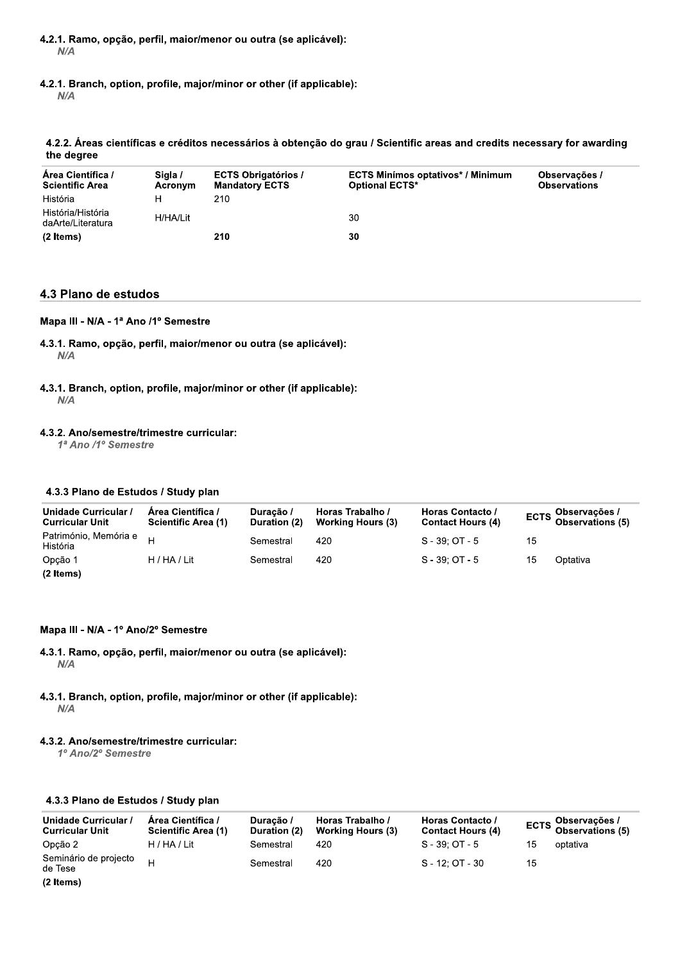- 4.2.1. Ramo, opção, perfil, maior/menor ou outra (se aplicável):  $N/A$
- 4.2.1. Branch, option, profile, major/minor or other (if applicable):

 $N/A$ 

## 4.2.2. Áreas científicas e créditos necessários à obtenção do grau / Scientific areas and credits necessary for awarding the degree

| Area Científica /<br><b>Scientific Area</b> | Siala /<br>Acronym | <b>ECTS Obrigatórios /</b><br><b>Mandatory ECTS</b> | <b>ECTS Minimos optativos* / Minimum</b><br><b>Optional ECTS*</b> | Observações /<br><b>Observations</b> |
|---------------------------------------------|--------------------|-----------------------------------------------------|-------------------------------------------------------------------|--------------------------------------|
| História                                    | н                  | 210                                                 |                                                                   |                                      |
| História/História<br>daArte/Literatura      | H/HA/Lit           |                                                     | 30                                                                |                                      |
| (2 Items)                                   |                    | 210                                                 | 30                                                                |                                      |

## 4.3 Plano de estudos

## Mapa III - N/A - 1ª Ano /1º Semestre

4.3.1. Ramo, opção, perfil, maior/menor ou outra (se aplicável):  $N/A$ 

## 4.3.1. Branch, option, profile, major/minor or other (if applicable):  $N/A$

## 4.3.2. Ano/semestre/trimestre curricular:

1ª Ano /1º Semestre

## 4.3.3 Plano de Estudos / Study plan

| Unidade Curricular /<br><b>Curricular Unit</b> | Area Científica /<br>Scientific Area (1) | Duração /<br>Duration (2) | Horas Trabalho /<br><b>Working Hours (3)</b> | Horas Contacto /<br><b>Contact Hours (4)</b> |    | ECTS Observações /<br>Observations (5) |
|------------------------------------------------|------------------------------------------|---------------------------|----------------------------------------------|----------------------------------------------|----|----------------------------------------|
| Património, Memória e H<br>História            |                                          | Semestral                 | 420                                          | $S - 39: OT - 5$                             | 15 |                                        |
| Opção 1                                        | H / HA / Lit                             | Semestral                 | 420                                          | $S - 39: OT - 5$                             | 15 | Optativa                               |
| (2 Items)                                      |                                          |                           |                                              |                                              |    |                                        |

## Mapa III - N/A - 1º Ano/2º Semestre

- 4.3.1. Ramo, opção, perfil, maior/menor ou outra (se aplicável):  $N/A$
- 4.3.1. Branch, option, profile, major/minor or other (if applicable):  $N/A$

## 4.3.2. Ano/semestre/trimestre curricular:

1º Ano/2º Semestre

## 4.3.3 Plano de Estudos / Study plan

| Unidade Curricular /<br><b>Curricular Unit</b> | Area Científica /<br><b>Scientific Area (1)</b> | Duracão /<br>Duration (2) | Horas Trabalho /<br><b>Working Hours (3)</b> | Horas Contacto /<br><b>Contact Hours (4)</b> |    | ECTS Observações /<br>Observations (5) |
|------------------------------------------------|-------------------------------------------------|---------------------------|----------------------------------------------|----------------------------------------------|----|----------------------------------------|
| Opção 2                                        | H / HA / Lit                                    | Semestral                 | 420                                          | $S - 39: OT - 5$                             | 15 | optativa                               |
| Seminário de projecto<br>de Tese               | $\mathbf{H}$                                    | Semestral                 | 420                                          | $S - 12: OT - 30$                            | 15 |                                        |
| (2 Items)                                      |                                                 |                           |                                              |                                              |    |                                        |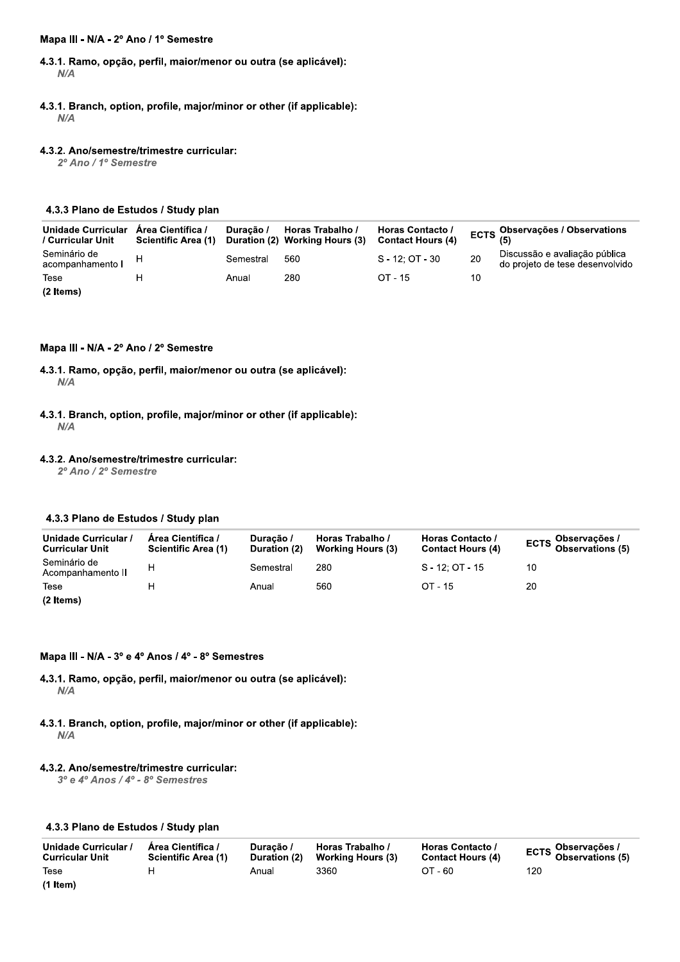#### Mapa III - N/A - 2º Ano / 1º Semestre

- 4.3.1. Ramo, opção, perfil, maior/menor ou outra (se aplicável):  $N/A$
- 4.3.1. Branch, option, profile, major/minor or other (if applicable):  $N/A$

#### 4.3.2. Ano/semestre/trimestre curricular:

2º Ano / 1º Semestre

## 4.3.3 Plano de Estudos / Study plan

| Unidade Curricular<br>/ Curricular Unit | Area Científica /<br><b>Scientific Area (1)</b> | Duracão / | Horas Trabalho /<br>Duration (2) Working Hours (3) | Horas Contacto /<br><b>Contact Hours (4)</b> |    | ECTS Observações / Observations                                  |
|-----------------------------------------|-------------------------------------------------|-----------|----------------------------------------------------|----------------------------------------------|----|------------------------------------------------------------------|
| Seminário de<br>acompanhamento I        |                                                 | Semestral | 560                                                | $S - 12: OT - 30$                            | 20 | Discussão e avaliação pública<br>do projeto de tese desenvolvido |
| Tese                                    |                                                 | Anual     | 280                                                | $OT - 15$                                    | 10 |                                                                  |
| (2 Items)                               |                                                 |           |                                                    |                                              |    |                                                                  |

Mapa III - N/A - 2º Ano / 2º Semestre

4.3.1. Ramo, opção, perfil, maior/menor ou outra (se aplicável):  $N/A$ 

4.3.1. Branch, option, profile, major/minor or other (if applicable):  $N/A$ 

#### 4.3.2. Ano/semestre/trimestre curricular:

2º Ano / 2º Semestre

## 4.3.3 Plano de Estudos / Study plan

| Unidade Curricular /<br><b>Curricular Unit</b> | Area Científica /<br><b>Scientific Area (1)</b> | Duração /<br>Duration (2) | Horas Trabalho /<br><b>Working Hours (3)</b> | Horas Contacto /<br><b>Contact Hours (4)</b> | ECTS Observações /<br>Observations (5) |
|------------------------------------------------|-------------------------------------------------|---------------------------|----------------------------------------------|----------------------------------------------|----------------------------------------|
| Seminário de<br>Acompanhamento II              | н                                               | Semestral                 | 280                                          | $S - 12: OT - 15$                            | 10                                     |
| Tese                                           |                                                 | Anual                     | 560                                          | OT - 15                                      | 20                                     |
| (2 Items)                                      |                                                 |                           |                                              |                                              |                                        |

## Mapa III - N/A - 3º e 4º Anos / 4º - 8º Semestres

- 4.3.1. Ramo, opção, perfil, maior/menor ou outra (se aplicável):  $N/A$
- 4.3.1. Branch, option, profile, major/minor or other (if applicable):  $N/A$

## 4.3.2. Ano/semestre/trimestre curricular:

3º e 4º Anos / 4º - 8º Semestres

## 4.3.3 Plano de Estudos / Study plan

| Unidade Curricular /<br><b>Curricular Unit</b> | Area Científica /<br><b>Scientific Area (1)</b> | Duracão /<br>Duration (2) | Horas Trabalho /<br>Working Hours (3) | Horas Contacto /<br><b>Contact Hours (4)</b> | ECTS Observações /<br>Observations (5) |
|------------------------------------------------|-------------------------------------------------|---------------------------|---------------------------------------|----------------------------------------------|----------------------------------------|
| Tese                                           |                                                 | Anual                     | 3360                                  | $OT - 60$                                    | 120                                    |
| $(1$ Item)                                     |                                                 |                           |                                       |                                              |                                        |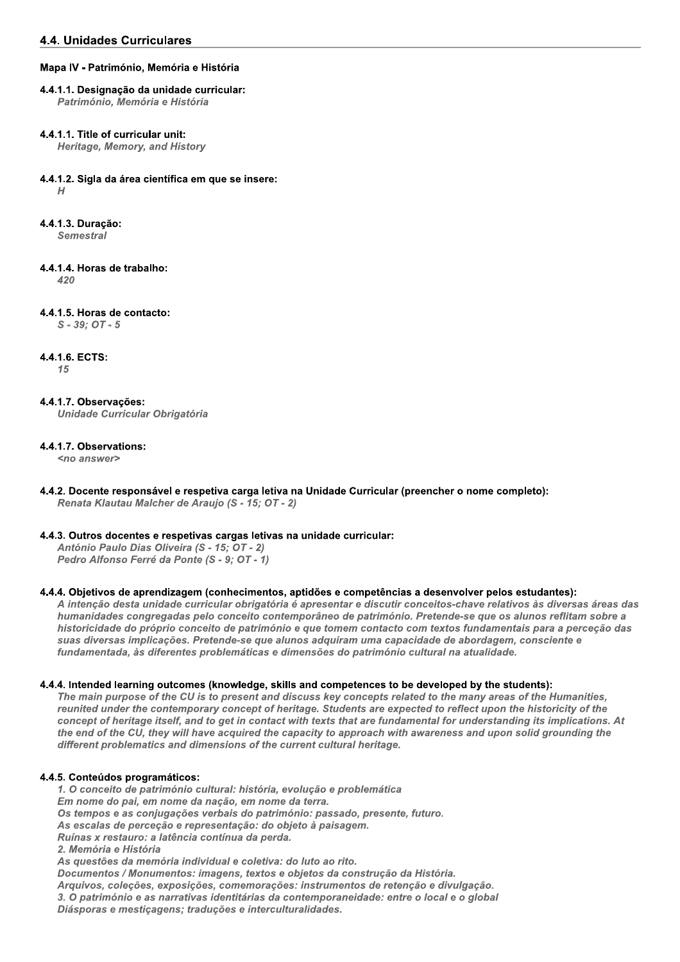## Mapa IV - Património, Memória e História

#### 4.4.1.1. Designação da unidade curricular: Património, Memória e História

## 4.4.1.1. Title of curricular unit:

**Heritage, Memory, and History** 

## 4.4.1.2. Sigla da área científica em que se insere:

 $H$ 

4.4.1.3. Duração:

Semestral

4.4.1.4. Horas de trabalho:

 $420$ 

4.4.1.5. Horas de contacto:

 $S - 39: OT - 5$ 

## 4.4.1.6. ECTS:

 $15$ 

#### 4.4.1.7. Observações: **Unidade Curricular Obrigatória**

## 4.4.1.7. Observations:

<no answer>

4.4.2. Docente responsável e respetiva carga letiva na Unidade Curricular (preencher o nome completo): Renata Klautau Malcher de Araujo (S - 15; OT - 2)

## 4.4.3. Outros docentes e respetivas cargas letivas na unidade curricular:

António Paulo Dias Oliveira (S - 15; OT - 2) Pedro Alfonso Ferré da Ponte (S - 9; OT - 1)

## 4.4. Objetivos de aprendizagem (conhecimentos, aptidões e competências a desenvolver pelos estudantes):

A intenção desta unidade curricular obrigatória é apresentar e discutir conceitos-chave relativos às diversas áreas das humanidades congregadas pelo conceito contemporâneo de património. Pretende-se que os alunos reflitam sobre a historicidade do próprio conceito de património e que tomem contacto com textos fundamentais para a perceção das suas diversas implicações. Pretende-se que alunos adquiram uma capacidade de abordagem, consciente e fundamentada, às diferentes problemáticas e dimensões do património cultural na atualidade.

## 4.4.4. Intended learning outcomes (knowledge, skills and competences to be developed by the students):

The main purpose of the CU is to present and discuss key concepts related to the many areas of the Humanities. reunited under the contemporary concept of heritage. Students are expected to reflect upon the historicity of the concept of heritage itself, and to get in contact with texts that are fundamental for understanding its implications. At the end of the CU, they will have acquired the capacity to approach with awareness and upon solid grounding the different problematics and dimensions of the current cultural heritage.

## 4.4.5. Conteúdos programáticos:

1. O conceito de património cultural: história, evolução e problemática Em nome do pai, em nome da nação, em nome da terra. Os tempos e as conjugações verbais do património: passado, presente, futuro. As escalas de perceção e representação: do objeto à paisagem. Ruínas x restauro: a latência contínua da perda. 2. Memória e História As questões da memória individual e coletiva: do luto ao rito. Documentos / Monumentos: imagens, textos e objetos da construção da História. Arquivos, coleções, exposições, comemorações: instrumentos de retenção e divulgação. 3. O património e as narrativas identitárias da contemporaneidade: entre o local e o global Diásporas e mestiçagens; traduções e interculturalidades.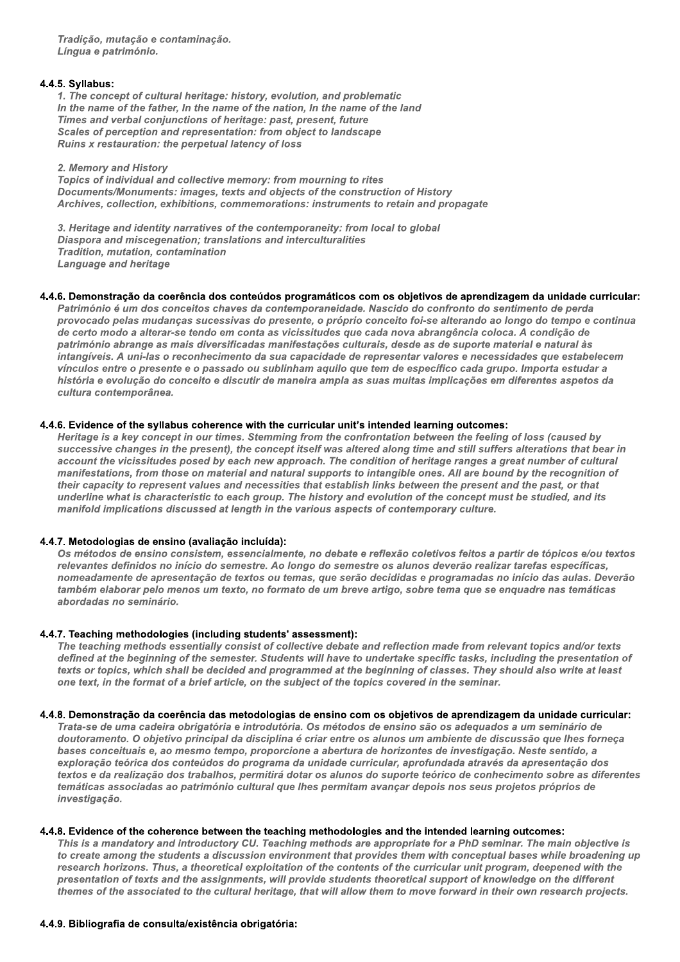Tradição, mutação e contaminação. Língua e património.

## 4.4.5. Syllabus:

1. The concept of cultural heritage: history, evolution, and problematic In the name of the father, In the name of the nation, In the name of the land Times and verbal conjunctions of heritage: past, present, future Scales of perception and representation: from object to landscape Ruins x restauration: the perpetual latency of loss

## 2. Memory and History

Topics of individual and collective memory: from mourning to rites Documents/Monuments: images, texts and objects of the construction of History Archives, collection, exhibitions, commemorations: instruments to retain and propagate

3. Heritage and identity narratives of the contemporaneity: from local to global Diaspora and miscegenation; translations and interculturalities Tradition, mutation, contamination **Language and heritage** 

#### 4.4.6. Demonstração da coerência dos conteúdos programáticos com os objetivos de aprendizagem da unidade curricular:

Património é um dos conceitos chaves da contemporaneidade. Nascido do confronto do sentimento de perda provocado pelas mudanças sucessivas do presente, o próprio conceito foi-se alterando ao longo do tempo e continua de certo modo a alterar-se tendo em conta as vicissitudes que cada nova abrangência coloca. A condição de património abrange as mais diversificadas manifestações culturais, desde as de suporte material e natural às intangíveis. A uni-las o reconhecimento da sua capacidade de representar valores e necessidades que estabelecem vínculos entre o presente e o passado ou sublinham aquilo que tem de específico cada grupo. Importa estudar a história e evolução do conceito e discutir de maneira ampla as suas muitas implicações em diferentes aspetos da cultura contemporânea.

#### 4.4.6. Evidence of the syllabus coherence with the curricular unit's intended learning outcomes:

Heritage is a key concept in our times. Stemming from the confrontation between the feeling of loss (caused by successive changes in the present), the concept itself was altered along time and still suffers alterations that bear in account the vicissitudes posed by each new approach. The condition of heritage ranges a great number of cultural manifestations, from those on material and natural supports to intangible ones. All are bound by the recognition of their capacity to represent values and necessities that establish links between the present and the past, or that underline what is characteristic to each group. The history and evolution of the concept must be studied, and its manifold implications discussed at length in the various aspects of contemporary culture.

## 4.4.7. Metodologias de ensino (avaliação incluída):

Os métodos de ensino consistem, essencialmente, no debate e reflexão coletivos feitos a partir de tópicos e/ou textos relevantes definidos no início do semestre. Ao longo do semestre os alunos deverão realizar tarefas específicas, nomeadamente de apresentação de textos ou temas, que serão decididas e programadas no início das aulas. Deverão também elaborar pelo menos um texto, no formato de um breve artigo, sobre tema que se enquadre nas temáticas abordadas no seminário.

## 4.4.7. Teaching methodologies (including students' assessment):

The teaching methods essentially consist of collective debate and reflection made from relevant topics and/or texts defined at the beginning of the semester. Students will have to undertake specific tasks, including the presentation of texts or topics, which shall be decided and programmed at the beginning of classes. They should also write at least one text, in the format of a brief article, on the subject of the topics covered in the seminar.

#### 4.4.8. Demonstração da coerência das metodologias de ensino com os objetivos de aprendizagem da unidade curricular:

Trata-se de uma cadeira obrigatória e introdutória. Os métodos de ensino são os adequados a um seminário de doutoramento. O objetivo principal da disciplina é criar entre os alunos um ambiente de discussão que lhes forneça bases conceituais e, ao mesmo tempo, proporcione a abertura de horizontes de investigação. Neste sentido, a exploração teórica dos conteúdos do programa da unidade curricular, aprofundada através da apresentação dos textos e da realização dos trabalhos, permitirá dotar os alunos do suporte teórico de conhecimento sobre as diferentes temáticas associadas ao património cultural que lhes permitam avançar depois nos seus projetos próprios de investigação.

## 4.4.8. Evidence of the coherence between the teaching methodologies and the intended learning outcomes:

This is a mandatory and introductory CU. Teaching methods are appropriate for a PhD seminar. The main objective is to create among the students a discussion environment that provides them with conceptual bases while broadening up research horizons. Thus, a theoretical exploitation of the contents of the curricular unit program, deepened with the presentation of texts and the assignments, will provide students theoretical support of knowledge on the different themes of the associated to the cultural heritage, that will allow them to move forward in their own research projects.

## 4.4.9. Bibliografia de consulta/existência obrigatória: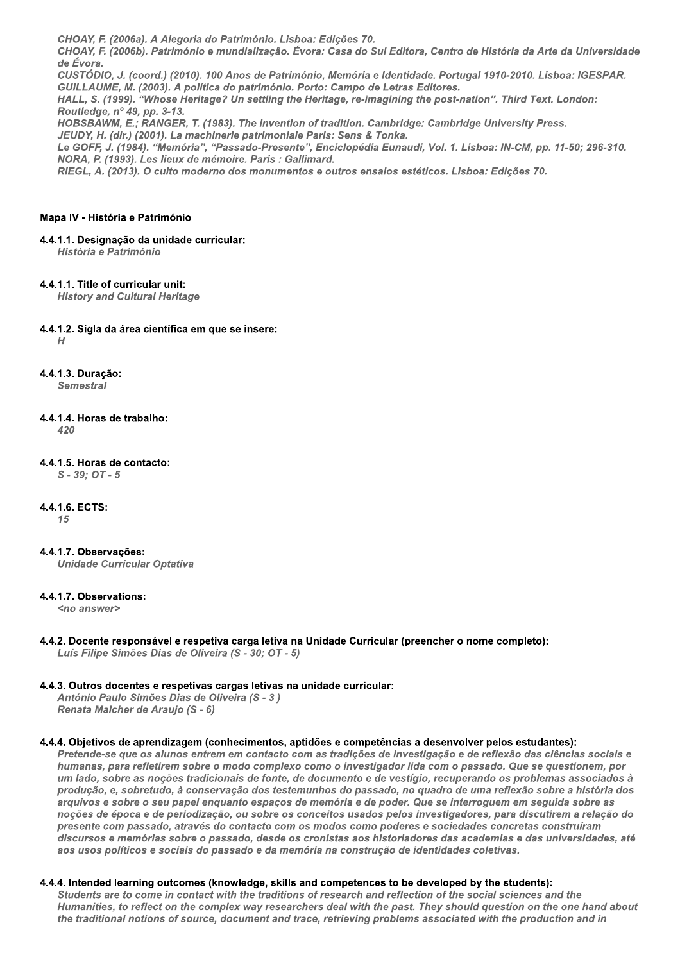CHOAY, F. (2006a), A Alegoria do Património, Lisboa: Edicões 70, CHOAY, F. (2006b). Património e mundialização. Évora: Casa do Sul Editora, Centro de História da Arte da Universidade de Évora. CUSTÓDIO, J. (coord.) (2010). 100 Anos de Património, Memória e Identidade. Portugal 1910-2010. Lisboa: IGESPAR.

GUILLAUME, M. (2003). A política do património, Porto: Campo de Letras Editores.

HALL, S. (1999). "Whose Heritage? Un settling the Heritage, re-imagining the post-nation". Third Text. London: Routledge, nº 49, pp. 3-13.

HOBSBAWM, E.; RANGER, T. (1983). The invention of tradition. Cambridge: Cambridge University Press. JEUDY, H. (dir.) (2001). La machinerie patrimoniale Paris: Sens & Tonka.

Le GOFF, J. (1984). "Memória", "Passado-Presente", Enciclopédia Eunaudi, Vol. 1. Lisboa: IN-CM, pp. 11-50; 296-310. NORA, P. (1993). Les lieux de mémoire. Paris : Gallimard.

RIEGL, A. (2013). O culto moderno dos monumentos e outros ensaios estéticos. Lisboa: Edições 70.

#### Mapa IV - História e Património

## 4.4.1.1. Designação da unidade curricular:

História e Património

## 4.4.1.1. Title of curricular unit:

**History and Cultural Heritage** 

#### 4.4.1.2. Sigla da área científica em que se insere:  $H$

4.4.1.3. Duracão:

**Semestral** 

#### 4.4.1.4. Horas de trabalho:  $420$

4.4.1.5. Horas de contacto:  $S - 39$ ;  $OT - 5$ 

## 4.4.1.6. ECTS:

 $15$ 

## 4.4.1.7. Observações:

**Unidade Curricular Optativa** 

## 4.4.1.7. Observations:

<no answer>

4.4.2. Docente responsável e respetiva carga letiva na Unidade Curricular (preencher o nome completo): Luís Filipe Simões Dias de Oliveira (S - 30; OT - 5)

## 4.4.3. Outros docentes e respetivas cargas letivas na unidade curricular:

António Paulo Simões Dias de Oliveira (S - 3) Renata Malcher de Araujo (S - 6)

## 4.4. Objetivos de aprendizagem (conhecimentos, aptidões e competências a desenvolver pelos estudantes):

Pretende-se que os alunos entrem em contacto com as tradições de investigação e de reflexão das ciências sociais e humanas, para refletirem sobre o modo complexo como o investigador lida com o passado. Que se questionem, por um lado, sobre as noções tradicionais de fonte, de documento e de vestígio, recuperando os problemas associados à produção, e, sobretudo, à conservação dos testemunhos do passado, no quadro de uma reflexão sobre a história dos arquivos e sobre o seu papel enquanto espacos de memória e de poder. Que se interroquem em sequida sobre as noções de época e de periodização, ou sobre os conceitos usados pelos investigadores, para discutirem a relação do presente com passado, através do contacto com os modos como poderes e sociedades concretas construíram discursos e memórias sobre o passado, desde os cronistas aos historiadores das academias e das universidades, até aos usos políticos e sociais do passado e da memória na construção de identidades coletivas.

## 4.4.4. Intended learning outcomes (knowledge, skills and competences to be developed by the students):

Students are to come in contact with the traditions of research and reflection of the social sciences and the Humanities, to reflect on the complex way researchers deal with the past. They should question on the one hand about the traditional notions of source, document and trace, retrieving problems associated with the production and in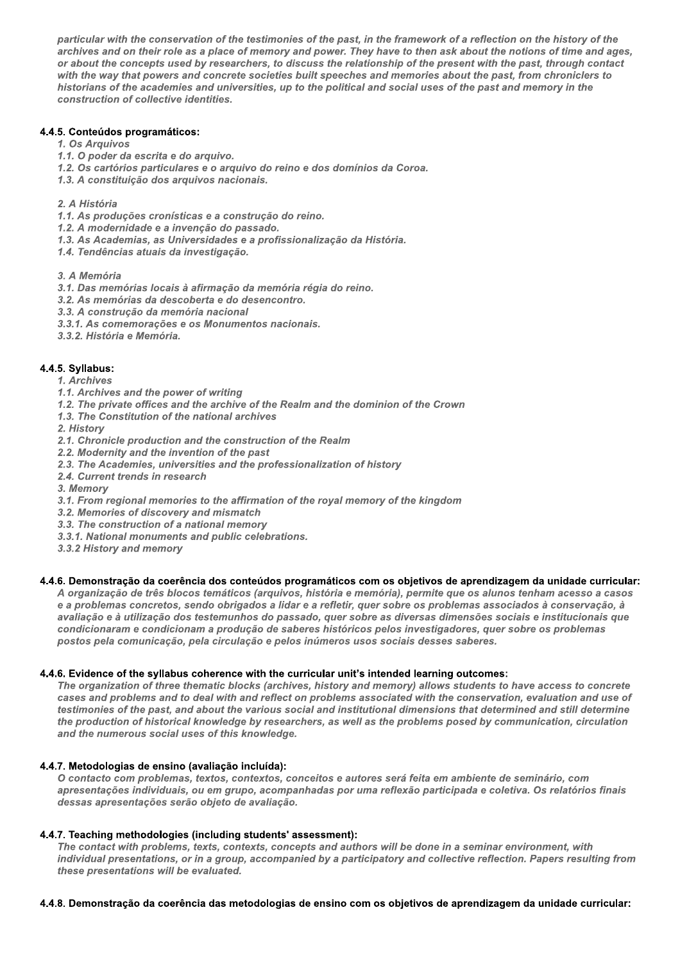particular with the conservation of the testimonies of the past, in the framework of a reflection on the history of the archives and on their role as a place of memory and power. They have to then ask about the notions of time and ages, or about the concepts used by researchers, to discuss the relationship of the present with the past, through contact with the way that powers and concrete societies built speeches and memories about the past, from chroniclers to historians of the academies and universities, up to the political and social uses of the past and memory in the construction of collective identities.

## 4.4.5. Conteúdos programáticos:

- 1. Os Arquivos
- 1.1. O poder da escrita e do arquivo.
- 1.2. Os cartórios particulares e o arquivo do reino e dos domínios da Coroa.
- 1.3. A constituição dos arquivos nacionais.
- 2. A História
- 1.1. As produções cronísticas e a construção do reino.
- 1.2. A modernidade e a invenção do passado.
- 1.3. As Academias, as Universidades e a profissionalização da História.
- 1.4. Tendências atuais da investigação.
- 3. A Memória
- 3.1. Das memórias locais à afirmação da memória régia do reino.
- 3.2. As memórias da descoberta e do desencontro.
- 3.3. A construção da memória nacional
- 3.3.1. As comemorações e os Monumentos nacionais.
- 3.3.2. História e Memória.

## 4.4.5. Syllabus:

- 1. Archives
- 1.1. Archives and the power of writing
- 1.2. The private offices and the archive of the Realm and the dominion of the Crown
- 1.3. The Constitution of the national archives
- 2. History
- 2.1. Chronicle production and the construction of the Realm
- 2.2. Modernity and the invention of the past
- 2.3. The Academies, universities and the professionalization of history
- 2.4. Current trends in research
- 3. Memory
- 3.1. From regional memories to the affirmation of the royal memory of the kingdom
- 3.2. Memories of discovery and mismatch
- 3.3. The construction of a national memory
- 3.3.1. National monuments and public celebrations.
- 3.3.2 History and memory

## 4.4.6. Demonstração da coerência dos conteúdos programáticos com os objetivos de aprendizagem da unidade curricular:

A organização de três blocos temáticos (arquivos, história e memória), permite que os alunos tenham acesso a casos e a problemas concretos, sendo obrigados a lidar e a refletir, quer sobre os problemas associados à conservação, à avaliação e à utilização dos testemunhos do passado, quer sobre as diversas dimensões sociais e institucionais que condicionaram e condicionam a produção de saberes históricos pelos investigadores, quer sobre os problemas postos pela comunicação, pela circulação e pelos inúmeros usos sociais desses saberes.

## 4.4.6. Evidence of the syllabus coherence with the curricular unit's intended learning outcomes:

The organization of three thematic blocks (archives, history and memory) allows students to have access to concrete cases and problems and to deal with and reflect on problems associated with the conservation, evaluation and use of testimonies of the past, and about the various social and institutional dimensions that determined and still determine the production of historical knowledge by researchers, as well as the problems posed by communication, circulation and the numerous social uses of this knowledge.

## 4.4.7. Metodologias de ensino (avaliação incluída):

O contacto com problemas, textos, contextos, conceitos e autores será feita em ambiente de seminário, com apresentações individuais, ou em grupo, acompanhadas por uma reflexão participada e coletiva. Os relatórios finais dessas apresentações serão objeto de avaliação.

## 4.4.7. Teaching methodologies (including students' assessment):

The contact with problems, texts, contexts, concepts and authors will be done in a seminar environment, with individual presentations, or in a group, accompanied by a participatory and collective reflection. Papers resulting from these presentations will be evaluated.

#### 4.4.8. Demonstração da coerência das metodologias de ensino com os objetivos de aprendizagem da unidade curricular: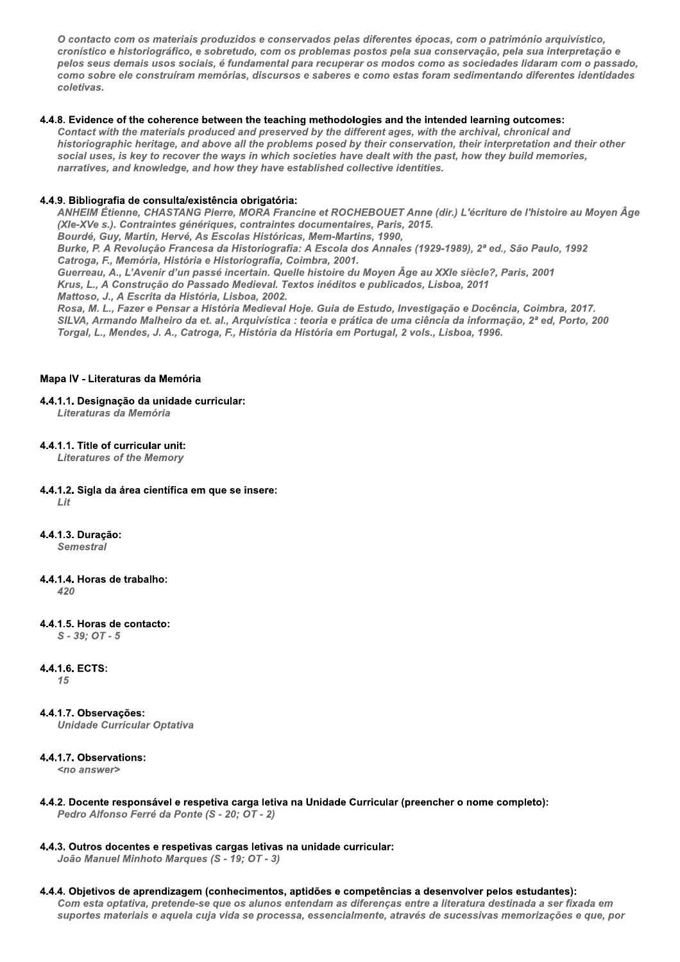O contacto com os materiais produzidos e conservados pelas diferentes épocas, com o património arquivístico, cronístico e historiográfico, e sobretudo, com os problemas postos pela sua conservação, pela sua interpretação e pelos seus demais usos sociais, é fundamental para recuperar os modos como as sociedades lidaram com o passado, como sobre ele construíram memórias, discursos e saberes e como estas foram sedimentando diferentes identidades coletivas.

## 4.4.8. Evidence of the coherence between the teaching methodologies and the intended learning outcomes:

Contact with the materials produced and preserved by the different ages, with the archival, chronical and historiographic heritage, and above all the problems posed by their conservation, their interpretation and their other social uses, is key to recover the ways in which societies have dealt with the past, how they build memories, narratives, and knowledge, and how they have established collective identities.

## 4.4.9. Bibliografia de consulta/existência obrigatória:

ANHEIM Étienne, CHASTANG Pierre, MORA Francine et ROCHEBOUET Anne (dir.) L'écriture de l'histoire au Moyen Âge (XIe-XVe s.). Contraintes génériques, contraintes documentaires, Paris, 2015.

Bourdé, Guy, Martin, Hervé, As Escolas Históricas, Mem-Martins, 1990, Burke, P. A Revolução Francesa da Historiografia: A Escola dos Annales (1929-1989), 2ª ed., São Paulo, 1992

Catroga. F., Memória, História e Historiografia, Coimbra, 2001.

Guerreau, A., L'Avenir d'un passé incertain. Quelle histoire du Moyen Âge au XXIe siècle?, Paris, 2001 Krus, L., A Construção do Passado Medieval. Textos inéditos e publicados, Lisboa, 2011

Mattoso, J., A Escrita da História, Lisboa, 2002.

Rosa. M. L.. Fazer e Pensar a História Medieval Hoje. Guia de Estudo, Investigação e Docência, Coimbra, 2017. SILVA, Armando Malheiro da et. al., Arguivística : teoria e prática de uma ciência da informação, 2ª ed, Porto, 200 Torgal, L., Mendes, J. A., Catroga, F., História da História em Portugal, 2 vols., Lisboa, 1996.

## Mapa IV - Literaturas da Memória

## 4.4.1.1. Designação da unidade curricular:

Literaturas da Memória

## 4.4.1.1. Title of curricular unit:

**Literatures of the Memory** 

#### 4.4.1.2. Sigla da área científica em que se insere:  $\int$  if

- 4.4.1.3. Duração:
	- Semestral

# 4.4.1.4. Horas de trabalho:

 $420$ 

# 4.4.1.5. Horas de contacto:

 $S - 39: OT - 5$ 

## 4.4.1.6. ECTS:

15

## 4.4.1.7. Observações:

**Unidade Curricular Optativa** 

## 4.4.1.7. Observations:

<no answer>

- 4.4.2. Docente responsável e respetiva carga letiva na Unidade Curricular (preencher o nome completo): Pedro Alfonso Ferré da Ponte (S - 20; OT - 2)
- 4.4.3. Outros docentes e respetivas cargas letivas na unidade curricular: João Manuel Minhoto Marques (S - 19; OT - 3)
- 4.4.4. Objetivos de aprendizagem (conhecimentos, aptidões e competências a desenvolver pelos estudantes): Com esta optativa, pretende-se que os alunos entendam as diferenças entre a literatura destinada a ser fixada em suportes materiais e aquela cuja vida se processa, essencialmente, através de sucessivas memorizações e que, por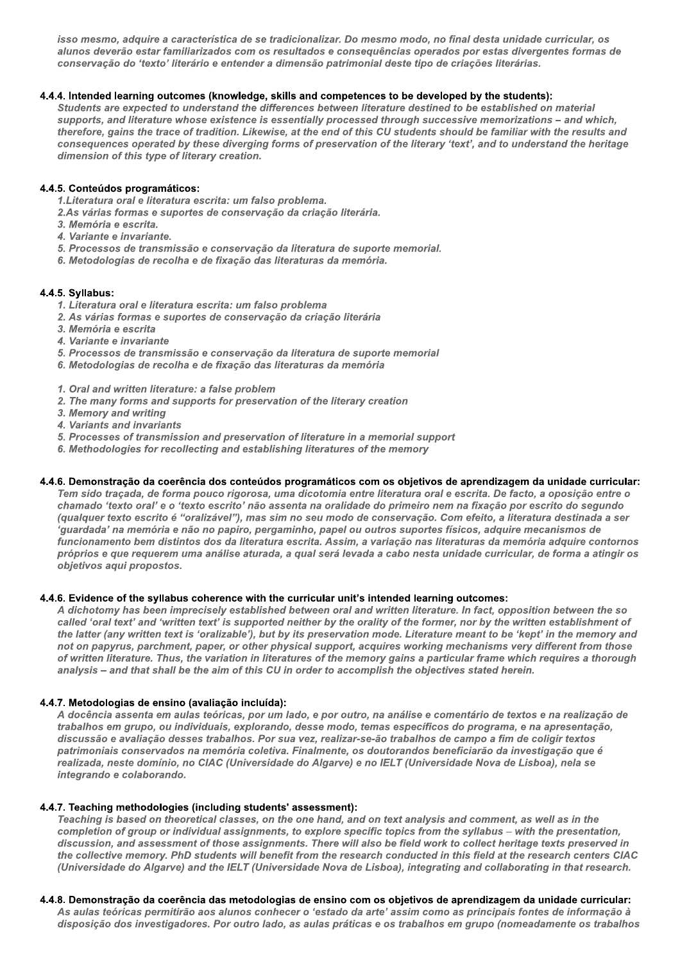isso mesmo, adquire a característica de se tradicionalizar. Do mesmo modo, no final desta unidade curricular, os alunos deverão estar familiarizados com os resultados e consequências operados por estas divergentes formas de conservação do 'texto' literário e entender a dimensão patrimonial deste tipo de criações literárias.

## 4.4.4. Intended learning outcomes (knowledge, skills and competences to be developed by the students):

Students are expected to understand the differences between literature destined to be established on material supports, and literature whose existence is essentially processed through successive memorizations - and which, therefore, gains the trace of tradition. Likewise, at the end of this CU students should be familiar with the results and consequences operated by these diverging forms of preservation of the literary 'text', and to understand the heritage dimension of this type of literary creation.

## 4.4.5. Conteúdos programáticos:

1. Literatura oral e literatura escrita: um falso problema.

- 2.As várias formas e suportes de conservação da criação literária.
- 3. Memória e escrita.
- 4. Variante e invariante.
- 5. Processos de transmissão e conservação da literatura de suporte memorial.
- 6. Metodologias de recolha e de fixação das literaturas da memória.

## 4.4.5. Syllabus:

- 1. Literatura oral e literatura escrita: um falso problema
- 2. As várias formas e suportes de conservação da criação literária
- 3. Memória e escrita
- 4. Variante e invariante
- 5. Processos de transmissão e conservação da literatura de suporte memorial
- 6. Metodologias de recolha e de fixação das literaturas da memória
- 1. Oral and written literature: a false problem
- 2. The many forms and supports for preservation of the literary creation
- 3. Memory and writing
- 4. Variants and invariants
- 5. Processes of transmission and preservation of literature in a memorial support
- 6. Methodologies for recollecting and establishing literatures of the memory

## 4.4.6. Demonstração da coerência dos conteúdos programáticos com os objetivos de aprendizagem da unidade curricular:

Tem sido traçada, de forma pouco rigorosa, uma dicotomia entre literatura oral e escrita. De facto, a oposição entre o chamado 'texto oral' e o 'texto escrito' não assenta na oralidade do primeiro nem na fixação por escrito do segundo (qualquer texto escrito é "oralizável"), mas sim no seu modo de conservação. Com efeito, a literatura destinada a ser 'guardada' na memória e não no papiro, pergaminho, papel ou outros suportes físicos, adquire mecanismos de funcionamento bem distintos dos da literatura escrita. Assim, a variação nas literaturas da memória adquire contornos próprios e que requerem uma análise aturada, a qual será levada a cabo nesta unidade curricular, de forma a atingir os objetivos aqui propostos.

## 4.4.6. Evidence of the syllabus coherence with the curricular unit's intended learning outcomes:

A dichotomy has been imprecisely established between oral and written literature. In fact, opposition between the so called 'oral text' and 'written text' is supported neither by the orality of the former, nor by the written establishment of the latter (any written text is 'oralizable'), but by its preservation mode. Literature meant to be 'kept' in the memory and not on papyrus, parchment, paper, or other physical support, acquires working mechanisms very different from those of written literature. Thus, the variation in literatures of the memory gains a particular frame which requires a thorough analysis - and that shall be the aim of this CU in order to accomplish the objectives stated herein.

## 4.4.7. Metodologias de ensino (avaliação incluída):

A docência assenta em aulas teóricas, por um lado, e por outro, na análise e comentário de textos e na realização de trabalhos em grupo, ou individuais, explorando, desse modo, temas específicos do programa, e na apresentação, discussão e avaliação desses trabalhos. Por sua vez, realizar-se-ão trabalhos de campo a fim de coligir textos patrimoniais conservados na memória coletiva. Finalmente, os doutorandos beneficiarão da investigação que é realizada, neste domínio, no CIAC (Universidade do Algarve) e no IELT (Universidade Nova de Lisboa), nela se integrando e colaborando.

## 4.4.7. Teaching methodologies (including students' assessment):

Teaching is based on theoretical classes, on the one hand, and on text analysis and comment, as well as in the completion of group or individual assignments, to explore specific topics from the syllabus - with the presentation, discussion, and assessment of those assignments. There will also be field work to collect heritage texts preserved in the collective memory. PhD students will benefit from the research conducted in this field at the research centers CIAC (Universidade do Algarve) and the IELT (Universidade Nova de Lisboa), integrating and collaborating in that research.

## 4.4.8. Demonstração da coerência das metodologias de ensino com os objetivos de aprendizagem da unidade curricular:

As aulas teóricas permitirão aos alunos conhecer o 'estado da arte' assim como as principais fontes de informação à disposição dos investigadores. Por outro lado, as aulas práticas e os trabalhos em grupo (nomeadamente os trabalhos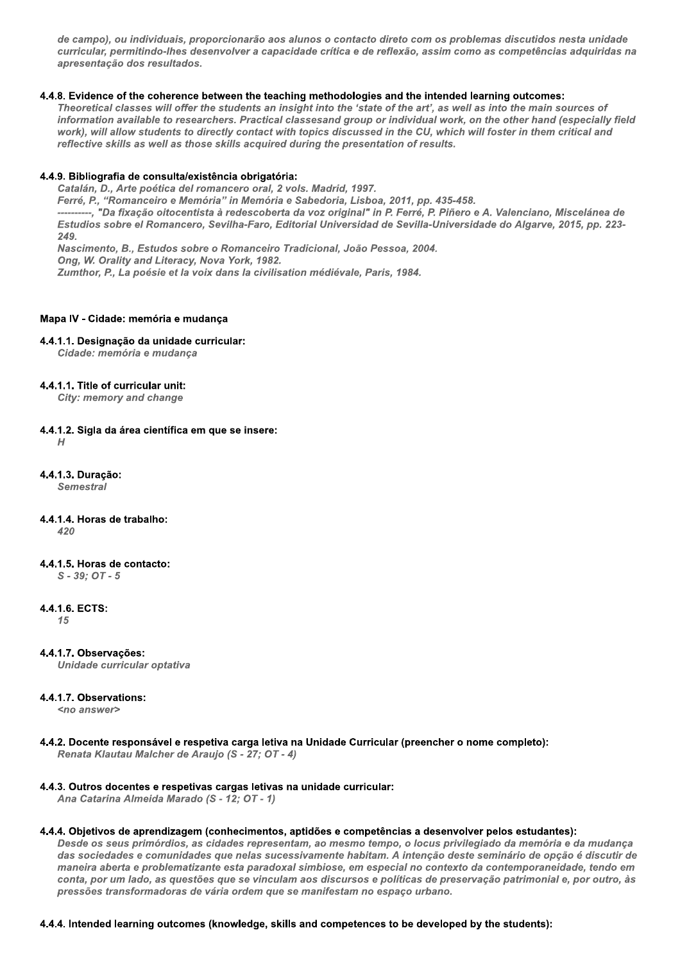de campo), ou individuais, proporcionarão aos alunos o contacto direto com os problemas discutidos nesta unidade curricular, permitindo-lhes desenvolver a capacidade crítica e de reflexão, assim como as competências adquiridas na apresentação dos resultados.

## 4.4.8. Evidence of the coherence between the teaching methodologies and the intended learning outcomes:

Theoretical classes will offer the students an insight into the 'state of the art', as well as into the main sources of information available to researchers. Practical classesand group or individual work, on the other hand (especially field work), will allow students to directly contact with topics discussed in the CU, which will foster in them critical and reflective skills as well as those skills acquired during the presentation of results.

#### 4.4.9. Bibliografia de consulta/existência obrigatória:

Catalán, D., Arte poética del romancero oral, 2 vols. Madrid, 1997.

Ferré, P., "Romanceiro e Memória" in Memória e Sabedoria, Lisboa, 2011, pp. 435-458.

----------, "Da fixação oitocentista à redescoberta da voz original" in P. Ferré, P. Piñero e A. Valenciano, Miscelánea de Estudios sobre el Romancero, Sevilha-Faro, Editorial Universidad de Sevilla-Universidade do Algarve, 2015, pp. 223-249

Nascimento, B., Estudos sobre o Romanceiro Tradicional, João Pessoa, 2004. Ong, W. Orality and Literacy, Nova York, 1982. Zumthor, P., La poésie et la voix dans la civilisation médiévale, Paris, 1984.

#### Mapa IV - Cidade: memória e mudança

## 4.4.1.1. Designação da unidade curricular:

Cidade: memória e mudança

## 4.4.1.1. Title of curricular unit:

City: memory and change

#### 4.4.1.2. Sigla da área científica em que se insere:  $H$

- 4.4.1.3. Duração: **Semestral**
- 4.4.1.4. Horas de trabalho:

 $420$ 

4.4.1.5. Horas de contacto:

 $S - 39; OT - 5$ 

4.4.1.6. ECTS:

 $15$ 

4.4.1.7. Observações: Unidade curricular optativa

## 4.4.1.7. Observations:

 $\langle$ no answer $\rangle$ 

#### 4.4.2. Docente responsável e respetiva carga letiva na Unidade Curricular (preencher o nome completo): Renata Klautau Malcher de Araujo (S - 27; OT - 4)

## 4.4.3. Outros docentes e respetivas cargas letivas na unidade curricular:

Ana Catarina Almeida Marado (S - 12; OT - 1)

## 4.4.4. Objetivos de aprendizagem (conhecimentos, aptidões e competências a desenvolver pelos estudantes):

Desde os seus primórdios, as cidades representam, ao mesmo tempo, o locus privilegiado da memória e da mudança das sociedades e comunidades que nelas sucessivamente habitam. A intenção deste seminário de opção é discutir de maneira aberta e problematizante esta paradoxal simbiose, em especial no contexto da contemporaneidade, tendo em conta, por um lado, as questões que se vinculam aos discursos e políticas de preservação patrimonial e, por outro, às pressões transformadoras de vária ordem que se manifestam no espaço urbano.

#### 4.4.4. Intended learning outcomes (knowledge, skills and competences to be developed by the students):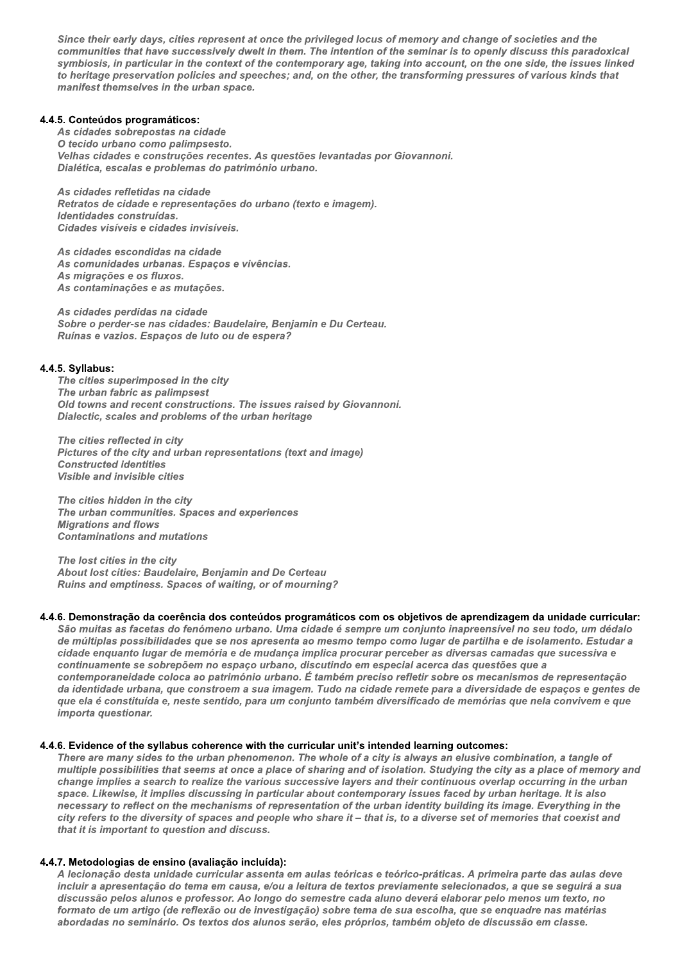Since their early days, cities represent at once the privileged locus of memory and change of societies and the communities that have successively dwelt in them. The intention of the seminar is to openly discuss this paradoxical symbiosis, in particular in the context of the contemporary age, taking into account, on the one side, the issues linked to heritage preservation policies and speeches; and, on the other, the transforming pressures of various kinds that manifest themselves in the urban space.

## 4.4.5. Conteúdos programáticos:

As cidades sobrepostas na cidade O tecido urbano como palimpsesto. Velhas cidades e construções recentes. As questões levantadas por Giovannoni. Dialética, escalas e problemas do património urbano.

As cidades refletidas na cidade Retratos de cidade e representações do urbano (texto e imagem). Identidades construídas. Cidades visíveis e cidades invisíveis.

As cidades escondidas na cidade As comunidades urbanas. Espaços e vivências. As migrações e os fluxos. As contaminações e as mutações.

As cidades perdidas na cidade Sobre o perder-se nas cidades: Baudelaire, Benjamin e Du Certeau. Ruínas e vazios. Espaços de luto ou de espera?

#### 4.4.5. Syllabus:

The cities superimposed in the city The urban fabric as palimpsest Old towns and recent constructions. The issues raised by Giovannoni. Dialectic, scales and problems of the urban heritage

The cities reflected in city Pictures of the city and urban representations (text and image) **Constructed identities** Visible and invisible cities

The cities hidden in the city The urban communities. Spaces and experiences **Migrations and flows Contaminations and mutations** 

The lost cities in the city About lost cities: Baudelaire, Benjamin and De Certeau Ruins and emptiness. Spaces of waiting, or of mourning?

#### 4.4.6. Demonstração da coerência dos conteúdos programáticos com os objetivos de aprendizagem da unidade curricular:

São muitas as facetas do fenómeno urbano. Uma cidade é sempre um conjunto inapreensível no seu todo, um dédalo de múltiplas possibilidades que se nos apresenta ao mesmo tempo como lugar de partilha e de isolamento. Estudar a cidade enquanto lugar de memória e de mudança implica procurar perceber as diversas camadas que sucessiva e continuamente se sobrepõem no espaço urbano, discutindo em especial acerca das questões que a contemporaneidade coloca ao património urbano. É também preciso refletir sobre os mecanismos de representação da identidade urbana, que constroem a sua imagem. Tudo na cidade remete para a diversidade de espaços e gentes de que ela é constituída e, neste sentido, para um conjunto também diversificado de memórias que nela convivem e que importa questionar.

#### 4.4.6. Evidence of the syllabus coherence with the curricular unit's intended learning outcomes:

There are many sides to the urban phenomenon. The whole of a city is always an elusive combination, a tangle of multiple possibilities that seems at once a place of sharing and of isolation. Studying the city as a place of memory and change implies a search to realize the various successive layers and their continuous overlap occurring in the urban space. Likewise, it implies discussing in particular about contemporary issues faced by urban heritage. It is also necessary to reflect on the mechanisms of representation of the urban identity building its image. Everything in the city refers to the diversity of spaces and people who share it - that is, to a diverse set of memories that coexist and that it is important to question and discuss.

#### 4.4.7. Metodologias de ensino (avaliação incluída):

A lecionação desta unidade curricular assenta em aulas teóricas e teórico-práticas. A primeira parte das aulas deve incluir a apresentação do tema em causa, e/ou a leitura de textos previamente selecionados, a que se seguirá a sua discussão pelos alunos e professor. Ao longo do semestre cada aluno deverá elaborar pelo menos um texto, no formato de um artigo (de reflexão ou de investigação) sobre tema de sua escolha, que se enquadre nas matérias abordadas no seminário. Os textos dos alunos serão, eles próprios, também objeto de discussão em classe.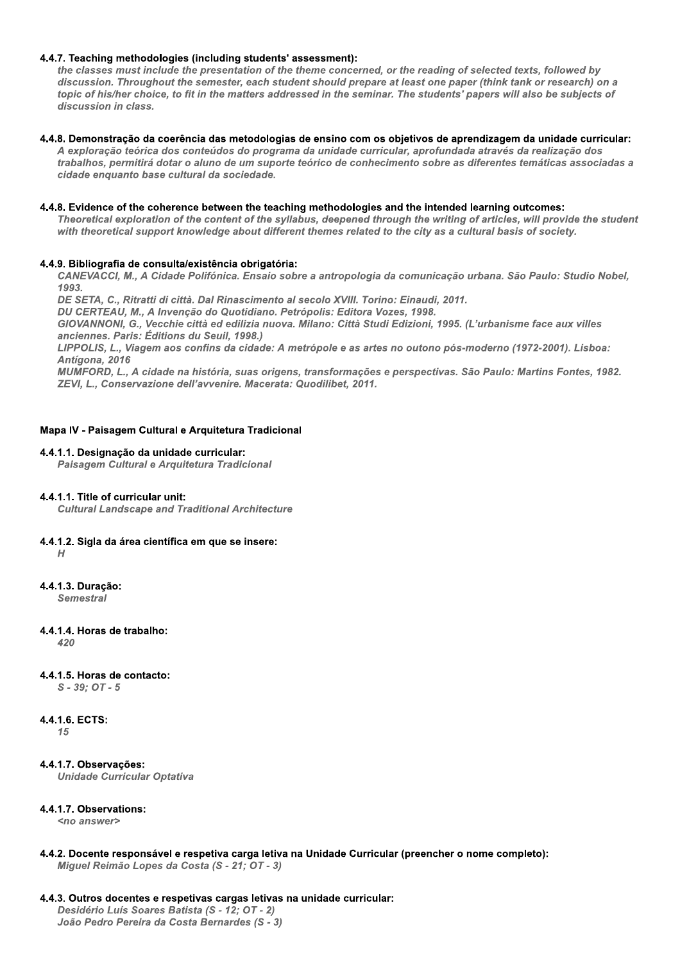## 4.4.7. Teaching methodologies (including students' assessment):

the classes must include the presentation of the theme concerned, or the reading of selected texts, followed by discussion. Throughout the semester, each student should prepare at least one paper (think tank or research) on a topic of his/her choice, to fit in the matters addressed in the seminar. The students' papers will also be subjects of discussion in class.

#### 4.4.8. Demonstração da coerência das metodologias de ensino com os objetivos de aprendizagem da unidade curricular:

A exploração teórica dos conteúdos do programa da unidade curricular, aprofundada através da realização dos trabalhos, permitirá dotar o aluno de um suporte teórico de conhecimento sobre as diferentes temáticas associadas a cidade enquanto base cultural da sociedade.

#### 4.4.8. Evidence of the coherence between the teaching methodologies and the intended learning outcomes:

Theoretical exploration of the content of the syllabus, deepened through the writing of articles, will provide the student with theoretical support knowledge about different themes related to the city as a cultural basis of society.

## 4.4.9. Bibliografia de consulta/existência obrigatória:

CANEVACCI, M., A Cidade Polifónica. Ensaio sobre a antropologia da comunicação urbana. São Paulo: Studio Nobel, 1993

DE SETA, C., Ritratti di città. Dal Rinascimento al secolo XVIII. Torino: Einaudi, 2011.

DU CERTEAU, M., A Invenção do Quotidiano. Petrópolis: Editora Vozes, 1998.

GIOVANNONI, G., Vecchie città ed edilizia nuova. Milano: Città Studi Edizioni, 1995. (L'urbanisme face aux villes anciennes. Paris: Éditions du Seuil, 1998.)

LIPPOLIS, L., Viagem aos confins da cidade: A metrópole e as artes no outono pós-moderno (1972-2001). Lisboa: Antígona, 2016

MUMFORD, L., A cidade na história, suas origens, transformações e perspectivas. São Paulo: Martins Fontes, 1982. ZEVI, L., Conservazione dell'avvenire. Macerata: Quodilibet, 2011.

## Mapa IV - Paisagem Cultural e Arquitetura Tradicional

#### 4.4.1.1. Designação da unidade curricular:

Paisagem Cultural e Arquitetura Tradicional

## 4.4.1.1. Title of curricular unit:

**Cultural Landscape and Traditional Architecture** 

## 4.4.1.2. Sigla da área científica em que se insere:

 $H$ 

4.4.1.3. Duracão: **Semestral** 

4.4.1.4. Horas de trabalho:

 $420$ 

## 4.4.1.5. Horas de contacto:

 $S - 39: OT - 5$ 

## 4.4.1.6. ECTS:

15

4.4.1.7. Observações: **Unidade Curricular Optativa** 

## 4.4.1.7. Observations:

<no answer>

4.4.2. Docente responsável e respetiva carga letiva na Unidade Curricular (preencher o nome completo): Miguel Reimão Lopes da Costa (S - 21; OT - 3)

## 4.4.3. Outros docentes e respetivas cargas letivas na unidade curricular:

Desidério Luís Soares Batista (S - 12; OT - 2) João Pedro Pereira da Costa Bernardes (S - 3)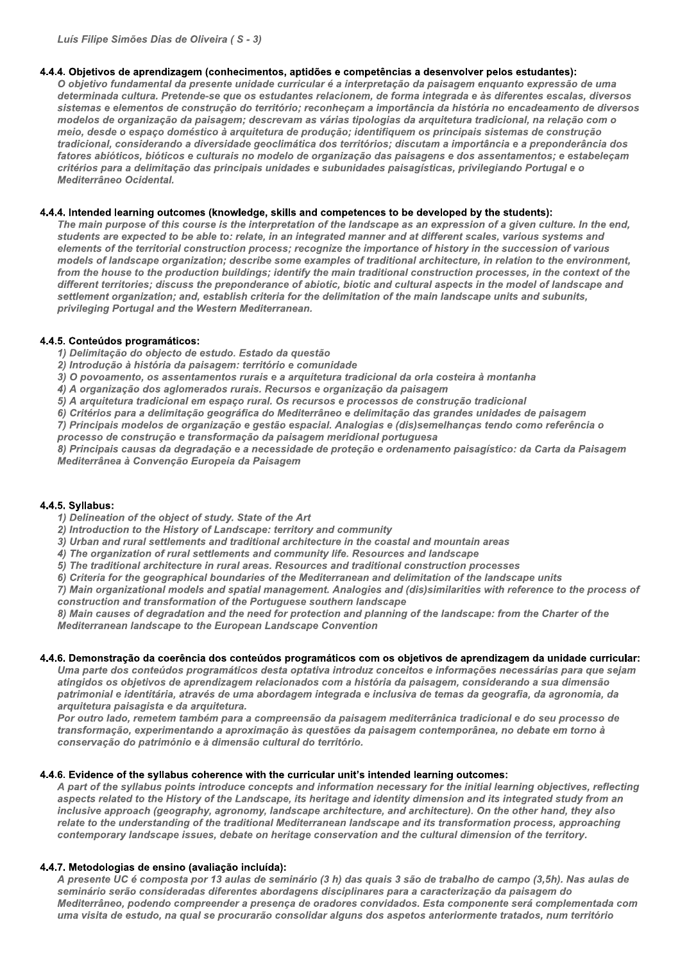## 4.4.4. Objetivos de aprendizagem (conhecimentos, aptidões e competências a desenvolver pelos estudantes):

O obietivo fundamental da presente unidade curricular é a interpretação da paisagem enquanto expressão de uma determinada cultura. Pretende-se que os estudantes relacionem, de forma integrada e às diferentes escalas, diversos sistemas e elementos de construção do território; reconheçam a importância da história no encadeamento de diversos modelos de organização da paisagem; descrevam as várias tipologias da arquitetura tradicional, na relação com o meio, desde o espaço doméstico à arquitetura de produção; identifiquem os principais sistemas de construção tradicional, considerando a diversidade geoclimática dos territórios; discutam a importância e a preponderância dos fatores abióticos, bióticos e culturais no modelo de organização das paisagens e dos assentamentos; e estabeleçam critérios para a delimitação das principais unidades e subunidades paisagísticas, privilegiando Portugal e o Mediterrâneo Ocidental.

## 4.4.4. Intended learning outcomes (knowledge, skills and competences to be developed by the students):

The main purpose of this course is the interpretation of the landscape as an expression of a given culture. In the end, students are expected to be able to: relate, in an integrated manner and at different scales, various systems and elements of the territorial construction process; recognize the importance of history in the succession of various models of landscape organization; describe some examples of traditional architecture. in relation to the environment. from the house to the production buildings; identify the main traditional construction processes, in the context of the different territories; discuss the preponderance of abiotic, biotic and cultural aspects in the model of landscape and settlement organization; and, establish criteria for the delimitation of the main landscape units and subunits, privileging Portugal and the Western Mediterranean.

## 4.4.5. Conteúdos programáticos:

1) Delimitação do objecto de estudo. Estado da questão

- 2) Introdução à história da paisagem: território e comunidade
- 3) O povoamento, os assentamentos rurais e a arquitetura tradicional da orla costeira à montanha
- 4) A organização dos aglomerados rurais. Recursos e organização da paisagem
- 5) A arquitetura tradicional em espaco rural. Os recursos e processos de construção tradicional
- 6) Critérios para a delimitação geográfica do Mediterrâneo e delimitação das grandes unidades de paisagem

7) Principais modelos de organização e gestão espacial. Analogias e (dis)semelhanças tendo como referência o processo de construção e transformação da paisagem meridional portuguesa

8) Principais causas da degradação e a necessidade de proteção e ordenamento paisagístico: da Carta da Paisagem Mediterrânea à Convenção Europeia da Paisagem

## 4.4.5. Syllabus:

1) Delineation of the object of study. State of the Art

- 2) Introduction to the History of Landscape: territory and community
- 3) Urban and rural settlements and traditional architecture in the coastal and mountain areas
- 4) The organization of rural settlements and community life. Resources and landscape
- 5) The traditional architecture in rural areas. Resources and traditional construction processes
- 6) Criteria for the geographical boundaries of the Mediterranean and delimitation of the landscape units

7) Main organizational models and spatial management. Analogies and (dis)similarities with reference to the process of construction and transformation of the Portuguese southern landscape

8) Main causes of degradation and the need for protection and planning of the landscape: from the Charter of the Mediterranean landscape to the European Landscape Convention

## 4.4.6. Demonstração da coerência dos conteúdos programáticos com os obietivos de aprendizagem da unidade curricular:

Uma parte dos conteúdos programáticos desta optativa introduz conceitos e informações necessárias para que sejam atingidos os objetivos de aprendizagem relacionados com a história da paisagem, considerando a sua dimensão patrimonial e identitária, através de uma abordagem integrada e inclusiva de temas da geografia, da agronomia, da arquitetura paisagista e da arquitetura.

Por outro lado, remetem também para a compreensão da paisagem mediterrânica tradicional e do seu processo de transformação, experimentando a aproximação às questões da paisagem contemporânea, no debate em torno à conservação do património e à dimensão cultural do território.

## 4.4.6. Evidence of the syllabus coherence with the curricular unit's intended learning outcomes:

A part of the syllabus points introduce concepts and information necessary for the initial learning objectives, reflecting aspects related to the History of the Landscape, its heritage and identity dimension and its integrated study from an inclusive approach (geography, agronomy, landscape architecture, and architecture). On the other hand, they also relate to the understanding of the traditional Mediterranean landscape and its transformation process, approaching contemporary landscape issues, debate on heritage conservation and the cultural dimension of the territory.

## 4.4.7. Metodologias de ensino (avaliação incluída):

A presente UC é composta por 13 aulas de seminário (3 h) das quais 3 são de trabalho de campo (3,5h). Nas aulas de seminário serão consideradas diferentes abordagens disciplinares para a caracterização da paisagem do Mediterrâneo, podendo compreender a presença de oradores convidados. Esta componente será complementada com uma visita de estudo, na qual se procurarão consolidar alguns dos aspetos anteriormente tratados, num território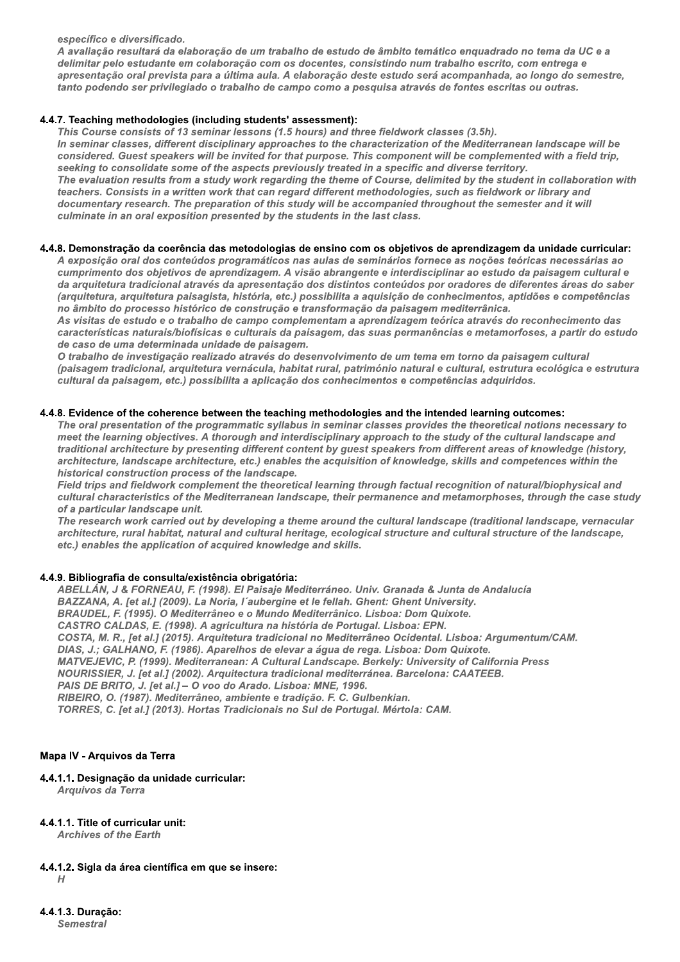específico e diversificado.

A avaliação resultará da elaboração de um trabalho de estudo de âmbito temático enquadrado no tema da UC e a delimitar pelo estudante em colaboração com os docentes, consistindo num trabalho escrito, com entrega e apresentação oral prevista para a última aula. A elaboração deste estudo será acompanhada, ao longo do semestre, tanto podendo ser privilegiado o trabalho de campo como a pesquisa através de fontes escritas ou outras.

## 4.4.7. Teaching methodologies (including students' assessment):

This Course consists of 13 seminar lessons (1.5 hours) and three fieldwork classes (3.5h). In seminar classes, different disciplinary approaches to the characterization of the Mediterranean landscape will be considered. Guest speakers will be invited for that purpose. This component will be complemented with a field trip, seeking to consolidate some of the aspects previously treated in a specific and diverse territory. The evaluation results from a study work regarding the theme of Course, delimited by the student in collaboration with teachers. Consists in a written work that can regard different methodologies, such as fieldwork or library and documentary research. The preparation of this study will be accompanied throughout the semester and it will culminate in an oral exposition presented by the students in the last class.

## 4.4.8. Demonstração da coerência das metodologias de ensino com os objetivos de aprendizagem da unidade curricular:

A exposição oral dos conteúdos programáticos nas aulas de seminários fornece as noções teóricas necessárias ao cumprimento dos objetivos de aprendizagem. A visão abrangente e interdisciplinar ao estudo da paisagem cultural e da arquitetura tradicional através da apresentação dos distintos conteúdos por oradores de diferentes áreas do saber (arquitetura, arquitetura paisagista, história, etc.) possibilita a aquisição de conhecimentos, aptidões e competências no âmbito do processo histórico de construção e transformação da paisagem mediterrânica.

As visitas de estudo e o trabalho de campo complementam a aprendizagem teórica através do reconhecimento das características naturais/biofísicas e culturais da paisagem, das suas permanências e metamorfoses, a partir do estudo de caso de uma determinada unidade de paisagem.

O trabalho de investigação realizado através do desenvolvimento de um tema em torno da paisagem cultural (paisagem tradicional, arquitetura vernácula, habitat rural, património natural e cultural, estrutura ecológica e estrutura cultural da paisagem, etc.) possibilita a aplicação dos conhecimentos e competências adquiridos.

## 4.4.8. Evidence of the coherence between the teaching methodologies and the intended learning outcomes:

The oral presentation of the programmatic syllabus in seminar classes provides the theoretical notions necessary to meet the learning objectives. A thorough and interdisciplinary approach to the study of the cultural landscape and traditional architecture by presenting different content by quest speakers from different areas of knowledge (history, architecture, landscape architecture, etc.) enables the acquisition of knowledge, skills and competences within the historical construction process of the landscape.

Field trips and fieldwork complement the theoretical learning through factual recognition of natural/biophysical and cultural characteristics of the Mediterranean landscape, their permanence and metamorphoses, through the case study of a particular landscape unit.

The research work carried out by developing a theme around the cultural landscape (traditional landscape, vernacular architecture, rural habitat, natural and cultural heritage, ecological structure and cultural structure of the landscape, etc.) enables the application of acquired knowledge and skills.

## 4.4.9. Bibliografia de consulta/existência obrigatória:

ABELLÁN, J & FORNEAU, F. (1998). El Paisaje Mediterráneo. Univ. Granada & Junta de Andalucía BAZZANA, A. [et al.] (2009). La Noria, l'aubergine et le fellah. Ghent: Ghent University. BRAUDEL, F. (1995). O Mediterrâneo e o Mundo Mediterrânico. Lisboa: Dom Quixote. CASTRO CALDAS, E. (1998). A agricultura na história de Portugal. Lisboa: EPN. COSTA, M. R., [et al.] (2015). Arquitetura tradicional no Mediterrâneo Ocidental. Lisboa: Argumentum/CAM. DIAS, J.; GALHANO, F. (1986). Aparelhos de elevar a água de rega. Lisboa: Dom Quixote. MATVEJEVIC, P. (1999). Mediterranean: A Cultural Landscape. Berkely: University of California Press NOURISSIER, J. [et al.] (2002). Arquitectura tradicional mediterránea. Barcelona: CAATEEB. PAIS DE BRITO, J. [et al.] - O voo do Arado. Lisboa: MNE, 1996. RIBEIRO, O. (1987). Mediterrâneo, ambiente e tradição. F. C. Gulbenkian. TORRES, C. [et al.] (2013). Hortas Tradicionais no Sul de Portugal. Mértola: CAM.

## Mapa IV - Arquivos da Terra

## 4.4.1.1. Designação da unidade curricular:

Arquivos da Terra

## 4.4.1.1. Title of curricular unit:

**Archives of the Earth** 

4.4.1.2. Sigla da área científica em que se insere:

 $H$ 

4.4.1.3. Duração: **Semestral**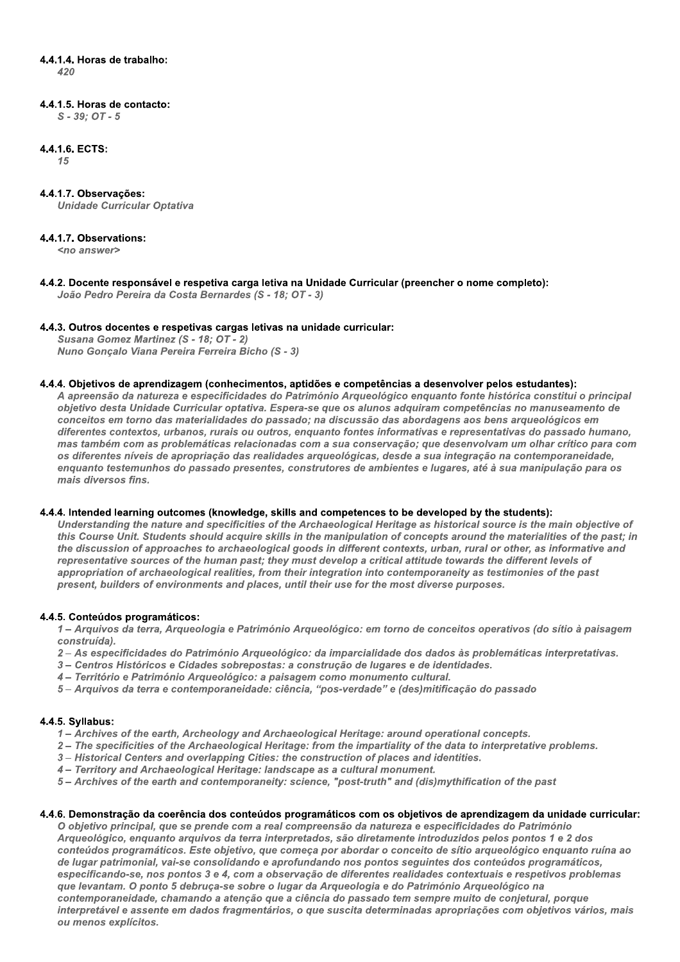## 4.4.1.4. Horas de trabalho:

420

## 4.4.1.5. Horas de contacto:

 $S - 39: OT - 5$ 

## 4.4.1.6. ECTS:

 $15$ 

## 4.4.1.7. Observações:

**Unidade Curricular Optativa** 

## 4.4.1.7. Observations:

<no answer>

4.4.2. Docente responsável e respetiva carga letiva na Unidade Curricular (preencher o nome completo): João Pedro Pereira da Costa Bernardes (S - 18; OT - 3)

## 4.4.3. Outros docentes e respetivas cargas letivas na unidade curricular:

Susana Gomez Martinez (S - 18; OT - 2) Nuno Gonçalo Viana Pereira Ferreira Bicho (S - 3)

#### 4.4.4. Objetivos de aprendizagem (conhecimentos, aptidões e competências a desenvolver pelos estudantes):

A apreensão da natureza e especificidades do Património Arqueológico enquanto fonte histórica constitui o principal objetivo desta Unidade Curricular optativa. Espera-se que os alunos adquiram competências no manuseamento de conceitos em torno das materialidades do passado; na discussão das abordagens aos bens arqueológicos em diferentes contextos, urbanos, rurais ou outros, enquanto fontes informativas e representativas do passado humano, mas também com as problemáticas relacionadas com a sua conservação; que desenvolvam um olhar crítico para com os diferentes níveis de apropriação das realidades arqueológicas, desde a sua integração na contemporaneidade, enquanto testemunhos do passado presentes, construtores de ambientes e lugares, até à sua manipulação para os mais diversos fins

## 4.4.4. Intended learning outcomes (knowledge, skills and competences to be developed by the students):

Understanding the nature and specificities of the Archaeological Heritage as historical source is the main objective of this Course Unit. Students should acquire skills in the manipulation of concepts around the materialities of the past; in the discussion of approaches to archaeological goods in different contexts, urban, rural or other, as informative and representative sources of the human past; they must develop a critical attitude towards the different levels of appropriation of archaeological realities, from their integration into contemporaneity as testimonies of the past present, builders of environments and places, until their use for the most diverse purposes.

## 4.4.5. Conteúdos programáticos:

1- Arquivos da terra, Arqueologia e Património Arqueológico: em torno de conceitos operativos (do sítio à paisagem construída).

- 2- As especificidades do Património Arqueológico: da imparcialidade dos dados às problemáticas interpretativas.
- 3- Centros Históricos e Cidades sobrepostas: a construção de lugares e de identidades.
- 4- Território e Património Arqueológico: a paisagem como monumento cultural.
- 5-Arquivos da terra e contemporaneidade: ciência, "pos-verdade" e (des)mitificação do passado

## 4.4.5. Syllabus:

- 1- Archives of the earth, Archeology and Archaeological Heritage: around operational concepts.
- 2 The specificities of the Archaeological Heritage: from the impartiality of the data to interpretative problems.
- 3 Historical Centers and overlapping Cities: the construction of places and identities.
- 4 Territory and Archaeological Heritage: landscape as a cultural monument.
- 5 Archives of the earth and contemporaneity: science, "post-truth" and (dis)mythification of the past

## 4.4.6. Demonstração da coerência dos conteúdos programáticos com os objetivos de aprendizagem da unidade curricular:

O objetivo principal, que se prende com a real compreensão da natureza e especificidades do Património Arqueológico, enquanto arquivos da terra interpretados, são diretamente introduzidos pelos pontos 1 e 2 dos conteúdos programáticos. Este objetivo, que começa por abordar o conceito de sítio arqueológico enquanto ruína ao de lugar patrimonial, vai-se consolidando e aprofundando nos pontos seguintes dos conteúdos programáticos, especificando-se, nos pontos 3 e 4, com a observação de diferentes realidades contextuais e respetivos problemas que levantam. O ponto 5 debruça-se sobre o lugar da Arqueologia e do Património Arqueológico na contemporaneidade, chamando a atenção que a ciência do passado tem sempre muito de conietural, porque interpretável e assente em dados fragmentários, o que suscita determinadas apropriações com objetivos vários, mais ou menos explícitos.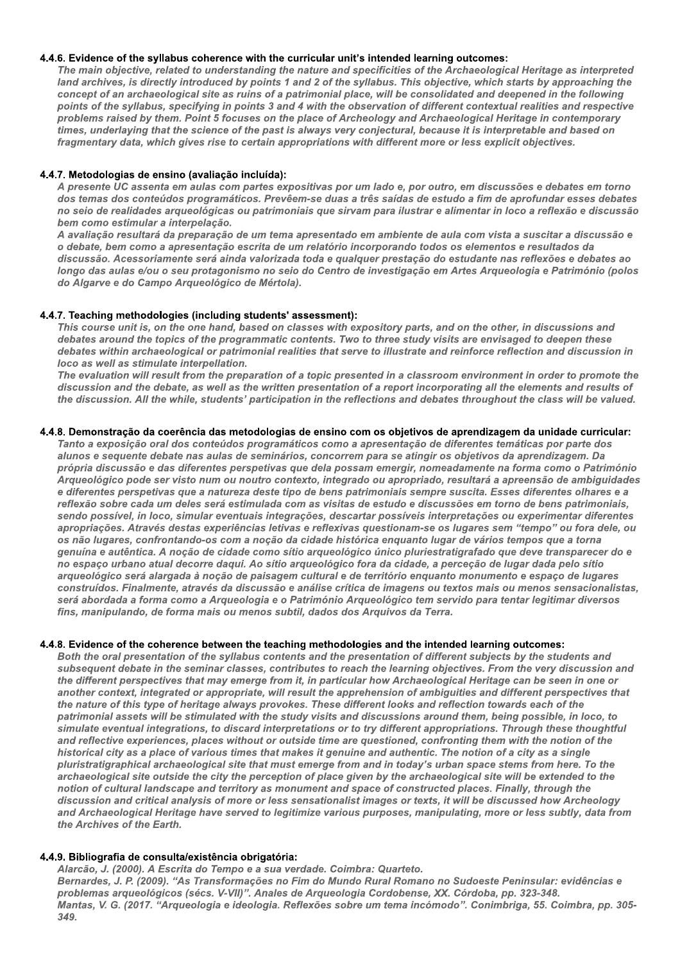## 4.4.6. Evidence of the syllabus coherence with the curricular unit's intended learning outcomes:

The main objective, related to understanding the nature and specificities of the Archaeological Heritage as interpreted land archives, is directly introduced by points 1 and 2 of the syllabus. This objective, which starts by approaching the concept of an archaeological site as ruins of a patrimonial place, will be consolidated and deepened in the following points of the syllabus, specifying in points 3 and 4 with the observation of different contextual realities and respective problems raised by them. Point 5 focuses on the place of Archeology and Archaeological Heritage in contemporary times, underlaying that the science of the past is always very conjectural, because it is interpretable and based on fragmentary data, which gives rise to certain appropriations with different more or less explicit objectives.

#### 4.4.7. Metodologias de ensino (avaliação incluída):

A presente UC assenta em aulas com partes expositivas por um lado e, por outro, em discussões e debates em torno dos temas dos conteúdos programáticos. Prevêem-se duas a três saídas de estudo a fim de aprofundar esses debates no seio de realidades arqueológicas ou patrimoniais que sirvam para ilustrar e alimentar in loco a reflexão e discussão bem como estimular a interpelação.

A avaliação resultará da preparação de um tema apresentado em ambiente de aula com vista a suscitar a discussão e o debate, bem como a apresentação escrita de um relatório incorporando todos os elementos e resultados da discussão. Acessoriamente será ainda valorizada toda e qualquer prestação do estudante nas reflexões e debates ao longo das aulas e/ou o seu protagonismo no seio do Centro de investigação em Artes Argueologia e Património (polos do Algarve e do Campo Arqueológico de Mértola).

#### 4.4.7. Teaching methodologies (including students' assessment):

This course unit is, on the one hand, based on classes with expository parts, and on the other, in discussions and debates around the topics of the programmatic contents. Two to three study visits are envisaged to deepen these debates within archaeological or patrimonial realities that serve to illustrate and reinforce reflection and discussion in loco as well as stimulate interpellation.

The evaluation will result from the preparation of a topic presented in a classroom environment in order to promote the discussion and the debate, as well as the written presentation of a report incorporating all the elements and results of the discussion. All the while, students' participation in the reflections and debates throughout the class will be valued.

#### 4.4.8. Demonstração da coerência das metodologias de ensino com os objetivos de aprendizagem da unidade curricular:

Tanto a exposição oral dos conteúdos programáticos como a apresentação de diferentes temáticas por parte dos alunos e sequente debate nas aulas de seminários, concorrem para se atingir os objetivos da aprendizagem. Da própria discussão e das diferentes perspetivas que dela possam emergir, nomeadamente na forma como o Património Arqueológico pode ser visto num ou noutro contexto, integrado ou apropriado, resultará a apreensão de ambiguidades e diferentes perspetivas que a natureza deste tipo de bens patrimoniais sempre suscita. Esses diferentes olhares e a reflexão sobre cada um deles será estimulada com as visitas de estudo e discussões em torno de bens patrimoniais, sendo possível, in loco, simular eventuais integrações, descartar possíveis interpretações ou experimentar diferentes apropriações. Através destas experiências letivas e reflexivas questionam-se os lugares sem "tempo" ou fora dele, ou os não lugares, confrontando-os com a noção da cidade histórica enquanto lugar de vários tempos que a torna genuína e autêntica. A noção de cidade como sítio arqueológico único pluriestratigrafado que deve transparecer do e no espaço urbano atual decorre daqui. Ao sítio arqueológico fora da cidade, a perceção de lugar dada pelo sítio arqueológico será alargada à noção de paisagem cultural e de território enquanto monumento e espaço de lugares construídos. Finalmente, através da discussão e análise crítica de imagens ou textos mais ou menos sensacionalistas, será abordada a forma como a Arqueologia e o Património Arqueológico tem servido para tentar legitimar diversos fins, manipulando, de forma mais ou menos subtil, dados dos Arquivos da Terra.

## 4.4.8. Evidence of the coherence between the teaching methodologies and the intended learning outcomes:

Both the oral presentation of the syllabus contents and the presentation of different subjects by the students and subsequent debate in the seminar classes, contributes to reach the learning objectives. From the very discussion and the different perspectives that may emerge from it, in particular how Archaeological Heritage can be seen in one or another context, integrated or appropriate, will result the apprehension of ambiguities and different perspectives that the nature of this type of heritage always provokes. These different looks and reflection towards each of the patrimonial assets will be stimulated with the study visits and discussions around them, being possible, in loco, to simulate eventual integrations, to discard interpretations or to try different appropriations. Through these thoughtful and reflective experiences, places without or outside time are questioned, confronting them with the notion of the historical city as a place of various times that makes it genuine and authentic. The notion of a city as a single pluristratigraphical archaeological site that must emerge from and in today's urban space stems from here. To the archaeological site outside the city the perception of place given by the archaeological site will be extended to the notion of cultural landscape and territory as monument and space of constructed places. Finally, through the discussion and critical analysis of more or less sensationalist images or texts, it will be discussed how Archeology and Archaeological Heritage have served to legitimize various purposes, manipulating, more or less subtly, data from the Archives of the Earth.

## 4.4.9. Bibliografia de consulta/existência obrigatória:

Alarcão, J. (2000). A Escrita do Tempo e a sua verdade. Coimbra: Quarteto.

Bernardes, J. P. (2009). "As Transformações no Fim do Mundo Rural Romano no Sudoeste Peninsular: evidências e problemas arqueológicos (sécs. V-VII)". Anales de Arqueologia Cordobense, XX. Córdoba, pp. 323-348. Mantas, V. G. (2017. "Arqueologia e ideologia. Reflexões sobre um tema incómodo". Conimbriga, 55. Coimbra, pp. 305-349.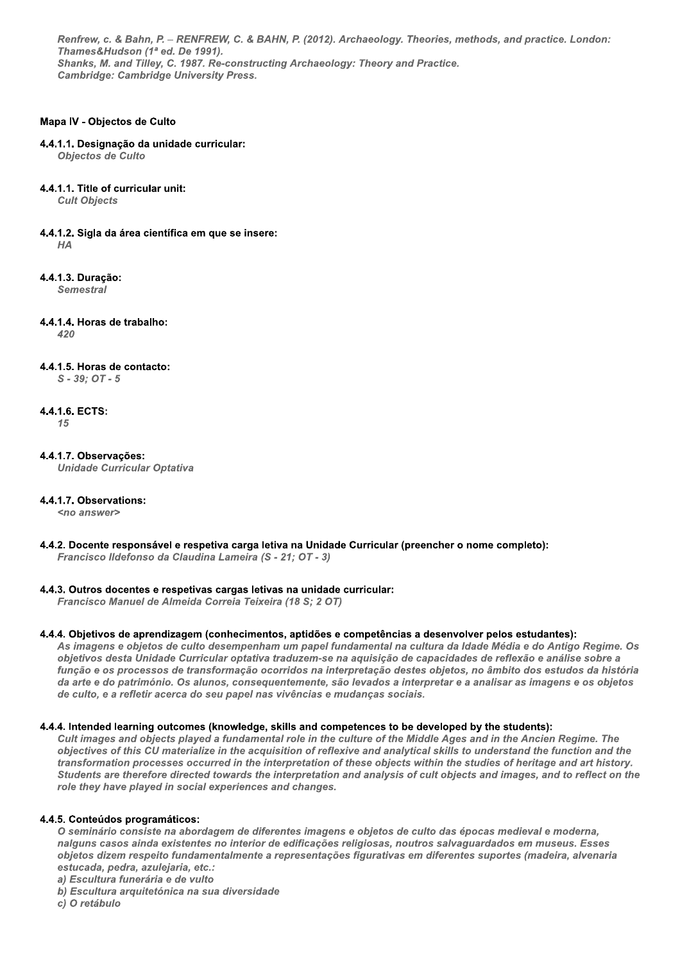Renfrew, c. & Bahn, P. - RENFREW, C. & BAHN, P. (2012). Archaeology. Theories, methods, and practice. London: Thames&Hudson (1ª ed. De 1991). Shanks, M. and Tilley, C. 1987. Re-constructing Archaeology: Theory and Practice. **Cambridge: Cambridge University Press.** 

## Mapa IV - Objectos de Culto

#### 4.4.1.1. Designação da unidade curricular:

Objectos de Culto

#### 4.4.1.1. Title of curricular unit:

**Cult Objects** 

4.4.1.2. Sigla da área científica em que se insere:  $HA$ 

4.4.1.3. Duracão:

**Semestral** 

4.4.1.4. Horas de trabalho:

 $420$ 

#### 4.4.1.5. Horas de contacto:

 $S - 39$ ;  $OT - 5$ 

## 4.4.1.6. ECTS:

15

# 4.4.1.7. Observações:

**Unidade Curricular Optativa** 

## 4.4.1.7. Observations:

<no answer>

4.4.2. Docente responsável e respetiva carga letiva na Unidade Curricular (preencher o nome completo): Francisco Ildefonso da Claudina Lameira (S - 21; OT - 3)

## 4.4.3. Outros docentes e respetivas cargas letivas na unidade curricular:

Francisco Manuel de Almeida Correia Teixeira (18 S; 2 OT)

## 4.4.4. Objetivos de aprendizagem (conhecimentos, aptidões e competências a desenvolver pelos estudantes):

As imagens e objetos de culto desempenham um papel fundamental na cultura da Idade Média e do Antigo Regime. Os objetivos desta Unidade Curricular optativa traduzem-se na aquisição de capacidades de reflexão e análise sobre a função e os processos de transformação ocorridos na interpretação destes objetos, no âmbito dos estudos da história da arte e do património. Os alunos, consequentemente, são levados a interpretar e a analisar as imagens e os objetos de culto, e a refletir acerca do seu papel nas vivências e mudanças sociais.

#### 4.4.4. Intended learning outcomes (knowledge, skills and competences to be developed by the students):

Cult images and objects played a fundamental role in the culture of the Middle Ages and in the Ancien Regime. The objectives of this CU materialize in the acquisition of reflexive and analytical skills to understand the function and the transformation processes occurred in the interpretation of these objects within the studies of heritage and art history. Students are therefore directed towards the interpretation and analysis of cult objects and images, and to reflect on the role they have played in social experiences and changes.

## 4.4.5. Conteúdos programáticos:

O seminário consiste na abordagem de diferentes imagens e objetos de culto das épocas medieval e moderna, nalguns casos ainda existentes no interior de edificações religiosas, noutros salvaguardados em museus. Esses objetos dizem respeito fundamentalmente a representações figurativas em diferentes suportes (madeira, alvenaria estucada, pedra, azulejaria, etc.:

a) Escultura funerária e de vulto

b) Escultura arquitetónica na sua diversidade

c) O retábulo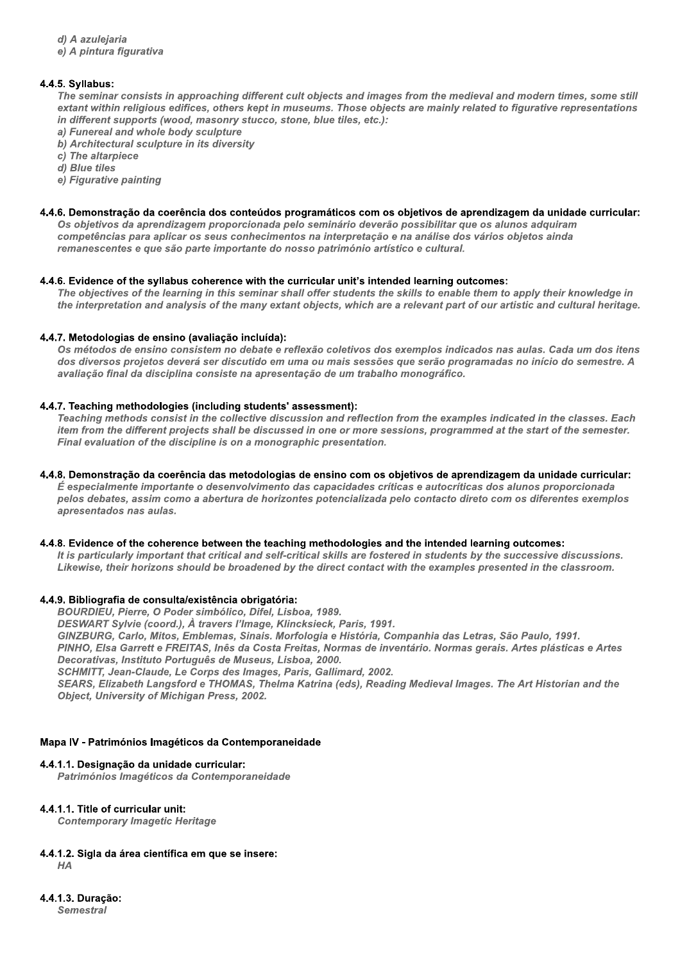d) A azulejaria

e) A pintura figurativa

## 4.4.5. Svllabus:

The seminar consists in approaching different cult objects and images from the medieval and modern times, some still extant within religious edifices, others kept in museums. Those objects are mainly related to figurative representations in different supports (wood, masonry stucco, stone, blue tiles, etc.):

- a) Funereal and whole body sculpture
- b) Architectural sculpture in its diversity

c) The altarpiece

d) Blue tiles

e) Figurative painting

## 4.4.6. Demonstração da coerência dos conteúdos programáticos com os objetivos de aprendizagem da unidade curricular:

Os objetivos da aprendizagem proporcionada pelo seminário deverão possibilitar que os alunos adquiram competências para aplicar os seus conhecimentos na interpretação e na análise dos vários objetos ainda remanescentes e que são parte importante do nosso património artístico e cultural.

## 4.4.6. Evidence of the syllabus coherence with the curricular unit's intended learning outcomes:

The objectives of the learning in this seminar shall offer students the skills to enable them to apply their knowledge in the interpretation and analysis of the many extant objects, which are a relevant part of our artistic and cultural heritage.

## 4.4.7. Metodologias de ensino (avaliação incluída):

Os métodos de ensino consistem no debate e reflexão coletivos dos exemplos indicados nas aulas. Cada um dos itens dos diversos projetos deverá ser discutido em uma ou mais sessões que serão programadas no início do semestre. A avaliação final da disciplina consiste na apresentação de um trabalho monográfico.

## 4.4.7. Teaching methodologies (including students' assessment):

Teaching methods consist in the collective discussion and reflection from the examples indicated in the classes. Each item from the different projects shall be discussed in one or more sessions, programmed at the start of the semester. Final evaluation of the discipline is on a monographic presentation.

#### 4.4.8. Demonstração da coerência das metodologias de ensino com os objetivos de aprendizagem da unidade curricular: É especialmente importante o desenvolvimento das capacidades críticas e autocríticas dos alunos proporcionada pelos debates, assim como a abertura de horizontes potencializada pelo contacto direto com os diferentes exemplos

## 4.4.8. Evidence of the coherence between the teaching methodologies and the intended learning outcomes:

It is particularly important that critical and self-critical skills are fostered in students by the successive discussions. Likewise, their horizons should be broadened by the direct contact with the examples presented in the classroom.

## 4.4.9. Bibliografia de consulta/existência obrigatória:

BOURDIEU, Pierre, O Poder simbólico, Difel, Lisboa, 1989.

DESWART Sylvie (coord.), À travers l'Image, Klincksieck, Paris, 1991.

GINZBURG, Carlo, Mitos, Emblemas, Sinais. Morfologia e História, Companhia das Letras, São Paulo, 1991.

PINHO, Elsa Garrett e FREITAS, Inês da Costa Freitas, Normas de inventário, Normas gerais, Artes plásticas e Artes Decorativas, Instituto Português de Museus, Lisboa, 2000.

SCHMITT, Jean-Claude, Le Corps des Images, Paris, Gallimard, 2002.

SEARS, Elizabeth Langsford e THOMAS, Thelma Katrina (eds), Reading Medieval Images, The Art Historian and the **Object. University of Michigan Press. 2002.** 

## Mapa IV - Patrimónios Imagéticos da Contemporaneidade

## 4.4.1.1. Designação da unidade curricular:

Patrimónios Imagéticos da Contemporaneidade

## 4.4.1.1. Title of curricular unit:

apresentados nas aulas.

**Contemporary Imagetic Heritage** 

4.4.1.2. Sigla da área científica em que se insere:

 $HA$ 

4.4.1.3. Duracão: **Semestral**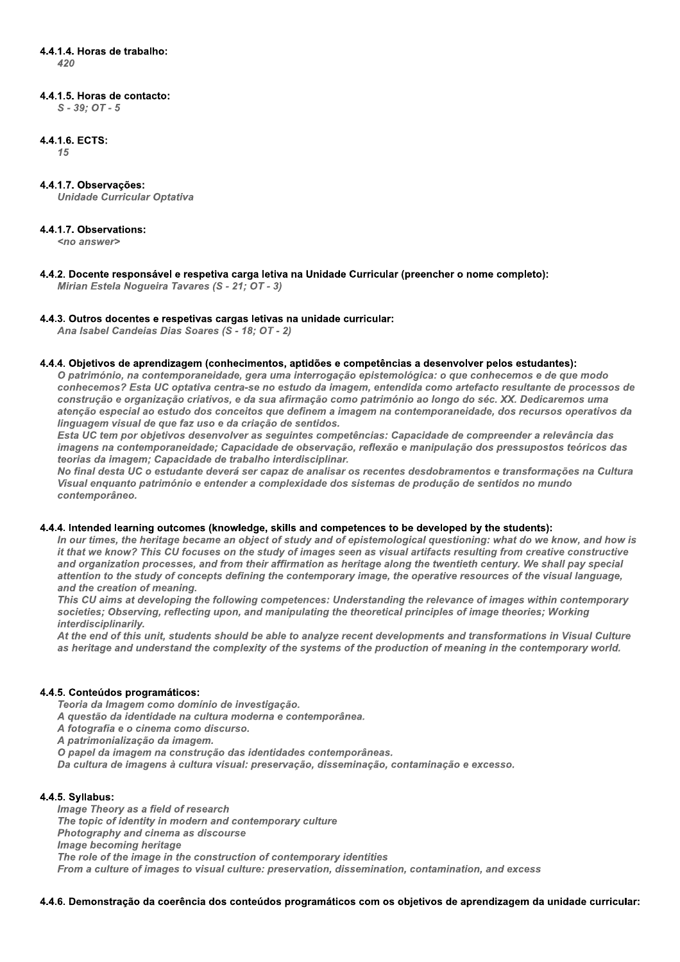# 4.4.1.4. Horas de trabalho:

 $\Delta$ 20

## 4.4.1.5. Horas de contacto:

 $S - 39; OT - 5$ 

## 4.4.1.6. ECTS:

15

## 4.4.1.7. Observações:

**Unidade Curricular Optativa** 

## 4.4.1.7. Observations:

<no answer>

4.4.2. Docente responsável e respetiva carga letiva na Unidade Curricular (preencher o nome completo): Mirian Estela Noqueira Tavares (S - 21; OT - 3)

## 4.4.3. Outros docentes e respetivas cargas letivas na unidade curricular:

Ana Isabel Candeias Dias Soares (S - 18: OT - 2)

## 4.4.4. Objetivos de aprendizagem (conhecimentos, aptidões e competências a desenvolver pelos estudantes):

O património, na contemporaneidade, gera uma interrogação epistemológica: o que conhecemos e de que modo conhecemos? Esta UC optativa centra-se no estudo da imagem, entendida como artefacto resultante de processos de construção e organização criativos, e da sua afirmação como património ao longo do séc. XX. Dedicaremos uma atenção especial ao estudo dos conceitos que definem a imagem na contemporaneidade, dos recursos operativos da linguagem visual de que faz uso e da criação de sentidos.

Esta UC tem por objetivos desenvolver as seguintes competências: Capacidade de compreender a relevância das imagens na contemporaneidade; Capacidade de observação, reflexão e manipulação dos pressupostos teóricos das teorias da imagem: Capacidade de trabalho interdisciplinar.

No final desta UC o estudante deverá ser capaz de analisar os recentes desdobramentos e transformações na Cultura Visual enguanto património e entender a complexidade dos sistemas de produção de sentidos no mundo contemporâneo.

## 4.4.4. Intended learning outcomes (knowledge, skills and competences to be developed by the students):

In our times, the heritage became an object of study and of epistemological guestioning; what do we know, and how is it that we know? This CU focuses on the study of images seen as visual artifacts resulting from creative constructive and organization processes, and from their affirmation as heritage along the twentieth century. We shall pay special attention to the study of concepts defining the contemporary image, the operative resources of the visual language, and the creation of meaning.

This CU aims at developing the following competences: Understanding the relevance of images within contemporary societies; Observing, reflecting upon, and manipulating the theoretical principles of image theories; Working interdisciplinarily.

At the end of this unit, students should be able to analyze recent developments and transformations in Visual Culture as heritage and understand the complexity of the systems of the production of meaning in the contemporary world.

## 4.4.5. Conteúdos programáticos:

Teoria da Imagem como domínio de investigação.

A questão da identidade na cultura moderna e contemporânea.

A fotografia e o cinema como discurso.

A patrimonialização da imagem.

O papel da imagem na construção das identidades contemporâneas.

Da cultura de imagens à cultura visual: preservação, disseminação, contaminação e excesso.

## 4.4.5. Syllabus:

Image Theory as a field of research The topic of identity in modern and contemporary culture Photography and cinema as discourse Image becoming heritage The role of the image in the construction of contemporary identities From a culture of images to visual culture: preservation, dissemination, contamination, and excess

4.4.6. Demonstração da coerência dos conteúdos programáticos com os objetivos de aprendizagem da unidade curricular: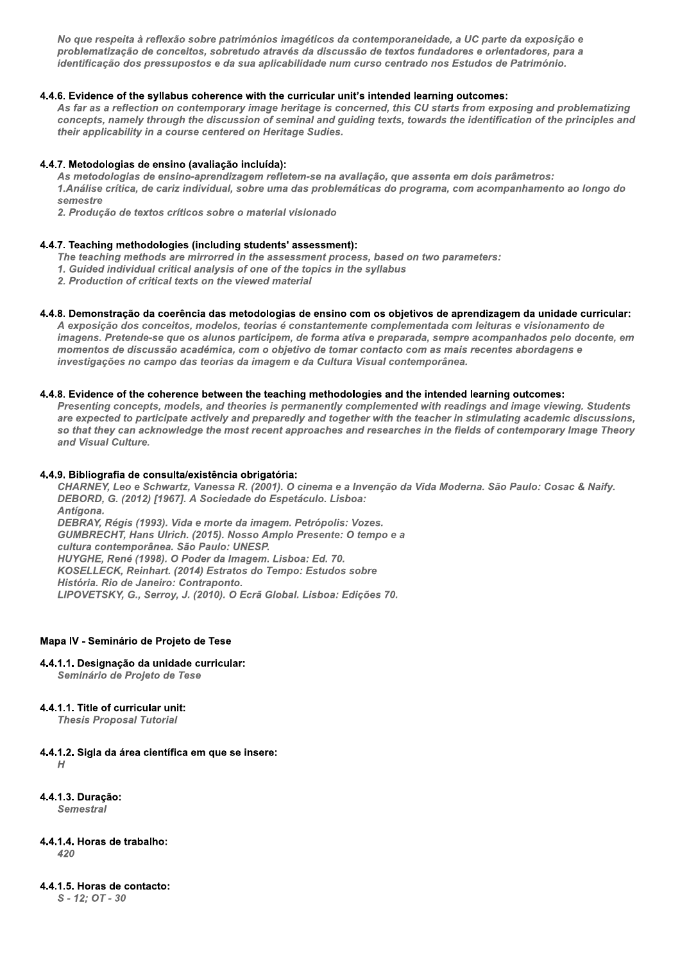No que respeita à reflexão sobre patrimónios imagéticos da contemporaneidade, a UC parte da exposição e problematização de conceitos, sobretudo através da discussão de textos fundadores e orientadores, para a identificação dos pressupostos e da sua aplicabilidade num curso centrado nos Estudos de Património.

## 4.4.6. Evidence of the syllabus coherence with the curricular unit's intended learning outcomes:

As far as a reflection on contemporary image heritage is concerned, this CU starts from exposing and problematizing concepts, namely through the discussion of seminal and guiding texts, towards the identification of the principles and their applicability in a course centered on Heritage Sudies.

## 4.4.7. Metodologias de ensino (avaliação incluída):

As metodologias de ensino-aprendizagem refletem-se na avaliação, que assenta em dois parâmetros: 1.Análise crítica, de cariz individual, sobre uma das problemáticas do programa, com acompanhamento ao longo do semestre

2. Producão de textos críticos sobre o material visionado

## 4.4.7. Teaching methodologies (including students' assessment):

- The teaching methods are mirrorred in the assessment process, based on two parameters:
- 1. Guided individual critical analysis of one of the topics in the syllabus
- 2. Production of critical texts on the viewed material

## 4.4.8. Demonstração da coerência das metodologias de ensino com os objetivos de aprendizagem da unidade curricular:

A exposição dos conceitos, modelos, teorias é constantemente complementada com leituras e visionamento de imagens. Pretende-se que os alunos participem, de forma ativa e preparada, sempre acompanhados pelo docente, em momentos de discussão académica, com o objetivo de tomar contacto com as mais recentes abordagens e investigações no campo das teorias da imagem e da Cultura Visual contemporânea.

## 4.4.8. Evidence of the coherence between the teaching methodologies and the intended learning outcomes:

Presenting concepts, models, and theories is permanently complemented with readings and image viewing. Students are expected to participate actively and preparedly and together with the teacher in stimulating academic discussions, so that they can acknowledge the most recent approaches and researches in the fields of contemporary Image Theory and Visual Culture.

## 4.4.9. Bibliografia de consulta/existência obrigatória:

CHARNEY, Leo e Schwartz, Vanessa R. (2001). O cinema e a Invenção da Vida Moderna. São Paulo: Cosac & Naify. DEBORD, G. (2012) [1967]. A Sociedade do Espetáculo. Lisboa: Antígona. DEBRAY, Régis (1993). Vida e morte da imagem. Petrópolis: Vozes. GUMBRECHT, Hans Ulrich. (2015). Nosso Amplo Presente: O tempo e a cultura contemporânea. São Paulo: UNESP. HUYGHE, René (1998). O Poder da Imagem. Lisboa: Ed. 70. KOSELLECK, Reinhart. (2014) Estratos do Tempo: Estudos sobre História. Rio de Janeiro: Contraponto. LIPOVETSKY, G., Serroy, J. (2010). O Ecrã Global. Lisboa: Edições 70.

## Mapa IV - Seminário de Projeto de Tese

4.4.1.1. Designação da unidade curricular:

Seminário de Projeto de Tese

## 4.4.1.1. Title of curricular unit:

**Thesis Proposal Tutorial** 

- 4.4.1.2. Sigla da área científica em que se insere:  $H$
- 4.4.1.3. Duracão: Semestral
- 4.4.1.4. Horas de trabalho:  $420$

## 4.4.1.5. Horas de contacto:

 $S - 12: OT - 30$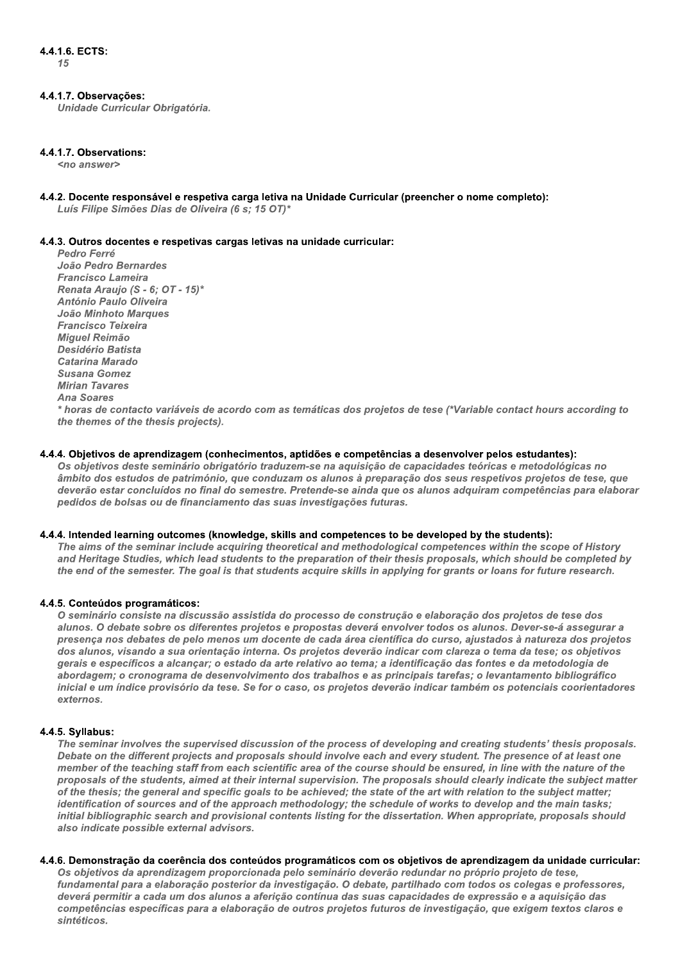## 4.4.1.7. Observações:

Unidade Curricular Obrigatória.

## 4.4.1.7. Observations:

<no answer>

4.4.2. Docente responsável e respetiva carga letiva na Unidade Curricular (preencher o nome completo): Luís Filipe Simões Dias de Oliveira (6 s; 15 OT)\*

#### 4.4.3. Outros docentes e respetivas cargas letivas na unidade curricular:

Pedro Ferré João Pedro Bernardes **Francisco Lameira** Renata Araujo (S - 6; OT - 15)\* **António Paulo Oliveira** João Minhoto Marques **Francisco Teixeira** Miguel Reimão **Desidério Batista** Catarina Marado Susana Gomez **Mirian Tavares Ana Soares** 

\* horas de contacto variáveis de acordo com as temáticas dos projetos de tese (\*Variable contact hours according to the themes of the thesis projects).

#### 4.4.4. Objetivos de aprendizagem (conhecimentos, aptidões e competências a desenvolver pelos estudantes):

Os objetivos deste seminário obrigatório traduzem-se na aquisição de capacidades teóricas e metodológicas no âmbito dos estudos de património, que conduzam os alunos à preparação dos seus respetivos projetos de tese, que deverão estar concluídos no final do semestre. Pretende-se ainda que os alunos adquiram competências para elaborar pedidos de bolsas ou de financiamento das suas investigações futuras.

#### 4.4.4. Intended learning outcomes (knowledge, skills and competences to be developed by the students):

The aims of the seminar include acquiring theoretical and methodological competences within the scope of History and Heritage Studies, which lead students to the preparation of their thesis proposals, which should be completed by the end of the semester. The goal is that students acquire skills in applying for grants or loans for future research.

## 4.4.5. Conteúdos programáticos:

O seminário consiste na discussão assistida do processo de construção e elaboração dos projetos de tese dos alunos. O debate sobre os diferentes projetos e propostas deverá envolver todos os alunos. Dever-se-á assegurar a presença nos debates de pelo menos um docente de cada área científica do curso, ajustados à natureza dos projetos dos alunos, visando a sua orientação interna. Os projetos deverão indicar com clareza o tema da tese; os objetivos gerais e específicos a alcançar; o estado da arte relativo ao tema; a identificação das fontes e da metodologia de abordagem; o cronograma de desenvolvimento dos trabalhos e as principais tarefas; o levantamento bibliográfico inicial e um índice provisório da tese. Se for o caso, os projetos deverão indicar também os potenciais coorientadores externos

## 4.4.5. Syllabus:

The seminar involves the supervised discussion of the process of developing and creating students' thesis proposals. Debate on the different projects and proposals should involve each and every student. The presence of at least one member of the teaching staff from each scientific area of the course should be ensured, in line with the nature of the proposals of the students, aimed at their internal supervision. The proposals should clearly indicate the subject matter of the thesis; the general and specific goals to be achieved; the state of the art with relation to the subject matter; identification of sources and of the approach methodology; the schedule of works to develop and the main tasks; initial bibliographic search and provisional contents listing for the dissertation. When appropriate, proposals should also indicate possible external advisors.

#### 4.4.6. Demonstração da coerência dos conteúdos programáticos com os obietivos de aprendizagem da unidade curricular:

Os obietivos da aprendizagem proporcionada pelo seminário deverão redundar no próprio projeto de tese. fundamental para a elaboração posterior da investigação. O debate, partilhado com todos os colegas e professores, deverá permitir a cada um dos alunos a aferição contínua das suas capacidades de expressão e a aquisição das competências específicas para a elaboração de outros projetos futuros de investigação, que exigem textos claros e sintéticos.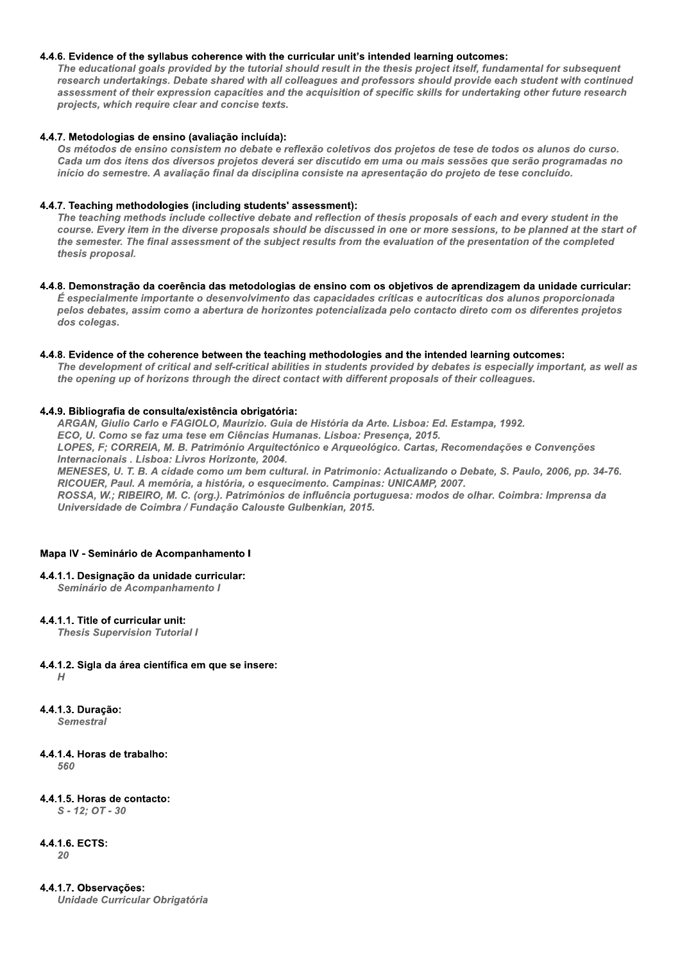## 4.4.6. Evidence of the syllabus coherence with the curricular unit's intended learning outcomes:

The educational goals provided by the tutorial should result in the thesis project itself, fundamental for subsequent research undertakings. Debate shared with all colleagues and professors should provide each student with continued assessment of their expression capacities and the acquisition of specific skills for undertaking other future research projects, which require clear and concise texts.

#### 4.4.7. Metodologias de ensino (avaliação incluída):

Os métodos de ensino consistem no debate e reflexão coletivos dos projetos de tese de todos os alunos do curso. Cada um dos itens dos diversos projetos deverá ser discutido em uma ou mais sessões que serão programadas no início do semestre. A avaliação final da disciplina consiste na apresentação do projeto de tese concluído.

## 4.4.7. Teaching methodologies (including students' assessment):

The teaching methods include collective debate and reflection of thesis proposals of each and every student in the course. Every item in the diverse proposals should be discussed in one or more sessions, to be planned at the start of the semester. The final assessment of the subject results from the evaluation of the presentation of the completed thesis proposal.

#### 4.4.8. Demonstração da coerência das metodologias de ensino com os objetivos de aprendizagem da unidade curricular:

É especialmente importante o desenvolvimento das capacidades críticas e autocríticas dos alunos proporcionada pelos debates, assim como a abertura de horizontes potencializada pelo contacto direto com os diferentes projetos dos colegas.

#### 4.4.8. Evidence of the coherence between the teaching methodologies and the intended learning outcomes:

The development of critical and self-critical abilities in students provided by debates is especially important, as well as the opening up of horizons through the direct contact with different proposals of their colleagues.

#### 4.4.9. Bibliografia de consulta/existência obrigatória:

ARGAN, Giulio Carlo e FAGIOLO, Maurizio. Guia de História da Arte. Lisboa: Ed. Estampa, 1992.

ECO, U. Como se faz uma tese em Ciências Humanas. Lisboa: Presença, 2015.

LOPES, F; CORREIA, M. B. Património Arquitectónico e Arqueológico. Cartas, Recomendações e Convenções Internacionais . Lisboa: Livros Horizonte. 2004.

MENESES, U. T. B. A cidade como um bem cultural. in Patrimonio: Actualizando o Debate, S. Paulo, 2006, pp. 34-76. RICOUER, Paul. A memória, a história, o esquecimento. Campinas: UNICAMP, 2007.

ROSSA, W.; RIBEIRO, M. C. (org.). Patrimónios de influência portuguesa: modos de olhar. Coimbra: Imprensa da Universidade de Coimbra / Fundação Calouste Gulbenkian, 2015.

#### Mapa IV - Seminário de Acompanhamento I

4.4.1.1. Designação da unidade curricular:

Seminário de Acompanhamento I

## 4.4.1.1. Title of curricular unit:

**Thesis Supervision Tutorial I** 

## 4.4.1.2. Sigla da área científica em que se insere:

 $H$ 

4.4.1.3. Duração:

**Semestral** 

## 4.4.1.4. Horas de trabalho:

560

## 4.4.1.5. Horas de contacto:

 $S - 12$ ; OT - 30

#### 4.4.1.6. ECTS:  $20$

4.4.1.7. Observações:

**Unidade Curricular Obrigatória**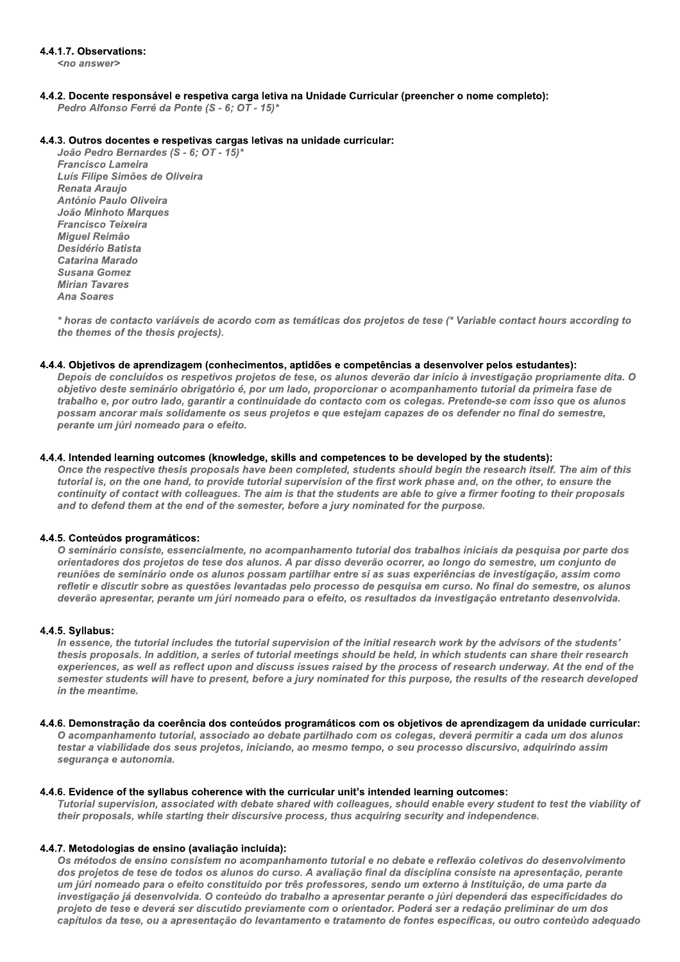## 4.4.1.7. Observations:

 $200 \text{ any}$ 

4.4.2. Docente responsável e respetiva carga letiva na Unidade Curricular (preencher o nome completo): Pedro Alfonso Ferré da Ponte (S - 6; OT - 15)\*

## 4.4.3. Outros docentes e respetivas cargas letivas na unidade curricular:

João Pedro Bernardes (S - 6; OT - 15)\* **Francisco Lameira** Luís Filipe Simões de Oliveira **Renata Araujo** António Paulo Oliveira João Minhoto Marques **Francisco Teixeira** Miguel Reimão Desidério Batista Catarina Marado **Susana Gomez Mirian Tavares Ana Soares** 

\* horas de contacto variáveis de acordo com as temáticas dos projetos de tese (\* Variable contact hours according to the themes of the thesis projects).

#### 4.4.4. Objetivos de aprendizagem (conhecimentos, aptidões e competências a desenvolver pelos estudantes):

Depois de concluídos os respetivos projetos de tese, os alunos deverão dar início à investigação propriamente dita. O objetivo deste seminário obrigatório é, por um lado, proporcionar o acompanhamento tutorial da primeira fase de trabalho e, por outro lado, garantir a continuidade do contacto com os colegas. Pretende-se com isso que os alunos possam ancorar mais solidamente os seus projetos e que estejam capazes de os defender no final do semestre, perante um júri nomeado para o efeito.

## 4.4.4. Intended learning outcomes (knowledge, skills and competences to be developed by the students):

Once the respective thesis proposals have been completed, students should begin the research itself. The aim of this tutorial is, on the one hand, to provide tutorial supervision of the first work phase and, on the other, to ensure the continuity of contact with colleagues. The aim is that the students are able to give a firmer footing to their proposals and to defend them at the end of the semester, before a jury nominated for the purpose.

## 4.4.5. Conteúdos programáticos:

O seminário consiste, essencialmente, no acompanhamento tutorial dos trabalhos iniciais da pesquisa por parte dos orientadores dos projetos de tese dos alunos. A par disso deverão ocorrer, ao longo do semestre, um conjunto de reuniões de seminário onde os alunos possam partilhar entre si as suas experiências de investigação, assim como refletir e discutir sobre as questões levantadas pelo processo de pesquisa em curso. No final do semestre, os alunos deverão apresentar, perante um júri nomeado para o efeito, os resultados da investigação entretanto desenvolvida.

## 4.4.5. Syllabus:

In essence, the tutorial includes the tutorial supervision of the initial research work by the advisors of the students' thesis proposals. In addition, a series of tutorial meetings should be held, in which students can share their research experiences, as well as reflect upon and discuss issues raised by the process of research underway. At the end of the semester students will have to present, before a jury nominated for this purpose, the results of the research developed in the meantime.

#### 4.4.6. Demonstração da coerência dos conteúdos programáticos com os objetivos de aprendizagem da unidade curricular:

O acompanhamento tutorial, associado ao debate partilhado com os colegas, deverá permitir a cada um dos alunos testar a viabilidade dos seus projetos, iniciando, ao mesmo tempo, o seu processo discursivo, adquirindo assim segurança e autonomia.

## 4.4.6. Evidence of the syllabus coherence with the curricular unit's intended learning outcomes:

Tutorial supervision, associated with debate shared with colleagues, should enable every student to test the viability of their proposals, while starting their discursive process, thus acquiring security and independence.

## 4.4.7. Metodologias de ensino (avaliação incluída):

Os métodos de ensino consistem no acompanhamento tutorial e no debate e reflexão coletivos do desenvolvimento dos projetos de tese de todos os alunos do curso. A avaliação final da disciplina consiste na apresentação, perante um júri nomeado para o efeito constituído por três professores, sendo um externo à Instituição, de uma parte da investigação já desenvolvida. O conteúdo do trabalho a apresentar perante o júri dependerá das especificidades do projeto de tese e deverá ser discutido previamente com o orientador. Poderá ser a redação preliminar de um dos capítulos da tese, ou a apresentação do levantamento e tratamento de fontes específicas, ou outro conteúdo adequado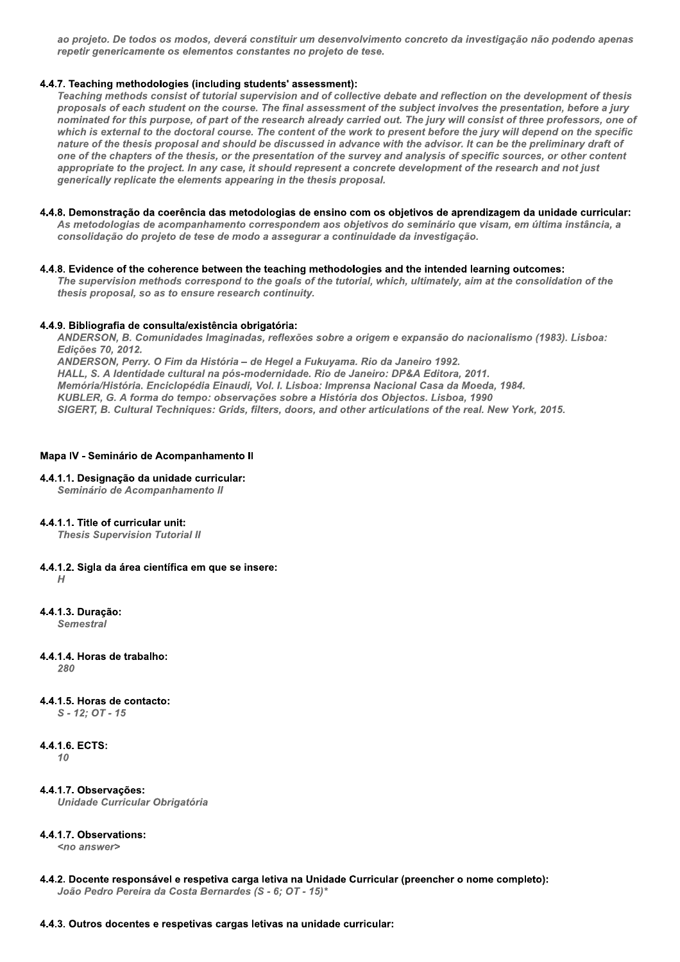ao projeto. De todos os modos, deverá constituir um desenvolvimento concreto da investigação não podendo apenas repetir genericamente os elementos constantes no projeto de tese.

## 4.4.7. Teaching methodologies (including students' assessment):

Teaching methods consist of tutorial supervision and of collective debate and reflection on the development of thesis proposals of each student on the course. The final assessment of the subject involves the presentation, before a jury nominated for this purpose, of part of the research already carried out. The jury will consist of three professors, one of which is external to the doctoral course. The content of the work to present before the jury will depend on the specific nature of the thesis proposal and should be discussed in advance with the advisor. It can be the preliminary draft of one of the chapters of the thesis, or the presentation of the survey and analysis of specific sources, or other content appropriate to the project. In any case, it should represent a concrete development of the research and not just generically replicate the elements appearing in the thesis proposal.

## 4.4.8. Demonstração da coerência das metodologias de ensino com os objetivos de aprendizagem da unidade curricular: As metodologias de acompanhamento correspondem aos objetivos do seminário que visam, em última instância, a

consolidação do projeto de tese de modo a assegurar a continuidade da investigação.

## 4.4.8. Evidence of the coherence between the teaching methodologies and the intended learning outcomes:

The supervision methods correspond to the goals of the tutorial, which, ultimately, aim at the consolidation of the thesis proposal, so as to ensure research continuity.

## 4.4.9. Bibliografia de consulta/existência obrigatória:

ANDERSON, B. Comunidades Imaginadas, reflexões sobre a origem e expansão do nacionalismo (1983). Lisboa: Edicões 70, 2012.

ANDERSON, Perry. O Fim da História - de Hegel a Fukuyama. Rio da Janeiro 1992. HALL, S. A Identidade cultural na pós-modernidade. Rio de Janeiro: DP&A Editora. 2011. Memória/História. Enciclopédia Einaudi, Vol. I. Lisboa: Imprensa Nacional Casa da Moeda, 1984. KUBLER, G. A forma do tempo: observações sobre a História dos Objectos. Lisboa, 1990 SIGERT, B. Cultural Techniques: Grids, filters, doors, and other articulations of the real. New York, 2015.

## Mapa IV - Seminário de Acompanhamento II

#### 4.4.1.1. Designação da unidade curricular: Seminário de Acompanhamento II

## 4.4.1.1. Title of curricular unit:

**Thesis Supervision Tutorial II** 

- 4.4.1.2. Sigla da área científica em que se insere:  $H$
- 4.4.1.3. Duracão: **Semestral**
- 4.4.1.4. Horas de trabalho:  $280$
- 4.4.1.5. Horas de contacto:

 $S - 12; OT - 15$ 

## 4.4.1.6. ECTS:

10

4.4.1.7. Observações: Unidade Curricular Obrigatória

## 4.4.1.7. Observations:

<no answer>

4.4.2. Docente responsável e respetiva carga letiva na Unidade Curricular (preencher o nome completo): João Pedro Pereira da Costa Bernardes (S - 6; OT - 15)\*

## 4.4.3. Outros docentes e respetivas cargas letivas na unidade curricular: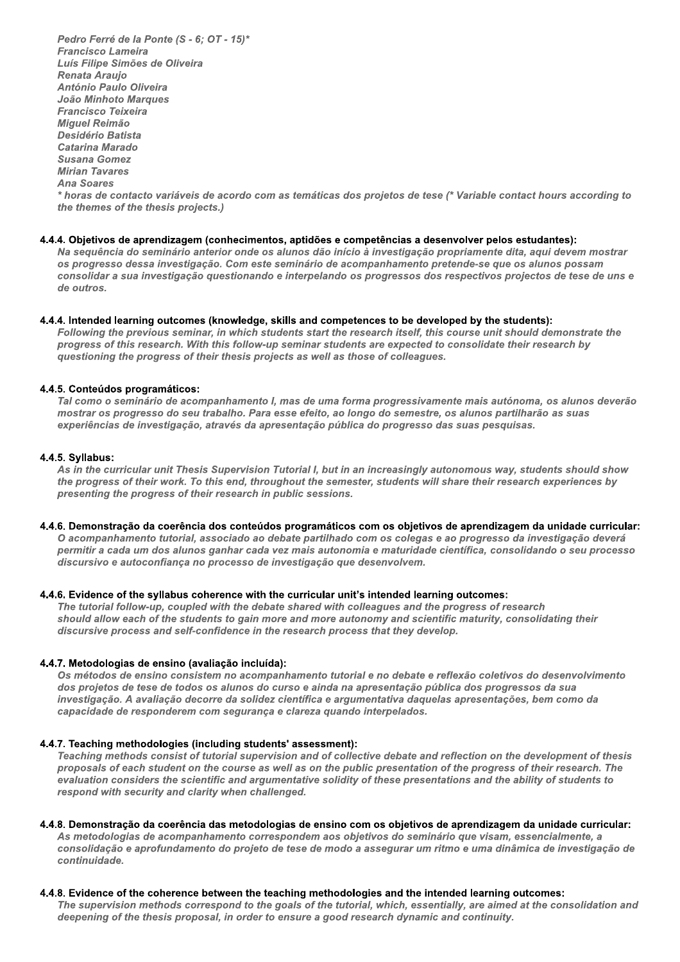Pedro Ferre de la Ponte (S - 6; OT - 15)^<br>— Francisco Lameira Luis Filipe Simoes de Oliveira Renata Araujo Antoni<br>. Pedro Ferré de la Ponte (S<br>Francisco Lameira<br>Luís Filipe Simões de Olive<br>Renata Araujo<br>António Paulo Oliveira<br>João Minhoto Marques<br>Francisco Teixeira<br>Miguel Reimão<br>Desidério Batista<br>Catarina Marado<br>Susana Gomez<br>Mirian Tava Pedro Ferré de la Ponte (S - 6; OT -<br>Francisco Lameira<br>Luís Filipe Simões de Oliveira<br>Renata Araujo<br>António Paulo Oliveira<br>João Minhoto Marques<br>Francisco Teixeira<br>Miguel Reimão<br>Desidério Batista<br>Catarina Marado<br>Susana Gome Pedro Ferré de la Poi<br>Francisco Lameira<br>Luís Filipe Simões de<br>Renata Araujo<br>António Paulo Oliveii<br>João Minhoto Marqui<br>Francisco Teixeira<br>Miguel Reimão<br>Desidério Batista<br>Catarina Marado<br>Susana Gomez<br>Mirian Tavares<br>Ana Soare Desidério Batista Catarina Marado Francisco Lameira<br>
Luís Filipe Simões de Oliveira<br>
Renata Araujo<br>
António Paulo Oliveira<br>
João Minhoto Marques<br>
Francisco Teixeira<br>
Miguel Reimão<br>
Desidério Batista<br>
Catarina Marado<br>
Susana Gomez<br>
Mirian Tavares<br>
Ana Soare Susana Gomez Renata Araujo<br>António Paulo Oliveii<br>João Minhoto Marque<br>Francisco Teixeira<br>Miguel Reimão<br>Desidério Batista<br>Catarina Marado<br>Susana Gomez<br>Mirian Tavares<br>Ana Soares<br>\* horas de contacto v<br>the themes of the the<br>4.4.4. Objetivos **Mirian Tavares** Ana Soares  $\hat{\ }$  horas de contacto variaveis de acordo com as tematicas dos projetos de tese ( $\hat{\ }$  variable contact hours according to the themes of the thesis projects.)

#### 4.4.4. Objetivos de aprendizagem (conhecimentos, aptidões e competências a desenvolver pelos estudantes):

Na sequencia do seminario anterior onde os alunos dao início a investigação propriamente dita, aqui devem mostrar os progresso dessa investigação. Com este seminario de acompanhamento pretende-se que os alunos possam consolidar a súa investigação questionando e interpelando os progressos dos respectivos projectos de tese de uns e ae outros.

## 4.4.4. Intended learning outcomes (knowledge, skills and competences to be developed by the students):

Following the previous seminar, in which students start the research itself, this course unit should demonstrate the progress of this research. With this follow-up seminar students are expected to consolidate their research by questioning the progress of their thesis projects as well as those of colleagues.

#### 4.4.5. Conteúdos programáticos:

Tal como o seminario de acompanhamento i, mas de uma forma progressivamente mais autonoma, os alunos deverão mostrar os progresso do seu trabalho. Para esse efeito, ao longo do semestre, os alunos partilharão as suas experiencias de investigação, atraves da apresentação publica do progresso das suas pesquisas.

#### 4.4.5. Syllabus:

As in the curricular unit Thesis Supervision Tutorial I, but in an increasingly autonomous way, students should show the progress of their work. To this end, throughout the semester, students will share their research experiences by presenting the progress of their research in public sessions.

4.4.6. Demonstração da coerência dos conteúdos programáticos com os objetivos de aprendizagem da unidade curricular: O acompannamento tutorial, associado ao debate partilhado com os colegas e ao progresso da investigação devera permitir a cada um dos alunos gannar cada vez mais autonomía e maturidade científica, consolidando o seu processo discursivo e autoconfiança no processo de investigação que desenvolvem.

## 4.4.6. Evidence of the syllabus coherence with the curricular unit's intended learning outcomes:

The tutorial follow-up, coupled with the debate shared with colleagues and the progress of research should allow each of the students to gain more and more autonomy and scientific maturity, consolidating their  $\,$ alscursive process and seir-confidence in the research process that they develop.

## 4.4.7. Metodologias de ensino (avaliação incluída):

Os metodos de ensino consistem no acompanhamento tutorial e no debate e reflexão coletivos do desenvolvimento dos projetos de tese de todos os alunos do curso e aínda na apresentação publica dos progressos da sua investigação. A avaliação decorre da solidez científica e argumentativa daquelas apresentações, bem como da i capacidade de responderem com segurança e ciareza quando interpeiados.

## 4.4.7. Teaching methodologies (including students' assessment):

reaching methods consist of tutorial supervision and of collective debate and reflection on the development of thesis proposais of each student on the course as well as on the public presentation of the progress of their research. The evaluation considers the scientific and argumentative solidity of these presentations and the ability of students to respond with security and clarity when challenged.

#### 4.4.8. Demonstração da coerência das metodologias de ensino com os obietivos de aprendizagem da unidade curricular:

As metodologías de acompannamento correspondem aos objetivos do seminário que visam, essencialmente, a consolidação e aprofundamento do projeto de tese de modo a assegurar um ritmo e uma dinamica de investigação de continuidade.

## 4.4.8. Evidence of the coherence between the teaching methodologies and the intended learning outcomes:

The supervision methods correspond to the goals of the tutorial, which, essentially, are almed at the consolidation and deepening of the thesis proposal, in order to ensure a good research dynamic and continuity.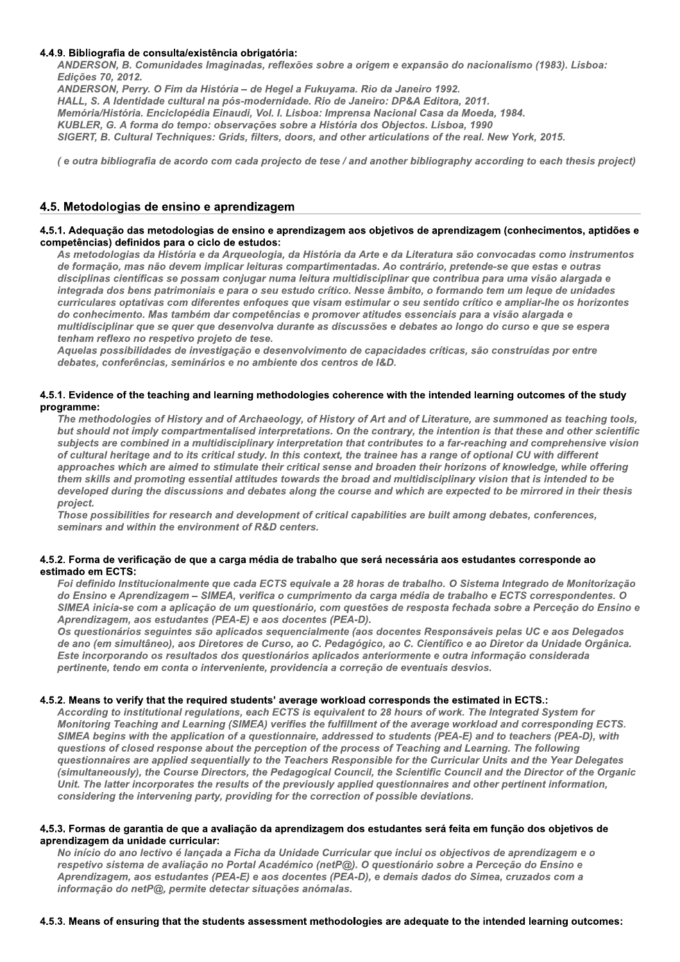## 4.4.9. Bibliografia de consulta/existência obrigatória:

ANDERSON, B. Comunidades Imaginadas, reflexões sobre a origem e expansão do nacionalismo (1983). Lisboa: Edições 70, 2012.

ANDERSON, Perry. O Fim da História - de Hegel a Fukuyama. Rio da Janeiro 1992. HALL, S. A Identidade cultural na pós-modernidade. Rio de Janeiro: DP&A Editora, 2011. Memória/História. Enciclopédia Einaudi, Vol. I. Lisboa: Imprensa Nacional Casa da Moeda, 1984. KUBLER, G. A forma do tempo: observações sobre a História dos Objectos. Lisboa, 1990 SIGERT, B. Cultural Techniques: Grids, filters, doors, and other articulations of the real. New York, 2015.

(e outra bibliografia de acordo com cada projecto de tese / and another bibliography according to each thesis project)

## 4.5. Metodologias de ensino e aprendizagem

#### 4.5.1. Adequação das metodologias de ensino e aprendizagem aos objetivos de aprendizagem (conhecimentos, aptidões e competências) definidos para o ciclo de estudos:

As metodologias da História e da Arqueologia, da História da Arte e da Literatura são convocadas como instrumentos de formação, mas não devem implicar leituras compartimentadas. Ao contrário, pretende-se que estas e outras disciplinas científicas se possam conjugar numa leitura multidisciplinar que contribua para uma visão alargada e integrada dos bens patrimoniais e para o seu estudo crítico. Nesse âmbito, o formando tem um leque de unidades curriculares optativas com diferentes enfoques que visam estimular o seu sentido crítico e ampliar-lhe os horizontes do conhecimento. Mas também dar competências e promover atitudes essenciais para a visão alargada e multidisciplinar que se quer que desenvolva durante as discussões e debates ao longo do curso e que se espera tenham reflexo no respetivo projeto de tese.

Aquelas possibilidades de investigação e desenvolvimento de capacidades críticas, são construídas por entre debates, conferências, seminários e no ambiente dos centros de I&D.

## 4.5.1. Evidence of the teaching and learning methodologies coherence with the intended learning outcomes of the study programme:

The methodologies of History and of Archaeology, of History of Art and of Literature, are summoned as teaching tools, but should not imply compartmentalised interpretations. On the contrary, the intention is that these and other scientific subjects are combined in a multidisciplinary interpretation that contributes to a far-reaching and comprehensive vision of cultural heritage and to its critical study. In this context, the trainee has a range of optional CU with different approaches which are aimed to stimulate their critical sense and broaden their horizons of knowledge, while offering them skills and promoting essential attitudes towards the broad and multidisciplinary vision that is intended to be developed during the discussions and debates along the course and which are expected to be mirrored in their thesis project.

Those possibilities for research and development of critical capabilities are built among debates, conferences, seminars and within the environment of R&D centers.

## 4.5.2. Forma de verificação de que a carga média de trabalho que será necessária aos estudantes corresponde ao estimado em ECTS:

Foi definido Institucionalmente que cada ECTS equivale a 28 horas de trabalho. O Sistema Integrado de Monitorização do Ensino e Aprendizagem - SIMEA, verifica o cumprimento da carga média de trabalho e ECTS correspondentes. O SIMEA inicia-se com a aplicação de um questionário, com questões de resposta fechada sobre a Perceção do Ensino e Aprendizagem, aos estudantes (PEA-E) e aos docentes (PEA-D).

Os questionários seguintes são aplicados sequencialmente (aos docentes Responsáveis pelas UC e aos Delegados de ano (em simultâneo), aos Diretores de Curso, ao C. Pedagógico, ao C. Científico e ao Diretor da Unidade Orgânica. Este incorporando os resultados dos questionários aplicados anteriormente e outra informação considerada pertinente, tendo em conta o interveniente, providencia a correção de eventuais desvios.

## 4.5.2. Means to verify that the required students' average workload corresponds the estimated in ECTS.:

According to institutional regulations, each ECTS is equivalent to 28 hours of work. The Integrated System for Monitoring Teaching and Learning (SIMEA) verifies the fulfillment of the average workload and corresponding ECTS. SIMEA begins with the application of a questionnaire, addressed to students (PEA-E) and to teachers (PEA-D), with questions of closed response about the perception of the process of Teaching and Learning. The following questionnaires are applied sequentially to the Teachers Responsible for the Curricular Units and the Year Delegates (simultaneously), the Course Directors, the Pedagogical Council, the Scientific Council and the Director of the Organic Unit. The latter incorporates the results of the previously applied questionnaires and other pertinent information, considering the intervening party, providing for the correction of possible deviations.

#### 4.5.3. Formas de garantia de que a avaliação da aprendizagem dos estudantes será feita em função dos objetivos de aprendizagem da unidade curricular:

No início do ano lectivo é lançada a Ficha da Unidade Curricular que inclui os objectivos de aprendizagem e o respetivo sistema de avaliação no Portal Académico (netP@). O questionário sobre a Perceção do Ensino e Aprendizagem, aos estudantes (PEA-E) e aos docentes (PEA-D), e demais dados do Simea, cruzados com a informação do netP@, permite detectar situações anómalas.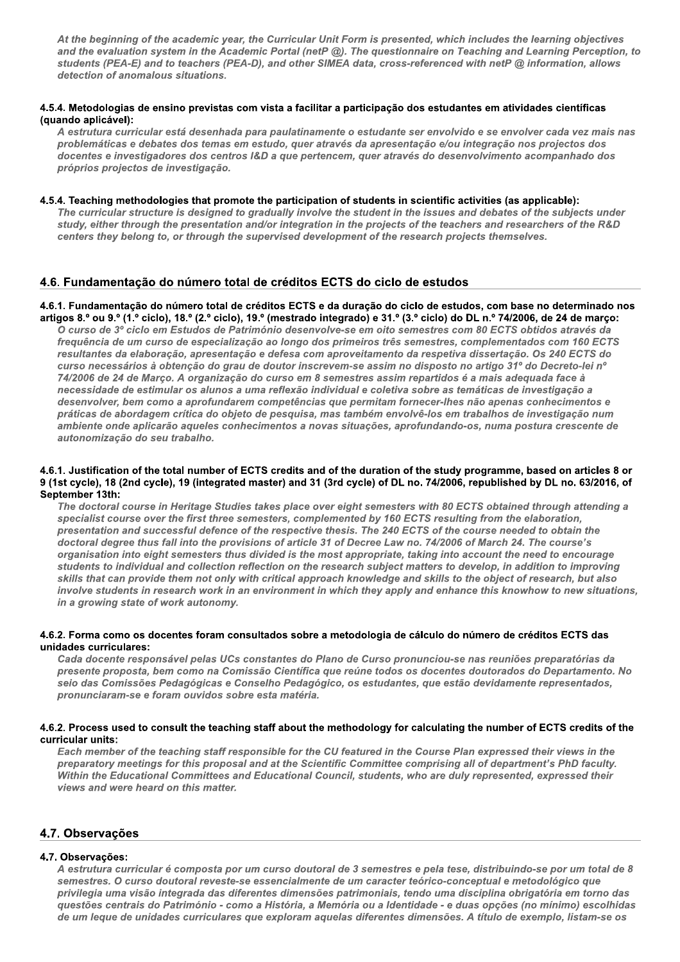At the beginning of the academic year, the Curricular Unit Form is presented, which includes the learning objectives and the evaluation system in the Academic Portal (netP  $\textcircled{u}$ ). The questionnaire on Teaching and Learning Perception, to  ${\tt students}$  (PEA-E) and to teacners (PEA-D), and otner SillEA data, cross-referenced with netP  $@$  information, allows c year, the Curricular Unit Form is presente<br>Pacademic Portal (netP @). The questionn<br>S (PEA-D), and other SIMEA data, cross-re<br>ns.<br>Stas com vista a facilitar a participação do<br>nhada para paulatinamente o estudante se<br>nas detection of anomalous si

## 4.5.4. Metodologias de ensino previstas com vista a facilitar a participação dos estudantes em atividades científicas (quando aplicável):

A estrutura curricular esta desennada para paulatinamente o estudante ser envolvido e se envolver cada vez mais nas problematicas e debates dos temas em estudo, quer atraves da apresentação e/ou integração nos projectos dos docentes e investigadores dos centros i&D a que pertencem, quer atraves do desenvolvimento acompanhado dos proprios projectos de in

## 4.5.4. Teaching methodologies that promote the participation of students in scientific activities (as applicable):

The curricular structure is designed to gradually involve the student in the issues and debates of the subjects under  $_{\rm study,~entner}$  through the presentation and/or integration in the projects of the teachers and researchers of the R&D centers they belong to, or through the supervised development of the research projects themselves.

## 4.6. Fundamentação do número total de créditos ECTS do ciclo de estudos

#### 4.6.1. Fundamentação do número total de créditos ECTS e da duração do ciclo de estudos, com base no determinado nos artigos 8.º ou 9.º (1.º ciclo), 18.º (2.º ciclo), 19.º (mestrado integrado) e 31.º (3.º ciclo) do DL n.º 74/2006, de 24 de março:

O curso de 3º ciclo em Estudos de Património desenvolve-se em oito semestres com 80 ECTS obtidos através da po esearch projects themselves.<br>
de estudos<br>
iclo de estudos, com base no determinado<br>
3.º ciclo) do DL n.º 74/2006, de 24 de março<br>
emestres com 80 ECTS obtidos através da<br>
semestres, complementados com 160 ECT<br>
da respetiva rrequencia de um curso de especialização ao longo dos primeiros tres semestres, complementados com 160 E . Fundamentação do número total de créditos ECTS do ciclo de estudos<br>1. Fundamentação do número total de créditos ECTS e da duração do ciclo de estudos, com base no determinado nos<br>gos 8.° ou 9.° (1.° ciclo), 18.° (2.° ci da elaboração, apresentação e defesa com aproveitamento da respetiva dissertação. Os 240 ECTS do com base no determinado nos<br>
n.º 74/2006, de 24 de março:<br>
l ECTS obtidos através da<br>
llementados com 160 ECTS<br>
sertação. Os 240 ECTS do<br>
tigo 31º do Decreto-lei nº<br>
nais adequada face à<br>
cas de investigação a<br>
apenas conh curso necessarios a obtenção do grau de doutor inscrevem-se assim no disposto no artigo 31° do Decreto-lei nº 74/2006 de 24 de Março. A organização do curso em 8 semestres assim repartidos e a mais adequada face a necessidade de estimular os alunos a uma reflexão individual e coletiva sobre as tematicas de investigação a aesenvolver, bem como a aprofundarem competencias que permitam fornecer-ines não apenas connecimentos e praticas de abordagem crítica do objeto de pesquisa, mas também envolve-los em trabalhos de investigação hum amplente onde aplicarao aqueles connecimentos a novas situações, aprofundando-os, numa postura crescente de autonomização do seu tr

#### 4.6.1. Justification of the total number of ECTS credits and of the duration of the study programme, based on articles 8 or 9 (1st cycle), 18 (2nd cycle), 19 (integrated master) and 31 (3rd cycle) of DL no. 74/2006, republished by DL no. 63/2016, of September 13th:

The doctoral course in Heritage Studies takes place over eight semesters with 80 ECTS obtained through attending a abordagem crítica do objeto de pesquisa,<br>nde aplicarão aqueles conhecimentos a nação do seu trabalho.<br>tion of the total number of ECTS credits ar<br>8 (2nd cycle), 19 (integrated master) and 3<br>h:<br>al course in Heritage Studies im envolvê-los em trabalhos de investigaçãnes, aprofundando-os, numa postura cresa<br>postura cresa<br>postura cresa<br>postura cresa<br>postura cresa<br>postura cresa<br>postura cresa<br>postura con a postura cresa<br>postura do DD. no.<br>postura  $\bm{s}$  pecialist course over the first three semesters, complemented by 160 ECTS resulting from the elaboration, vas situações, aprofundando-os, numa po<br>d of the duration of the study programme,<br>(3rd cycle) of DL no. 74/2006, republished<br>ver eight semesters with 80 ECTS obtained<br>lemented by 160 ECTS resulting from the e<br>thesis. The 2 presentation and successful defence of the respective thesis. The 240 ECTS of the course heeded to obtain the  $\,$ d of the duration of the study programme,<br>
(3rd cycle) of DL no. 74/2006, republished<br>
ver eight semesters with 80 ECTS obtained<br>
lemented by 160 ECTS resulting from the<br>
expression the thesis. The 240 ECTS of the course doctoral degree thus fall into the provisions of article 31 of Decree Law no. 74/2006 of March 24. The course's organisation into eignt semesters thus divided is the most appropriate, taking into account the heed to encourage  $\bm{s}$  udents to individual and collection reflection on the research subject matters to develop, in addition to improving skills that can provide them not only with critical approach knowledge and skills to the object of research, but also invoive students in research work in an environment in which they apply and enhance this knownow to hew situations, in a growing state of work at

## 4.6.2. Forma como os docentes foram consultados sobre a metodologia de cálculo do número de créditos ECTS das unidades curriculares:

Cada docente responsável pelas UCs constantes do Plano de Curso pronunciou-se nas reuniões preparatórias da presente proposta, bem como na Comissao Científica que reune todos os docentes doutorados do Departamento. No selo das Comissoes Pedagogicas e Conselho Pedagogico, os estudantes, que estao devidamente representados, pronunciaram-se e foram ouvidos sobre esta m

## 4.6.2. Process used to consult the teaching staff about the methodology for calculating the number of ECTS credits of the curricular units:

Each member of the teaching staff responsible for the CU featured in the Course Plan expressed their views in the preparatory meetings for this proposal and at the Scientific Committee comprising all of department's PhD fa o na Comissão Científica que reúne todos<br>gicas e Conselho Pedagógico, os estudantes<br>vidos sobre esta matéria.<br>Ne teaching staff about the methodology fo<br>and the scientific Committee<br>interes and Educational Council, student preparatory meetings for this proposal and at the Scientific Committee comprising all of department's PnD faculty.<br>Within the Educational Committees and Educational Council, students, who are duly represented, expressed th views and were neard on this matter.

## 4.7. Observações

## 4.7. Observações:

A estrutura curricular é composta por um curso doutoral de 3 semestres e pela tese, distribuindo-se por um total de 8 semestres. O curso doutoral reveste-se essencialmente de um caracter teorico-conceptual e metodologico que privliegia uma visao integrada das direrentes dimensoes patrimoniais, tendo uma disciplina obrigatoria em torno das questoes centrais do Patrimonio - como a Historia, a Memoria ou a identidade - e duas opçoes (no minimo) escolhidas de um leque de unidades curriculares que exploram aquelas diferentes dimensoes. A título de exemplo, listam-se os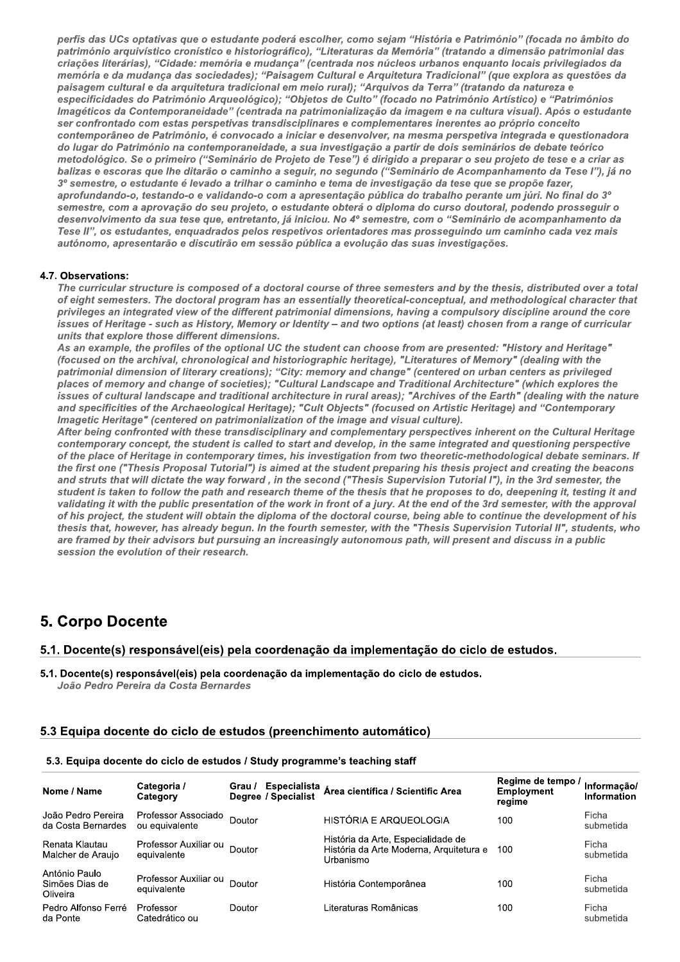perfis das UCs optativas que o estudante poderá escolher, como sejam "História e Património" (focada no âmbito do património arquivístico cronístico e historiográfico), "Literaturas da Memória" (tratando a dimensão patrimonial das criações literárias), "Cidade: memória e mudança" (centrada nos núcleos urbanos enquanto locais privilegiados da memória e da mudança das sociedades); "Paisagem Cultural e Arquitetura Tradicional" (que explora as questões da paisagem cultural e da arquitetura tradicional em meio rural); "Arquivos da Terra" (tratando da natureza e especificidades do Património Arqueológico); "Objetos de Culto" (focado no Património Artístico) e "Patrimónios Imagéticos da Contemporaneidade" (centrada na patrimonialização da imagem e na cultura visual). Após o estudante ser confrontado com estas perspetivas transdisciplinares e complementares inerentes ao próprio conceito contemporâneo de Património, é convocado a iniciar e desenvolver, na mesma perspetiva integrada e questionadora do lugar do Património na contemporaneidade, a sua investigação a partir de dois seminários de debate teórico metodológico. Se o primeiro ("Seminário de Projeto de Tese") é dirigido a preparar o seu projeto de tese e a criar as balizas e escoras que lhe ditarão o caminho a seguir, no segundo ("Seminário de Acompanhamento da Tese l"), já no 3º semestre, o estudante é levado a trilhar o caminho e tema de investigação da tese que se propõe fazer, aprofundando-o, testando-o e validando-o com a apresentação pública do trabalho perante um júri. No final do 3° semestre, com a aprovação do seu projeto, o estudante obterá o diploma do curso doutoral, podendo prosseguir o desenvolvimento da sua tese que, entretanto, já iniciou. No 4º semestre, com o "Seminário de acompanhamento da Tese II", os estudantes, enquadrados pelos respetivos orientadores mas prosseguindo um caminho cada vez mais autónomo, apresentarão e discutirão em sessão pública a evolução das suas investigações.

## 4.7. Observations:

The curricular structure is composed of a doctoral course of three semesters and by the thesis, distributed over a total of eight semesters. The doctoral program has an essentially theoretical-conceptual, and methodological character that privileges an integrated view of the different patrimonial dimensions, having a compulsory discipline around the core issues of Heritage - such as History, Memory or Identity - and two options (at least) chosen from a range of curricular units that explore those different dimensions.

As an example, the profiles of the optional UC the student can choose from are presented: "History and Heritage" (focused on the archival, chronological and historiographic heritage), "Literatures of Memory" (dealing with the patrimonial dimension of literary creations); "City: memory and change" (centered on urban centers as privileged<br>places of memory and change of societies); "Cultural Landscape and Traditional Architecture" (which explores issues of cultural landscape and traditional architecture in rural areas); "Archives of the Earth" (dealing with the nature and specificities of the Archaeological Heritage); "Cult Objects" (focused on Artistic Heritage) and "Contemporary Imagetic Heritage" (centered on patrimonialization of the image and visual culture).

After being confronted with these transdisciplinary and complementary perspectives inherent on the Cultural Heritage contemporary concept, the student is called to start and develop, in the same integrated and questioning perspective of the place of Heritage in contemporary times, his investigation from two theoretic-methodological debate seminars. If the first one ("Thesis Proposal Tutorial") is aimed at the student preparing his thesis project and creating the beacons and struts that will dictate the way forward, in the second ("Thesis Supervision Tutorial I"), in the 3rd semester, the student is taken to follow the path and research theme of the thesis that he proposes to do, deepening it, testing it and validating it with the public presentation of the work in front of a jury. At the end of the 3rd semester, with the approval of his project, the student will obtain the diploma of the doctoral course, being able to continue the development of his thesis that, however, has already begun. In the fourth semester, with the "Thesis Supervision Tutorial II", students, who are framed by their advisors but pursuing an increasingly autonomous path, will present and discuss in a public session the evolution of their research.

# **5. Corpo Docente**

5.1. Docente(s) responsável(eis) pela coordenação da implementação do ciclo de estudos.

5.1. Docente(s) responsável(eis) pela coordenação da implementação do ciclo de estudos. João Pedro Pereira da Costa Bernardes

## 5.3 Equipa docente do ciclo de estudos (preenchimento automático)

#### 5.3. Equipa docente do ciclo de estudos / Study programme's teaching staff

| Nome / Name                                 | Categoria /<br>Category               | Especialista<br>Grau /<br>Degree / Specialist | Área científica / Scientific Area                                                          | Regime de tempo /<br><b>Employment</b><br>regime | Informação/<br>Information |
|---------------------------------------------|---------------------------------------|-----------------------------------------------|--------------------------------------------------------------------------------------------|--------------------------------------------------|----------------------------|
| João Pedro Pereira<br>da Costa Bernardes    | Professor Associado<br>ou equivalente | <b>Doutor</b>                                 | HISTÓRIA E ARQUEOLOGIA                                                                     | 100                                              | Ficha<br>submetida         |
| Renata Klautau<br>Malcher de Araujo         | Professor Auxiliar ou<br>equivalente  | Doutor                                        | História da Arte, Especialidade de<br>História da Arte Moderna, Arquitetura e<br>Urbanismo | 100                                              | Ficha<br>submetida         |
| António Paulo<br>Simões Dias de<br>Oliveira | Professor Auxiliar ou<br>equivalente  | Doutor                                        | História Contemporânea                                                                     | 100                                              | Ficha<br>submetida         |
| Pedro Alfonso Ferré<br>da Ponte             | Professor<br>Catedrático ou           | Doutor                                        | Literaturas Românicas                                                                      | 100                                              | Ficha<br>submetida         |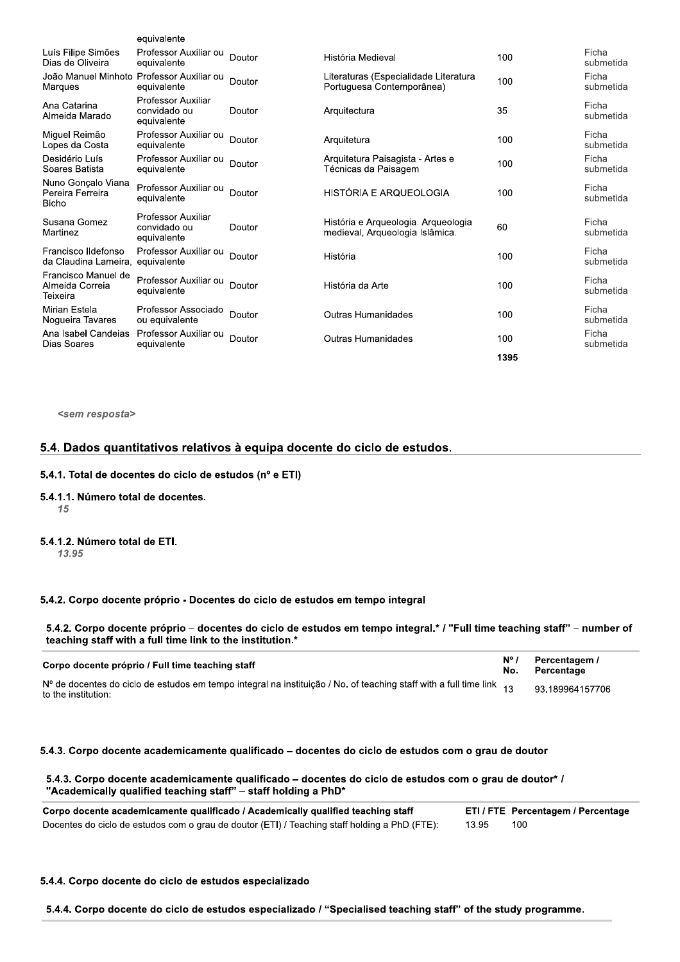|                                                        | equivalente                                       |        |                                                                        |      |                    |
|--------------------------------------------------------|---------------------------------------------------|--------|------------------------------------------------------------------------|------|--------------------|
| Luís Filipe Simões<br>Dias de Oliveira                 | Professor Auxiliar ou<br>equivalente              | Doutor | História Medieval                                                      | 100  | Ficha<br>submetida |
| João Manuel Minhoto Professor Auxiliar ou<br>Marques   | equivalente                                       | Doutor | Literaturas (Especialidade Literatura<br>Portuguesa Contemporânea)     | 100  | Ficha<br>submetida |
| Ana Catarina<br>Almeida Marado                         | Professor Auxiliar<br>convidado ou<br>equivalente | Doutor | Arquitectura                                                           | 35   | Ficha<br>submetida |
| Miquel Reimão<br>Lopes da Costa                        | Professor Auxiliar ou<br>equivalente              | Doutor | Arquitetura                                                            | 100  | Ficha<br>submetida |
| Desidério Luís<br>Soares Batista                       | Professor Auxiliar ou<br>equivalente              | Doutor | Arquitetura Paisagista - Artes e<br>Técnicas da Paisagem               | 100  | Ficha<br>submetida |
| Nuno Gonçalo Viana<br>Pereira Ferreira<br><b>Bicho</b> | Professor Auxiliar ou<br>equivalente              | Doutor | HISTÓRIA E ARQUEOLOGIA                                                 | 100  | Ficha<br>submetida |
| Susana Gomez<br>Martinez                               | Professor Auxiliar<br>convidado ou<br>equivalente | Doutor | História e Arqueologia. Arqueologia<br>medieval, Arqueologia Islâmica. | 60   | Ficha<br>submetida |
| Francisco Ildefonso<br>da Claudina Lameira.            | Professor Auxiliar ou<br>equivalente              | Doutor | História                                                               | 100  | Ficha<br>submetida |
| Francisco Manuel de<br>Almeida Correia<br>Teixeira     | Professor Auxiliar ou<br>equivalente              | Doutor | História da Arte                                                       | 100  | Ficha<br>submetida |
| Mirian Estela<br>Nogueira Tavares                      | Professor Associado<br>ou equivalente             | Doutor | <b>Outras Humanidades</b>                                              | 100  | Ficha<br>submetida |
| Ana Isabel Candeias<br>Dias Soares                     | Professor Auxiliar ou<br>equivalente              | Doutor | Outras Humanidades                                                     | 100  | Ficha<br>submetida |
|                                                        |                                                   |        |                                                                        | 1395 |                    |

<sem resposta>

## 5.4. Dados quantitativos relativos à equipa docente do ciclo de estudos.

#### 5.4.1. Total de docentes do ciclo de estudos ( $n^{\circ}$  e ETI)

- 5.4.1.1. Número total de docentes.<br> $\frac{15}{15}$  $\frac{15}{2}$
- 5.4.1.2. Número total de ETI. 13.95

#### 5.4.2. Corpo docente próprio - Docentes do ciclo de estudos em tempo integral

| 5.4.2. Corpo docente próprio - Docentes do ciclo de estudos em tempo integral                                                                                                      |                      |                             |  |  |  |
|------------------------------------------------------------------------------------------------------------------------------------------------------------------------------------|----------------------|-----------------------------|--|--|--|
| 5.4.2. Corpo docente próprio – docentes do ciclo de estudos em tempo integral.* / "Full time teaching staff" – number<br>teaching staff with a full time link to the institution.* |                      |                             |  |  |  |
| Corpo docente próprio / Full time teaching staff                                                                                                                                   | $N^{\circ}$ /<br>No. | Percentagem /<br>Percentage |  |  |  |
| Nº de docentes do ciclo de estudos em tempo integral na instituição / No. of teaching staff with a full time link 13<br>to the institution:                                        |                      | 93.189964157706             |  |  |  |
| 5.4.3. Corpo docente academicamente qualificado – docentes do ciclo de estudos com o grau de doutor                                                                                |                      |                             |  |  |  |
| 5.4.3. Corpo docente academicamente qualificado – docentes do ciclo de estudos com o grau de doutor <sup>*</sup> /                                                                 |                      |                             |  |  |  |

## 5.4.3. Corpo docente academicamente qualificado - docentes do ciclo de estudos com o grau de doutor

|              | ETI / FTE Percentagem / Percentage                                                                            |
|--------------|---------------------------------------------------------------------------------------------------------------|
|              |                                                                                                               |
| 13.95<br>100 |                                                                                                               |
|              |                                                                                                               |
|              | 5.4.4. Corpo docente do ciclo de estudos especializado / "Specialised teaching staff" of the study programme. |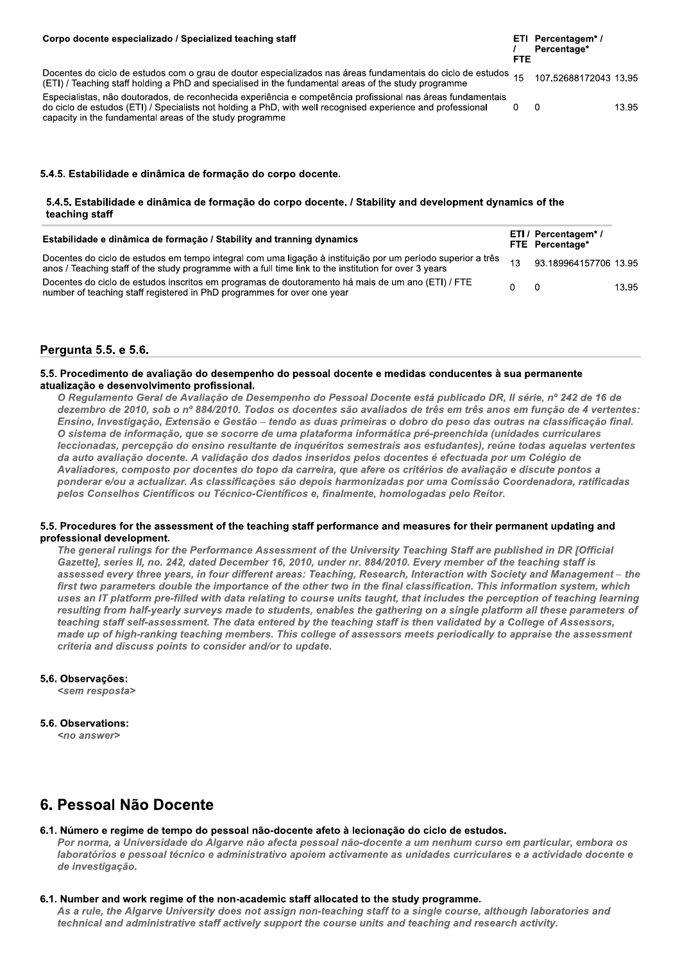| Corpo docente especializado / Specialized teaching staff                                                                                                                                                                                                                               | FTE | ETI Percentagem*/<br>Percentage* |       |
|----------------------------------------------------------------------------------------------------------------------------------------------------------------------------------------------------------------------------------------------------------------------------------------|-----|----------------------------------|-------|
| Docentes do ciclo de estudos com o grau de doutor especializados nas áreas fundamentais do ciclo de estudos 15<br>(ETI) / Teaching staff holding a PhD and specialised in the fundamental areas of the study programme                                                                 |     | 107.52688172043 13.95            |       |
| Especialistas, não doutorados, de reconhecida experiência e competência profissional nas áreas fundamentais<br>do ciclo de estudos (ETI) / Specialists not holding a PhD, with well recognised experience and professional<br>capacity in the fundamental areas of the study programme |     |                                  | 13.95 |

## 5.4.5. Estabilidade e dinâmica de formação do corpo docente.

## 5.4.5. Estabilidade e dinâmica de formação do corpo docente. / Stability and development dynamics of the teaching staff

| Estabilidade e dinâmica de formação / Stability and tranning dynamics                                                                                                                                                 |    | ETI / Percentagem* /<br>FTE Percentage* |       |
|-----------------------------------------------------------------------------------------------------------------------------------------------------------------------------------------------------------------------|----|-----------------------------------------|-------|
| Docentes do ciclo de estudos em tempo integral com uma ligação à instituição por um período superior a três<br>anos / Teaching staff of the study programme with a full time link to the institution for over 3 years | 12 | 93.189964157706 13.95                   |       |
| Docentes do ciclo de estudos inscritos em programas de doutoramento há mais de um ano (ETI) / FTE<br>number of teaching staff registered in PhD programmes for over one year                                          |    | - 0                                     | 13.95 |

## Pergunta 5.5. e 5.6.

## 5.5. Procedimento de avaliação do desempenho do pessoal docente e medidas conducentes à sua permanente atualização e desenvolvimento profissional.

O Regulamento Geral de Avaliação de Desempenho do Pessoal Docente está publicado DR, Il série, nº 242 de 16 de dezembro de 2010, sob o nº 884/2010. Todos os docentes são avaliados de três em três anos em função de 4 vertentes: Ensino, Investigação, Extensão e Gestão - tendo as duas primeiras o dobro do peso das outras na classificação final. O sistema de informação, que se socorre de uma plataforma informática pré-preenchida (unidades curriculares leccionadas, percepção do ensino resultante de inquéritos semestrais aos estudantes), reúne todas aquelas vertentes da auto avaliação docente. A validação dos dados inseridos pelos docentes é efectuada por um Colégio de Avaliadores, composto por docentes do topo da carreira, que afere os critérios de avaliação e discute pontos a ponderar e/ou a actualizar. As classificações são depois harmonizadas por uma Comissão Coordenadora, ratificadas pelos Conselhos Científicos ou Técnico-Científicos e, finalmente, homologadas pelo Reitor.

## 5.5. Procedures for the assessment of the teaching staff performance and measures for their permanent updating and professional development.

The general rulings for the Performance Assessment of the University Teaching Staff are published in DR [Official Gazettel, series II, no. 242, dated December 16, 2010, under nr. 884/2010. Every member of the teaching staff is assessed every three years, in four different areas: Teaching, Research, Interaction with Society and Management - the first two parameters double the importance of the other two in the final classification. This information system, which uses an IT platform pre-filled with data relating to course units taught, that includes the perception of teaching learning resulting from half-yearly surveys made to students, enables the gathering on a single platform all these parameters of teaching staff self-assessment. The data entered by the teaching staff is then validated by a College of Assessors. made up of high-ranking teaching members. This college of assessors meets periodically to appraise the assessment criteria and discuss points to consider and/or to update.

## 5.6. Observações:

<sem resposta>

## 5.6. Observations:

<no answer>

# 6. Pessoal Não Docente

## 6.1. Número e regime de tempo do pessoal não-docente afeto à lecionação do ciclo de estudos.

Por norma, a Universidade do Algarve não afecta pessoal não-docente a um nenhum curso em particular, embora os laboratórios e pessoal técnico e administrativo apoiem activamente as unidades curriculares e a actividade docente e de investigação.

## 6.1. Number and work regime of the non-academic staff allocated to the study programme.

As a rule, the Algarve University does not assign non-teaching staff to a single course, although laboratories and technical and administrative staff actively support the course units and teaching and research activity.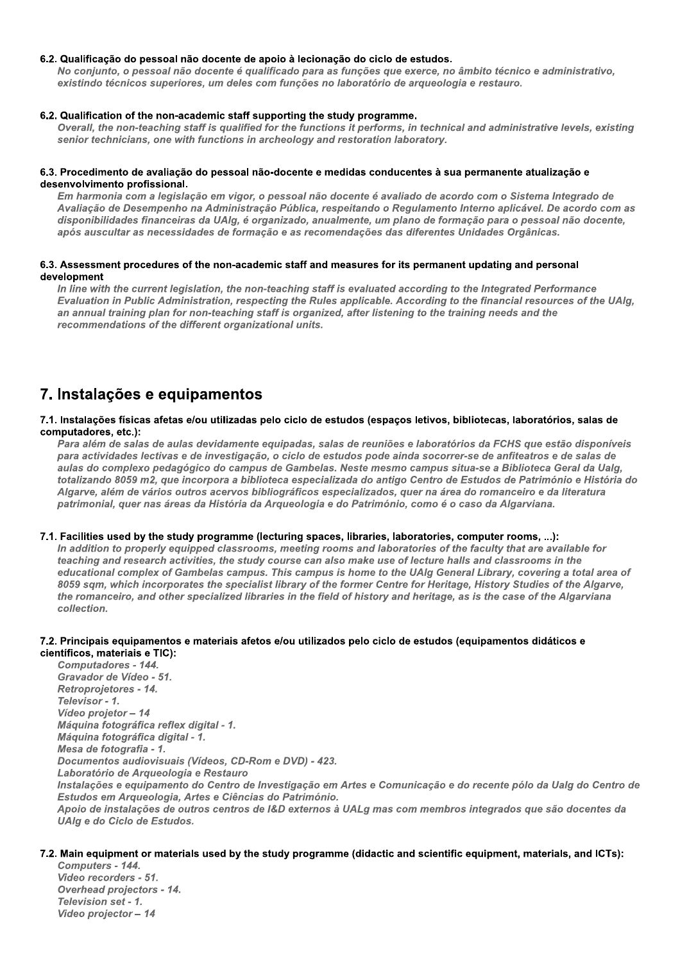## 6.2. Qualificação do pessoal não docente de apoio à lecionação do ciclo de estudos.

No conjunto, o pessoal não docente é qualificado para as funções que exerce, no âmbito técnico e administrativo, existindo técnicos superiores, um deles com funções no laboratório de arqueologia e restauro.

#### 6.2. Qualification of the non-academic staff supporting the study programme.

Overall, the non-teaching staff is qualified for the functions it performs, in technical and administrative levels, existing senior technicians, one with functions in archeology and restoration laboratory.

#### 6.3. Procedimento de avaliação do pessoal não-docente e medidas conducentes à sua permanente atualização e desenvolvimento profissional.

Em harmonia com a legislação em vigor, o pessoal não docente é avaliado de acordo com o Sistema Integrado de Avaliação de Desempenho na Administração Pública, respeitando o Regulamento Interno aplicável. De acordo com as disponibilidades financeiras da UAIg, é organizado, anualmente, um plano de formação para o pessoal não docente, após auscultar as necessidades de formação e as recomendações das diferentes Unidades Orgânicas.

#### 6.3. Assessment procedures of the non-academic staff and measures for its permanent updating and personal development

In line with the current legislation, the non-teaching staff is evaluated according to the Integrated Performance Evaluation in Public Administration, respecting the Rules applicable. According to the financial resources of the UAIg, an annual training plan for non-teaching staff is organized, after listening to the training needs and the recommendations of the different organizational units.

# 7. Instalações e equipamentos

#### 7.1. Instalações físicas afetas e/ou utilizadas pelo ciclo de estudos (espaços letivos, bibliotecas, laboratórios, salas de computadores, etc.):

Para além de salas de aulas devidamente equipadas, salas de reuniões e laboratórios da FCHS que estão disponíveis para actividades lectivas e de investigação, o ciclo de estudos pode ainda socorrer-se de anfiteatros e de salas de aulas do complexo pedagógico do campus de Gambelas. Neste mesmo campus situa-se a Biblioteca Geral da Ualg, totalizando 8059 m2, que incorpora a biblioteca especializada do antigo Centro de Estudos de Património e História do Algarve, além de vários outros acervos bibliográficos especializados, quer na área do romanceiro e da literatura patrimonial, quer nas áreas da História da Arqueologia e do Património, como é o caso da Algarviana.

## 7.1. Facilities used by the study programme (lecturing spaces, libraries, laboratories, computer rooms, ...):

In addition to properly equipped classrooms, meeting rooms and laboratories of the faculty that are available for teaching and research activities, the study course can also make use of lecture halls and classrooms in the educational complex of Gambelas campus. This campus is home to the UAIg General Library, covering a total area of 8059 sam, which incorporates the specialist library of the former Centre for Heritage, History Studies of the Algarve, the romanceiro, and other specialized libraries in the field of history and heritage, as is the case of the Algarviana collection.

#### 7.2. Principais equipamentos e materiais afetos e/ou utilizados pelo ciclo de estudos (equipamentos didáticos e científicos, materiais e TIC):

**Computadores - 144.** Gravador de Vídeo - 51. Retroprojetores - 14. Televisor - 1. Vídeo projetor - 14 Máquina fotográfica reflex digital - 1. Máquina fotográfica digital - 1. Mesa de fotografia - 1. Documentos audiovisuais (Vídeos, CD-Rom e DVD) - 423. Laboratório de Arqueologia e Restauro Instalações e equipamento do Centro de Investigação em Artes e Comunicação e do recente pólo da Ualg do Centro de Estudos em Arqueologia, Artes e Ciências do Património. Apoio de instalações de outros centros de I&D externos à UALg mas com membros integrados que são docentes da UAIa e do Ciclo de Estudos.

## 7.2. Main equipment or materials used by the study programme (didactic and scientific equipment, materials, and ICTs):

Computers - 144. Video recorders - 51. **Overhead projectors - 14.** Television set - 1. Video projector - 14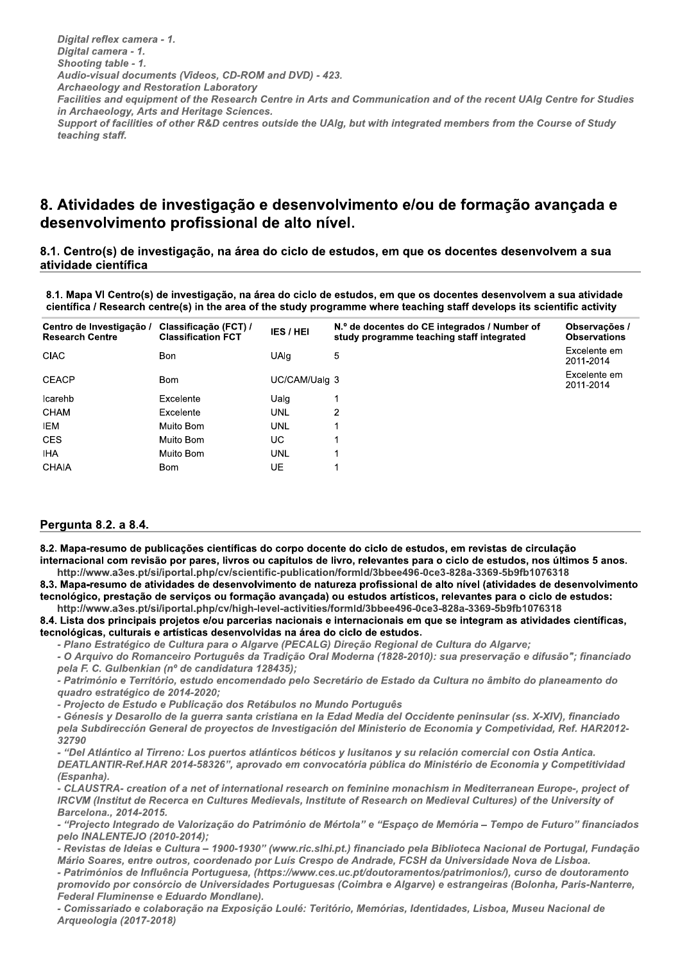Digital reflex camera - 1. Digital camera - 1. Shooting table - 1. Audio-visual documents (Videos, CD-ROM and DVD) - 423. **Archaeology and Restoration Laboratory** Digital reflex camera - 1.<br>
Digital camera - 1.<br>
Shooting table - 1.<br>
Audio-visual documents (Videos, CD-ROM and DVD) - 423.<br>
Archaeology and Restoration Laboratory<br>
Facilities and equipment of the Research Centre in Arts Facilities and equipment of the Research Centre in Arts and Communication and of the recent UAIg Centre for Studies in Archaeology, Arts and Heritage Sciences. Support of facilities of other R&D centres outside the UAIg, but with integrated members from the Course of Study

# 8. Atividades de investigação e desenvolvimento e/ou de formação avançada e desenvolvimento profissional de alto nível.

8.1. Centro(s) de investigação, na área do ciclo de estudos, em que os docentes desenvolvem a sua atividade científica

8.1. Mapa VI Centro(s) de investigação, na área do ciclo de estudos, em que os docentes desenvolvem a sua atividade científica / Research centre(s) in the area of the study programme where teaching staff develops its scientific activity

| Centro de Investigação /<br><b>Research Centre</b> | Classificação (FCT) /<br><b>Classification FCT</b> | IES/HEI       | N.º de docentes do CE integrados / Number of<br>study programme teaching staff integrated | Observações /<br><b>Observations</b> |
|----------------------------------------------------|----------------------------------------------------|---------------|-------------------------------------------------------------------------------------------|--------------------------------------|
| <b>CIAC</b>                                        | <b>Bon</b>                                         | <b>UAlg</b>   | 5                                                                                         | Excelente em<br>2011-2014            |
| <b>CEACP</b>                                       | <b>Bom</b>                                         | UC/CAM/Ualq 3 |                                                                                           | Excelente em<br>2011-2014            |
| Icarehb                                            | Excelente                                          | Ualg          |                                                                                           |                                      |
| CHAM                                               | Excelente                                          | UNL           | 2                                                                                         |                                      |
| IEM                                                | Muito Bom                                          | <b>UNL</b>    |                                                                                           |                                      |
| <b>CES</b>                                         | Muito Bom                                          | UC.           |                                                                                           |                                      |
| <b>IHA</b>                                         | Muito Bom                                          | <b>UNL</b>    |                                                                                           |                                      |
| CHAIA                                              | <b>Bom</b>                                         | UE            |                                                                                           |                                      |

## Pergunta 8.2. a 8.4.

τeacning staπ.

8.2. Mapa-resumo de publicações científicas do corpo docente do ciclo de estudos, em revistas de circulação internacional com revisão por pares, livros ou capítulos de livro, relevantes para o ciclo de estudos, nos últimos 5 anos.

http://www.a3es.pt/si/iportal.php/cv/scientific-publication/formId/3bbee496-0ce3-828a-3369-5b9fb1076318 8.3. Mapa-resumo de atividades de desenvolvimento de natureza profissional de alto nível (atividades de desenvolvimento tecnológico, prestação de serviços ou formação avançada) ou estudos artísticos, relevantes para o ciclo de estudos: Althrilly mavadies, ptissilipprofils countenting cubilication/formuld/3bbee496-0ce3-828a-3369-5b9fth 076318<br>
A. Mapa-resumo de atividades de desenvolvimento de natureza profissional de alto nivel (atividades de desenvolvim

http://www.a3es.pt/si/iportal.php/cv/high-level-activities/formId/3bbee496-0ce3-828a-3369-5b9fb1076318 8.4. Lista dos principais projetos e/ou parcerias nacionais e internacionais em que se integram as atividades científicas, tecnológicas, culturais e artísticas desenvolvidas na área do ciclo de estudos.

- Piano Estrategico de Cultura para o Algarve (PECALG) Direção Regional de Cultura do Algarve;

- O Arquivo do Romanceiro Português da Tradição Oral Moderna (1828-2010): sua preservação e difusão"; financiado<br>pela F. C. Gulbenkian (nº de candidatura 128435);

quadro estratégico de 2014-2020;

- Projecto de Estudo e Publicação dos Retábulos no Mundo Português

- Génesis y Desarollo de la guerra santa cristiana en la Edad Media del Occidente peninsular (ss. X-XIV), financiado pela Subdirección General de proyectos de investigación del Ministerio de Economía y Competividad, Ref. HAR2012-32790

- "Del Atlántico al Tirreno: Los puertos atlánticos béticos y lusitanos y su relación comercial con Ostia Antica. DEATLANTIR-Ref.HAR 2014-58326", aprovado em convocatória pública do Ministério de Economia y Competitividad (Espanha). pela Subdirección General de proyectos de Investigación del Ministerio de Economia y Competividad, Ref. HAR2012-<br>
"Del Atlántico al Tirreno: Los puertos atlánticos béticos y lusitanos y su relación comercial con Ostia Anti

- CLAUSTRA- creation of a net of international research on feminine monachism in Mediterranean Europe-, project of IRCVM (Institut de Recerca en Cultures Medievals, Institute of Research on Medieval Cultures) of the University of Barcelona., 2014-2015.

- "Projecto Integrado de Valorização do Património de Mértola" e "Espaço de Memória – Tempo de Futuro" financiados<br>pelo INALENTEJO (2010-2014);

-"Del Atlántico al Tirreno: Los puertos atlánticos béticos y lusitanos y su relación comercial con Ostia Antica.<br>DEATLANTIR-Ref.HAR 2014-58326", aprovado en convocatória pública do Ministério de Economia y Competitividad<br>( - Patrimónios de Influência Portuguesa, (https://www.ces.uc.pt/doutoramentos/patrimonios/), curso de doutoramento promovido por consorcio de Universidades Portuguesas (Coimbra e Algarve) e estrange IRCVM (Institut de Recerca en Cultures Medievals, Institute of Research on Medieval Cultures) of the University of<br>Barcelona., 2014-2015.<br>"Projecto Integrado de Valorização do Património de Mértola" e "Espaço de Memória –

- Comissariado e colaboração na Exposição Loulé: Teritório, Memórias, Identidades, Lisboa, Museu Nacional de Arqueologia (2017-2018)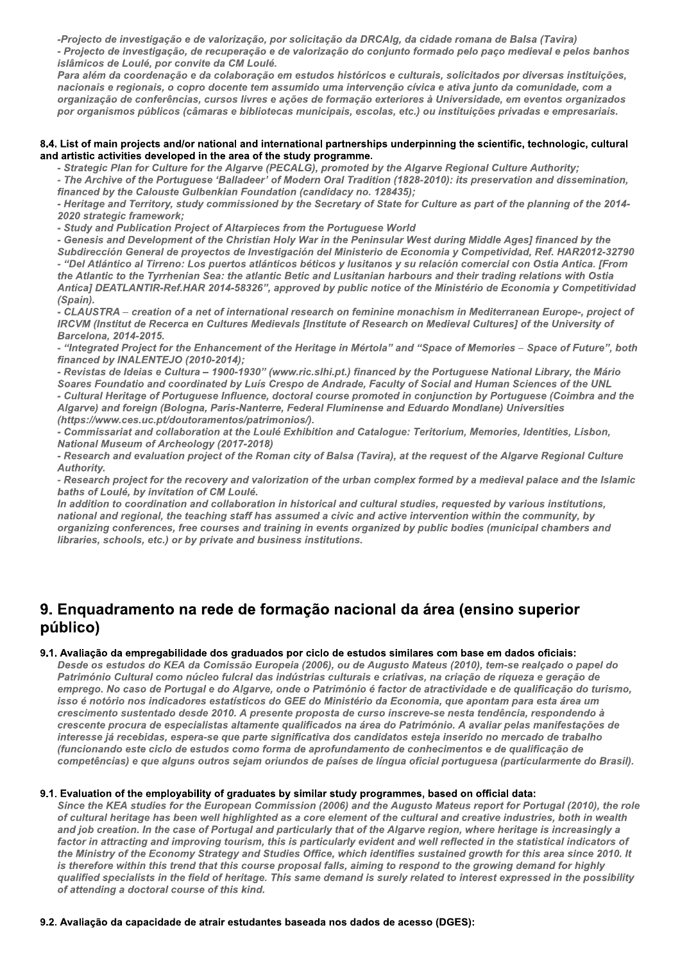-Projecto de investigação e de valorização, por solicitação da DRCAIg, da cidade romana de Balsa (Tavira) - Projecto de investigação, de recuperação e de valorização do conjunto formado pelo paço medieval e pelos banhos

islâmicos de Loulé, por convite da CM Loulé. Para além da coordenação e da colaboração em estudos históricos e culturais, solicitados por diversas instituições, nacionais e regionais, o copro docente tem assumido uma intervenção cívica e ativa junto da comunidade, com a organização de conferências, cursos livres e ações de formação exteriores à Universidade, em eventos organizados por organismos públicos (câmaras e bibliotecas municipais, escolas, etc.) ou instituições privadas e empresariais.

#### 8.4. List of main projects and/or national and international partnerships underpinning the scientific, technologic, cultural and artistic activities developed in the area of the study programme.

- Strategic Plan for Culture for the Algarve (PECALG), promoted by the Algarve Regional Culture Authority;

- The Archive of the Portuguese 'Balladeer' of Modern Oral Tradition (1828-2010): its preservation and dissemination, financed by the Calouste Gulbenkian Foundation (candidacy no. 128435);

- Heritage and Territory, study commissioned by the Secretary of State for Culture as part of the planning of the 2014-2020 strategic framework;

- Study and Publication Project of Altarpieces from the Portuguese World

- Genesis and Development of the Christian Holy War in the Peninsular West during Middle Ages] financed by the Subdirección General de proyectos de Investigación del Ministerio de Economia y Competividad, Ref. HAR2012-32790 - "Del Atlántico al Tirreno: Los puertos atlánticos béticos y lusitanos y su relación comercial con Ostia Antica. [From the Atlantic to the Tyrrhenian Sea: the atlantic Betic and Lusitanian harbours and their trading relations with Ostia Antica] DEATLANTIR-Ref.HAR 2014-58326", approved by public notice of the Ministério de Economia y Competitividad (Spain).

- CLAUSTRA - creation of a net of international research on feminine monachism in Mediterranean Europe-, project of IRCVM (Institut de Recerca en Cultures Medievals [Institute of Research on Medieval Cultures] of the University of Barcelona, 2014-2015.

- "Integrated Project for the Enhancement of the Heritage in Mértola" and "Space of Memories - Space of Future", both financed by INALENTEJO (2010-2014);

- Revistas de Ideias e Cultura - 1900-1930" (www.ric.slhi.pt.) financed by the Portuguese National Library, the Mário Soares Foundatio and coordinated by Luís Crespo de Andrade, Faculty of Social and Human Sciences of the UNL - Cultural Heritage of Portuguese Influence, doctoral course promoted in conjunction by Portuguese (Coimbra and the

Algarve) and foreign (Bologna, Paris-Nanterre, Federal Fluminense and Eduardo Mondlane) Universities (https://www.ces.uc.pt/doutoramentos/patrimonios/).

- Commissariat and collaboration at the Loulé Exhibition and Catalogue: Teritorium, Memories, Identities, Lisbon, **National Museum of Archeology (2017-2018)** 

- Research and evaluation project of the Roman city of Balsa (Tavira), at the request of the Algarve Regional Culture Authority.

- Research project for the recovery and valorization of the urban complex formed by a medieval palace and the Islamic baths of Loulé, by invitation of CM Loulé.

In addition to coordination and collaboration in historical and cultural studies, requested by various institutions, national and regional, the teaching staff has assumed a civic and active intervention within the community, by organizing conferences, free courses and training in events organized by public bodies (municipal chambers and libraries, schools, etc.) or by private and business institutions.

# 9. Enquadramento na rede de formação nacional da área (ensino superior público)

## 9.1. Avaliação da empregabilidade dos graduados por ciclo de estudos similares com base em dados oficiais:

Desde os estudos do KEA da Comissão Europeia (2006), ou de Augusto Mateus (2010), tem-se realçado o papel do Património Cultural como núcleo fulcral das indústrias culturais e criativas, na criação de riqueza e geração de emprego. No caso de Portugal e do Algarve, onde o Património é factor de atractividade e de qualificação do turismo, isso é notório nos indicadores estatísticos do GEE do Ministério da Economia, que apontam para esta área um crescimento sustentado desde 2010. A presente proposta de curso inscreve-se nesta tendência, respondendo à crescente procura de especialistas altamente qualificados na área do Património. A avaliar pelas manifestações de interesse já recebidas, espera-se que parte significativa dos candidatos esteja inserido no mercado de trabalho (funcionando este ciclo de estudos como forma de aprofundamento de conhecimentos e de qualificação de competências) e que alguns outros sejam oriundos de países de língua oficial portuguesa (particularmente do Brasil).

## 9.1. Evaluation of the employability of graduates by similar study programmes, based on official data:

Since the KEA studies for the European Commission (2006) and the Augusto Mateus report for Portugal (2010), the role of cultural heritage has been well highlighted as a core element of the cultural and creative industries, both in wealth and job creation. In the case of Portugal and particularly that of the Algarve region, where heritage is increasingly a factor in attracting and improving tourism, this is particularly evident and well reflected in the statistical indicators of the Ministry of the Economy Strategy and Studies Office, which identifies sustained growth for this area since 2010. It is therefore within this trend that this course proposal falls, aiming to respond to the growing demand for highly qualified specialists in the field of heritage. This same demand is surely related to interest expressed in the possibility of attending a doctoral course of this kind.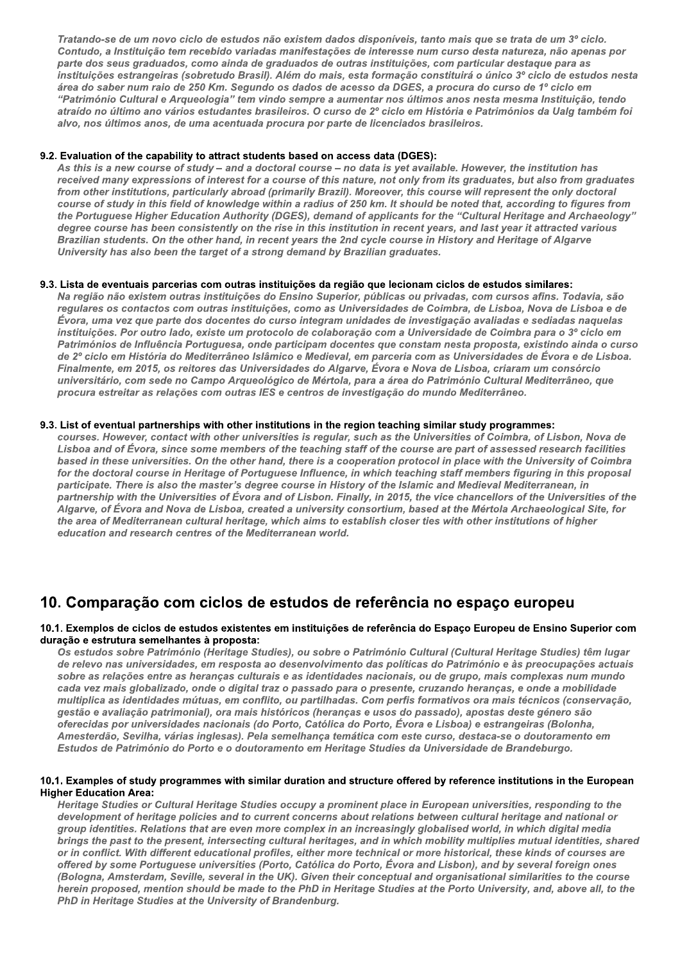Tratando-se de um novo ciclo de estudos não existem dados disponíveis, tanto mais que se trata de um 3º ciclo. Contudo, a Instituição tem recebido variadas manifestações de interesse num curso desta natureza, não apenas por parte dos seus graduados, como ainda de graduados de outras instituições, com particular destaque para as instituições estrangeiras (sobretudo Brasil). Além do mais, esta formação constituirá o único 3º ciclo de estudos nesta área do saber num raio de 250 Km. Segundo os dados de acesso da DGES, a procura do curso de 1º ciclo em "Património Cultural e Arqueologia" tem vindo sempre a aumentar nos últimos anos nesta mesma Instituição, tendo atraído no último ano vários estudantes brasileiros. O curso de 2º ciclo em História e Patrimónios da Ualg também foi alvo, nos últimos anos, de uma acentuada procura por parte de licenciados brasileiros.

## 9.2. Evaluation of the capability to attract students based on access data (DGES):

As this is a new course of study - and a doctoral course - no data is yet available. However, the institution has received many expressions of interest for a course of this nature, not only from its graduates, but also from graduates from other institutions, particularly abroad (primarily Brazil). Moreover, this course will represent the only doctoral course of study in this field of knowledge within a radius of 250 km. It should be noted that, according to figures from the Portuguese Higher Education Authority (DGES), demand of applicants for the "Cultural Heritage and Archaeology" degree course has been consistently on the rise in this institution in recent years, and last year it attracted various Brazilian students. On the other hand, in recent years the 2nd cycle course in History and Heritage of Algarve University has also been the target of a strong demand by Brazilian graduates.

## 9.3. Lista de eventuais parcerias com outras instituições da região que lecionam ciclos de estudos similares:

Na região não existem outras instituições do Ensino Superior, públicas ou privadas, com cursos afins. Todavia, são regulares os contactos com outras instituições, como as Universidades de Coimbra, de Lisboa, Nova de Lisboa e de Évora, uma vez que parte dos docentes do curso integram unidades de investigação avaliadas e sediadas naguelas instituições. Por outro lado, existe um protocolo de colaboração com a Universidade de Coimbra para o 3º ciclo em Patrimónios de Influência Portuguesa, onde participam docentes que constam nesta proposta, existindo ainda o curso de 2º ciclo em História do Mediterrâneo Islâmico e Medieval, em parceria com as Universidades de Évora e de Lisboa. Finalmente, em 2015, os reitores das Universidades do Algarve, Évora e Nova de Lisboa, criaram um consórcio universitário, com sede no Campo Arqueológico de Mértola, para a área do Património Cultural Mediterrâneo, que procura estreitar as relações com outras IES e centros de investigação do mundo Mediterrâneo.

## 9.3. List of eventual partnerships with other institutions in the region teaching similar study programmes:

courses. However, contact with other universities is regular, such as the Universities of Coimbra, of Lisbon, Nova de Lisboa and of Évora, since some members of the teaching staff of the course are part of assessed research facilities based in these universities. On the other hand, there is a cooperation protocol in place with the University of Coimbra for the doctoral course in Heritage of Portuguese Influence, in which teaching staff members figuring in this proposal participate. There is also the master's degree course in History of the Islamic and Medieval Mediterranean, in partnership with the Universities of Évora and of Lisbon. Finally, in 2015, the vice chancellors of the Universities of the Algarve, of Évora and Nova de Lisboa, created a university consortium, based at the Mértola Archaeological Site, for the area of Mediterranean cultural heritage, which aims to establish closer ties with other institutions of higher education and research centres of the Mediterranean world.

# 10. Comparação com ciclos de estudos de referência no espaço europeu

## 10.1. Exemplos de ciclos de estudos existentes em instituições de referência do Espaço Europeu de Ensino Superior com duração e estrutura semelhantes à proposta:

Os estudos sobre Património (Heritage Studies), ou sobre o Património Cultural (Cultural Heritage Studies) têm lugar de relevo nas universidades, em resposta ao desenvolvimento das políticas do Património e às preocupações actuais sobre as relações entre as heranças culturais e as identidades nacionais, ou de grupo, mais complexas num mundo cada vez mais globalizado, onde o digital traz o passado para o presente, cruzando heranças, e onde a mobilidade multiplica as identidades mútuas, em conflito, ou partilhadas. Com perfis formativos ora mais técnicos (conservação, gestão e avaliação patrimonial), ora mais históricos (heranças e usos do passado), apostas deste género são oferecidas por universidades nacionais (do Porto, Católica do Porto, Évora e Lisboa) e estrangeiras (Bolonha, Amesterdão, Sevilha, várias inglesas). Pela semelhança temática com este curso, destaca-se o doutoramento em Estudos de Património do Porto e o doutoramento em Heritage Studies da Universidade de Brandeburgo.

## 10.1. Examples of study programmes with similar duration and structure offered by reference institutions in the European **Higher Education Area:**

Heritage Studies or Cultural Heritage Studies occupy a prominent place in European universities, responding to the development of heritage policies and to current concerns about relations between cultural heritage and national or group identities. Relations that are even more complex in an increasingly globalised world, in which digital media brings the past to the present, intersecting cultural heritages, and in which mobility multiplies mutual identities, shared or in conflict. With different educational profiles, either more technical or more historical, these kinds of courses are offered by some Portuguese universities (Porto, Católica do Porto, Évora and Lisbon), and by several foreign ones (Bologna, Amsterdam, Seville, several in the UK). Given their conceptual and organisational similarities to the course herein proposed, mention should be made to the PhD in Heritage Studies at the Porto University, and, above all, to the PhD in Heritage Studies at the University of Brandenburg.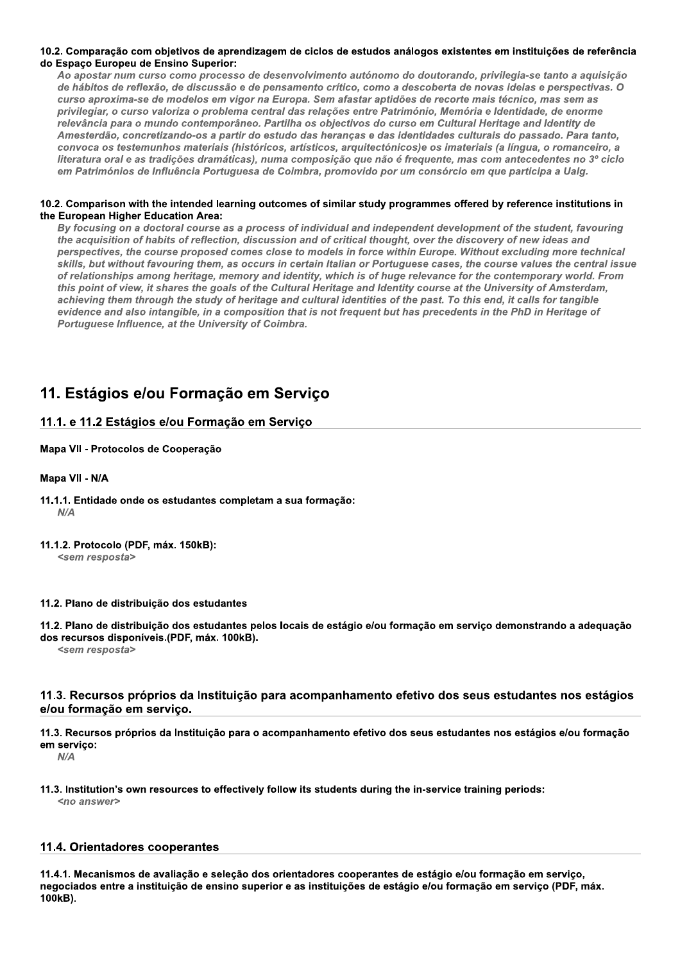## 10.2. Comparação com objetivos de aprendizagem de ciclos de estudos análogos existentes em instituições de referência do Espaço Europeu de Ensino Superior:

Ao apostar num curso como processo de desenvolvimento autónomo do doutorando, privilegia-se tanto a aquisição de hábitos de reflexão, de discussão e de pensamento crítico, como a descoberta de novas ideias e perspectivas. O curso aproxima-se de modelos em vigor na Europa. Sem afastar aptidões de recorte mais técnico, mas sem as privilegiar, o curso valoriza o problema central das relações entre Património, Memória e Identidade, de enorme relevância para o mundo contemporâneo. Partilha os objectivos do curso em Cultural Heritage and Identity de Amesterdão, concretizando-os a partir do estudo das herancas e das identidades culturais do passado. Para tanto, convoca os testemunhos materiais (históricos, artísticos, arquitectónicos)e os imateriais (a língua, o romanceiro, a literatura oral e as tradições dramáticas), numa composição que não é frequente, mas com antecedentes no 3º ciclo em Patrimónios de Influência Portuguesa de Coimbra, promovido por um consórcio em que participa a Ualg.

## 10.2. Comparison with the intended learning outcomes of similar study programmes offered by reference institutions in the European Higher Education Area:

By focusing on a doctoral course as a process of individual and independent development of the student, favouring the acquisition of habits of reflection, discussion and of critical thought, over the discovery of new ideas and perspectives, the course proposed comes close to models in force within Europe. Without excluding more technical skills, but without favouring them, as occurs in certain Italian or Portuguese cases, the course values the central issue of relationships among heritage, memory and identity, which is of huge relevance for the contemporary world. From this point of view, it shares the goals of the Cultural Heritage and Identity course at the University of Amsterdam, achieving them through the study of heritage and cultural identities of the past. To this end, it calls for tangible evidence and also intangible, in a composition that is not frequent but has precedents in the PhD in Heritage of Portuguese Influence, at the University of Coimbra.

# 11. Estágios e/ou Formação em Servico

## 11.1. e 11.2 Estágios e/ou Formação em Servico

## Mapa VII - Protocolos de Cooperação

## Mapa VII - N/A

- 11.1.1. Entidade onde os estudantes completam a sua formação:  $N/A$
- 11.1.2. Protocolo (PDF, máx. 150kB):
	- <sem resposta>

## 11.2. Plano de distribuição dos estudantes

11.2. Plano de distribuição dos estudantes pelos locais de estágio e/ou formação em servico demonstrando a adeguação dos recursos disponíveis.(PDF, máx. 100kB).

<sem resposta>

## 11.3. Recursos próprios da Instituição para acompanhamento efetivo dos seus estudantes nos estágios e/ou formação em servico.

11.3. Recursos próprios da Instituição para o acompanhamento efetivo dos seus estudantes nos estágios e/ou formação em serviço:

 $N/A$ 

11.3. Institution's own resources to effectively follow its students during the in-service training periods: <no answer>

## 11.4. Orientadores cooperantes

11.4.1. Mecanismos de avaliação e seleção dos orientadores cooperantes de estágio e/ou formação em serviço, negociados entre a instituição de ensino superior e as instituições de estágio e/ou formação em serviço (PDF, máx. 100kB).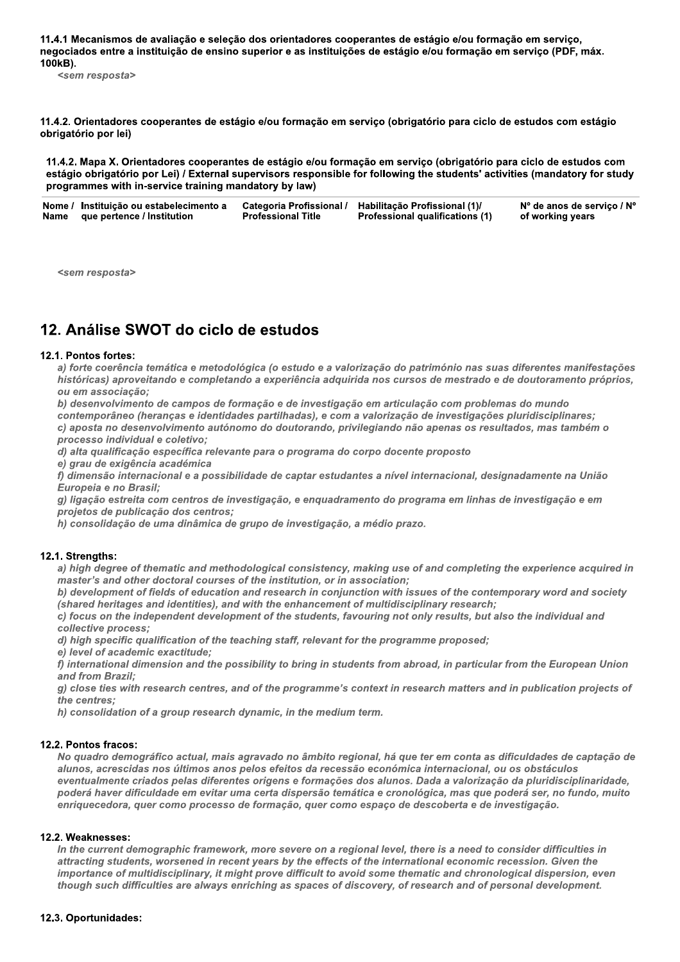11.4.1 Mecanismos de avaliação e seleção dos orientadores cooperantes de estágio e/ou formação em serviço, negociados entre a instituição de ensino superior e as instituições de estágio e/ou formação em serviço (PDF, máx. 100kB).

<sem resposta>

11.4.2. Orientadores cooperantes de estágio e/ou formação em serviço (obrigatório para ciclo de estudos com estágio obrigatório por lei)

11.4.2. Mapa X. Orientadores cooperantes de estágio e/ou formação em serviço (obrigatório para ciclo de estudos com estágio obrigatório por Lei) / External supervisors responsible for following the students' activities (mandatory for study programmes with in-service training mandatory by law)

| Nome / Instituição ou estabelecimento a Categoria Profissional / Habilitação Profissional (1)/ |                           |                                        | Nº de anos de serviço / Nº |
|------------------------------------------------------------------------------------------------|---------------------------|----------------------------------------|----------------------------|
| Name que pertence / Institution                                                                | <b>Professional Title</b> | <b>Professional qualifications (1)</b> | of working years           |

<sem resposta>

# 12. Análise SWOT do ciclo de estudos

## 12.1. Pontos fortes:

a) forte coerência temática e metodológica (o estudo e a valorização do património nas suas diferentes manifestações históricas) aproveitando e completando a experiência adquirida nos cursos de mestrado e de doutoramento próprios, ou em associação:

b) desenvolvimento de campos de formação e de investigação em articulação com problemas do mundo contemporâneo (heranças e identidades partilhadas), e com a valorização de investigações pluridisciplinares;

c) aposta no desenvolvimento autónomo do doutorando, privilegiando não apenas os resultados, mas também o processo individual e coletivo;

d) alta qualificação específica relevante para o programa do corpo docente proposto

e) grau de exigência académica

f) dimensão internacional e a possibilidade de captar estudantes a nível internacional, designadamente na União Europeia e no Brasil;

g) ligação estreita com centros de investigação, e enquadramento do programa em linhas de investigação e em projetos de publicação dos centros;

h) consolidação de uma dinâmica de grupo de investigação, a médio prazo.

## 12.1. Strengths:

a) high degree of thematic and methodological consistency, making use of and completing the experience acquired in master's and other doctoral courses of the institution, or in association;

b) development of fields of education and research in conjunction with issues of the contemporary word and society (shared heritages and identities), and with the enhancement of multidisciplinary research;

c) focus on the independent development of the students, favouring not only results, but also the individual and collective process;

d) high specific qualification of the teaching staff, relevant for the programme proposed;

e) level of academic exactitude:

f) international dimension and the possibility to bring in students from abroad, in particular from the European Union and from Brazil:

g) close ties with research centres, and of the programme's context in research matters and in publication projects of the centres;

h) consolidation of a group research dynamic, in the medium term.

## 12.2. Pontos fracos:

No quadro demográfico actual, mais agravado no âmbito regional, há que ter em conta as dificuldades de captação de alunos, acrescidas nos últimos anos pelos efeitos da recessão económica internacional, ou os obstáculos eventualmente criados pelas diferentes origens e formações dos alunos. Dada a valorização da pluridisciplinaridade, poderá haver dificuldade em evitar uma certa dispersão temática e cronológica, mas que poderá ser, no fundo, muito enriquecedora, quer como processo de formação, quer como espaço de descoberta e de investigação.

## 12.2. Weaknesses:

In the current demographic framework, more severe on a regional level, there is a need to consider difficulties in attracting students, worsened in recent years by the effects of the international economic recession. Given the importance of multidisciplinary, it might prove difficult to avoid some thematic and chronological dispersion, even though such difficulties are always enriching as spaces of discovery, of research and of personal development.